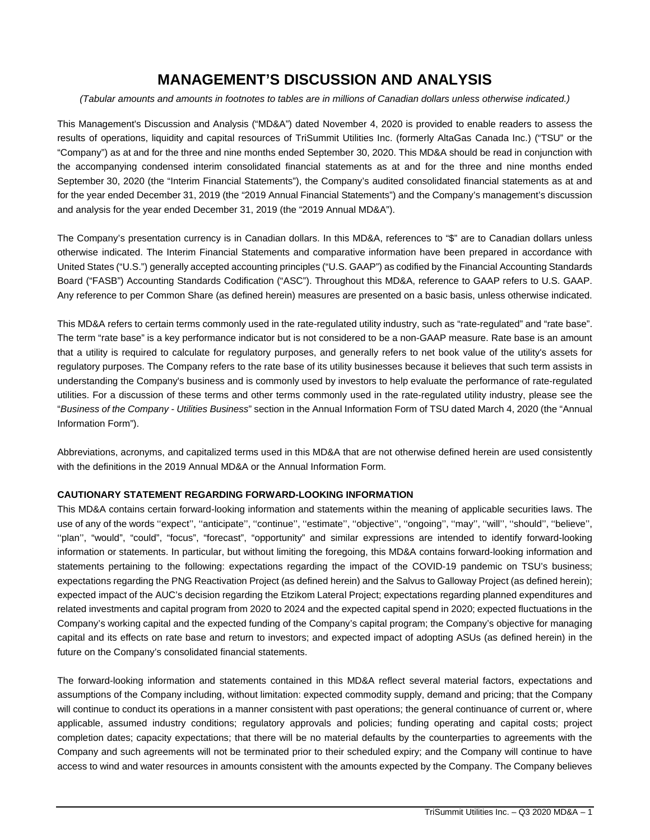# **MANAGEMENT'S DISCUSSION AND ANALYSIS**

#### *(Tabular amounts and amounts in footnotes to tables are in millions of Canadian dollars unless otherwise indicated.)*

This Management's Discussion and Analysis ("MD&A") dated November 4, 2020 is provided to enable readers to assess the results of operations, liquidity and capital resources of TriSummit Utilities Inc. (formerly AltaGas Canada Inc.) ("TSU" or the "Company") as at and for the three and nine months ended September 30, 2020. This MD&A should be read in conjunction with the accompanying condensed interim consolidated financial statements as at and for the three and nine months ended September 30, 2020 (the "Interim Financial Statements"), the Company's audited consolidated financial statements as at and for the year ended December 31, 2019 (the "2019 Annual Financial Statements") and the Company's management's discussion and analysis for the year ended December 31, 2019 (the "2019 Annual MD&A").

The Company's presentation currency is in Canadian dollars. In this MD&A, references to "\$" are to Canadian dollars unless otherwise indicated. The Interim Financial Statements and comparative information have been prepared in accordance with United States ("U.S.") generally accepted accounting principles ("U.S. GAAP") as codified by the Financial Accounting Standards Board ("FASB") Accounting Standards Codification ("ASC"). Throughout this MD&A, reference to GAAP refers to U.S. GAAP. Any reference to per Common Share (as defined herein) measures are presented on a basic basis, unless otherwise indicated.

This MD&A refers to certain terms commonly used in the rate-regulated utility industry, such as "rate-regulated" and "rate base". The term "rate base" is a key performance indicator but is not considered to be a non-GAAP measure. Rate base is an amount that a utility is required to calculate for regulatory purposes, and generally refers to net book value of the utility's assets for regulatory purposes. The Company refers to the rate base of its utility businesses because it believes that such term assists in understanding the Company's business and is commonly used by investors to help evaluate the performance of rate-regulated utilities. For a discussion of these terms and other terms commonly used in the rate-regulated utility industry, please see the "*Business of the Company - Utilities Business*" section in the Annual Information Form of TSU dated March 4, 2020 (the "Annual Information Form").

Abbreviations, acronyms, and capitalized terms used in this MD&A that are not otherwise defined herein are used consistently with the definitions in the 2019 Annual MD&A or the Annual Information Form.

# **CAUTIONARY STATEMENT REGARDING FORWARD-LOOKING INFORMATION**

This MD&A contains certain forward-looking information and statements within the meaning of applicable securities laws. The use of any of the words ''expect'', ''anticipate'', ''continue'', ''estimate'', ''objective'', ''ongoing'', ''may'', ''will'', ''should'', ''believe'', ''plan'', "would", "could", "focus", "forecast", "opportunity" and similar expressions are intended to identify forward-looking information or statements. In particular, but without limiting the foregoing, this MD&A contains forward-looking information and statements pertaining to the following: expectations regarding the impact of the COVID-19 pandemic on TSU's business; expectations regarding the PNG Reactivation Project (as defined herein) and the Salvus to Galloway Project (as defined herein); expected impact of the AUC's decision regarding the Etzikom Lateral Project; expectations regarding planned expenditures and related investments and capital program from 2020 to 2024 and the expected capital spend in 2020; expected fluctuations in the Company's working capital and the expected funding of the Company's capital program; the Company's objective for managing capital and its effects on rate base and return to investors; and expected impact of adopting ASUs (as defined herein) in the future on the Company's consolidated financial statements.

The forward-looking information and statements contained in this MD&A reflect several material factors, expectations and assumptions of the Company including, without limitation: expected commodity supply, demand and pricing; that the Company will continue to conduct its operations in a manner consistent with past operations; the general continuance of current or, where applicable, assumed industry conditions; regulatory approvals and policies; funding operating and capital costs; project completion dates; capacity expectations; that there will be no material defaults by the counterparties to agreements with the Company and such agreements will not be terminated prior to their scheduled expiry; and the Company will continue to have access to wind and water resources in amounts consistent with the amounts expected by the Company. The Company believes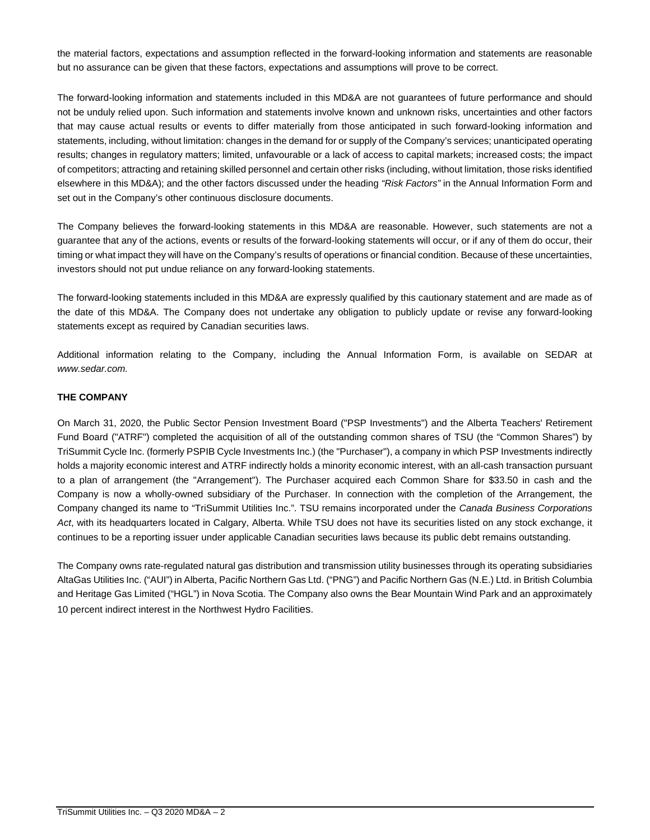the material factors, expectations and assumption reflected in the forward-looking information and statements are reasonable but no assurance can be given that these factors, expectations and assumptions will prove to be correct.

The forward-looking information and statements included in this MD&A are not guarantees of future performance and should not be unduly relied upon. Such information and statements involve known and unknown risks, uncertainties and other factors that may cause actual results or events to differ materially from those anticipated in such forward-looking information and statements, including, without limitation: changes in the demand for or supply of the Company's services; unanticipated operating results; changes in regulatory matters; limited, unfavourable or a lack of access to capital markets; increased costs; the impact of competitors; attracting and retaining skilled personnel and certain other risks (including, without limitation, those risks identified elsewhere in this MD&A); and the other factors discussed under the heading *"Risk Factors"* in the Annual Information Form and set out in the Company's other continuous disclosure documents.

The Company believes the forward-looking statements in this MD&A are reasonable. However, such statements are not a guarantee that any of the actions, events or results of the forward-looking statements will occur, or if any of them do occur, their timing or what impact they will have on the Company's results of operations or financial condition. Because of these uncertainties, investors should not put undue reliance on any forward-looking statements.

The forward-looking statements included in this MD&A are expressly qualified by this cautionary statement and are made as of the date of this MD&A. The Company does not undertake any obligation to publicly update or revise any forward-looking statements except as required by Canadian securities laws.

Additional information relating to the Company, including the Annual Information Form, is available on SEDAR at *www.sedar.com.*

# **THE COMPANY**

On March 31, 2020, the Public Sector Pension Investment Board ("PSP Investments") and the Alberta Teachers' Retirement Fund Board ("ATRF") completed the acquisition of all of the outstanding common shares of TSU (the "Common Shares") by TriSummit Cycle Inc. (formerly PSPIB Cycle Investments Inc.) (the "Purchaser"), a company in which PSP Investments indirectly holds a majority economic interest and ATRF indirectly holds a minority economic interest, with an all-cash transaction pursuant to a plan of arrangement (the "Arrangement"). The Purchaser acquired each Common Share for \$33.50 in cash and the Company is now a wholly-owned subsidiary of the Purchaser. In connection with the completion of the Arrangement, the Company changed its name to "TriSummit Utilities Inc.". TSU remains incorporated under the *Canada Business Corporations Act*, with its headquarters located in Calgary, Alberta. While TSU does not have its securities listed on any stock exchange, it continues to be a reporting issuer under applicable Canadian securities laws because its public debt remains outstanding.

The Company owns rate-regulated natural gas distribution and transmission utility businesses through its operating subsidiaries AltaGas Utilities Inc. ("AUI") in Alberta, Pacific Northern Gas Ltd. ("PNG") and Pacific Northern Gas (N.E.) Ltd. in British Columbia and Heritage Gas Limited ("HGL") in Nova Scotia. The Company also owns the Bear Mountain Wind Park and an approximately 10 percent indirect interest in the Northwest Hydro Facilities.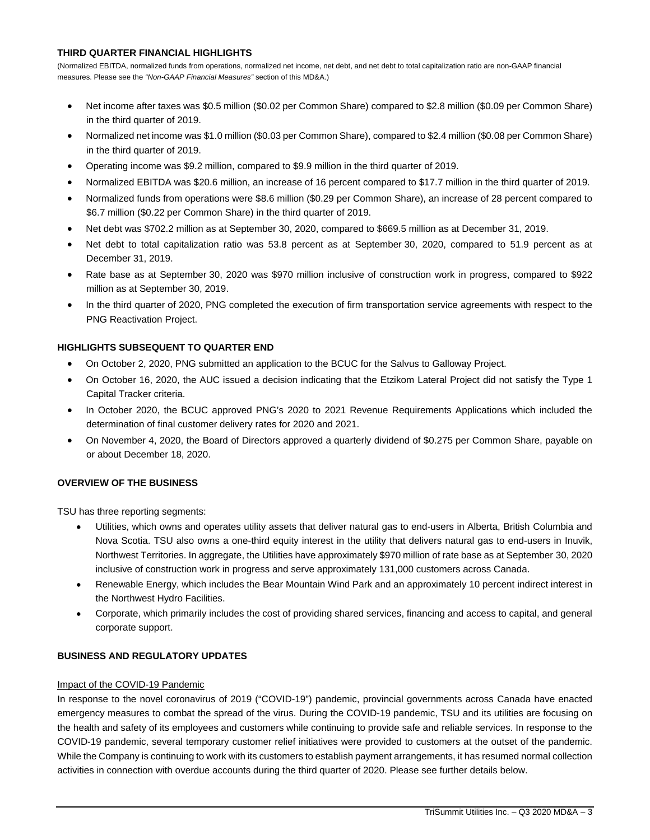# **THIRD QUARTER FINANCIAL HIGHLIGHTS**

(Normalized EBITDA, normalized funds from operations, normalized net income, net debt, and net debt to total capitalization ratio are non-GAAP financial measures. Please see the *"Non-GAAP Financial Measures"* section of this MD&A.)

- · Net income after taxes was \$0.5 million (\$0.02 per Common Share) compared to \$2.8 million (\$0.09 per Common Share) in the third quarter of 2019.
- · Normalized net income was \$1.0 million (\$0.03 per Common Share), compared to \$2.4 million (\$0.08 per Common Share) in the third quarter of 2019.
- · Operating income was \$9.2 million, compared to \$9.9 million in the third quarter of 2019.
- · Normalized EBITDA was \$20.6 million, an increase of 16 percent compared to \$17.7 million in the third quarter of 2019.
- · Normalized funds from operations were \$8.6 million (\$0.29 per Common Share), an increase of 28 percent compared to \$6.7 million (\$0.22 per Common Share) in the third quarter of 2019.
- · Net debt was \$702.2 million as at September 30, 2020, compared to \$669.5 million as at December 31, 2019.
- Net debt to total capitalization ratio was 53.8 percent as at September 30, 2020, compared to 51.9 percent as at December 31, 2019.
- · Rate base as at September 30, 2020 was \$970 million inclusive of construction work in progress, compared to \$922 million as at September 30, 2019.
- In the third quarter of 2020, PNG completed the execution of firm transportation service agreements with respect to the PNG Reactivation Project.

# **HIGHLIGHTS SUBSEQUENT TO QUARTER END**

- · On October 2, 2020, PNG submitted an application to the BCUC for the Salvus to Galloway Project.
- · On October 16, 2020, the AUC issued a decision indicating that the Etzikom Lateral Project did not satisfy the Type 1 Capital Tracker criteria.
- · In October 2020, the BCUC approved PNG's 2020 to 2021 Revenue Requirements Applications which included the determination of final customer delivery rates for 2020 and 2021.
- · On November 4, 2020, the Board of Directors approved a quarterly dividend of \$0.275 per Common Share, payable on or about December 18, 2020.

# **OVERVIEW OF THE BUSINESS**

TSU has three reporting segments:

- · Utilities, which owns and operates utility assets that deliver natural gas to end-users in Alberta, British Columbia and Nova Scotia. TSU also owns a one-third equity interest in the utility that delivers natural gas to end-users in Inuvik, Northwest Territories. In aggregate, the Utilities have approximately \$970 million of rate base as at September 30, 2020 inclusive of construction work in progress and serve approximately 131,000 customers across Canada.
- · Renewable Energy, which includes the Bear Mountain Wind Park and an approximately 10 percent indirect interest in the Northwest Hydro Facilities.
- · Corporate, which primarily includes the cost of providing shared services, financing and access to capital, and general corporate support.

# **BUSINESS AND REGULATORY UPDATES**

# Impact of the COVID-19 Pandemic

In response to the novel coronavirus of 2019 ("COVID-19") pandemic, provincial governments across Canada have enacted emergency measures to combat the spread of the virus. During the COVID-19 pandemic, TSU and its utilities are focusing on the health and safety of its employees and customers while continuing to provide safe and reliable services. In response to the COVID-19 pandemic, several temporary customer relief initiatives were provided to customers at the outset of the pandemic. While the Company is continuing to work with its customers to establish payment arrangements, it has resumed normal collection activities in connection with overdue accounts during the third quarter of 2020. Please see further details below.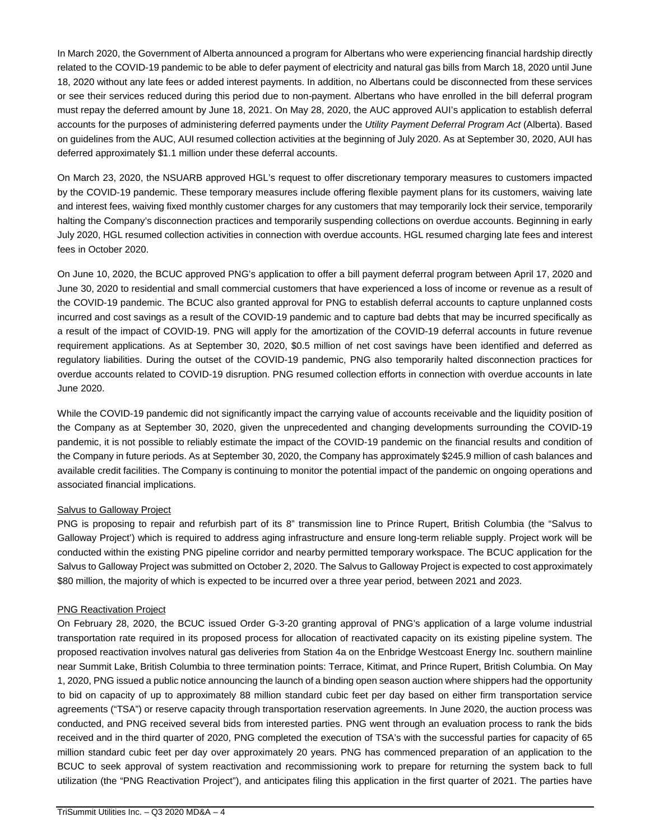In March 2020, the Government of Alberta announced a program for Albertans who were experiencing financial hardship directly related to the COVID-19 pandemic to be able to defer payment of electricity and natural gas bills from March 18, 2020 until June 18, 2020 without any late fees or added interest payments. In addition, no Albertans could be disconnected from these services or see their services reduced during this period due to non-payment. Albertans who have enrolled in the bill deferral program must repay the deferred amount by June 18, 2021. On May 28, 2020, the AUC approved AUI's application to establish deferral accounts for the purposes of administering deferred payments under the *Utility Payment Deferral Program Act* (Alberta). Based on guidelines from the AUC, AUI resumed collection activities at the beginning of July 2020. As at September 30, 2020, AUI has deferred approximately \$1.1 million under these deferral accounts.

On March 23, 2020, the NSUARB approved HGL's request to offer discretionary temporary measures to customers impacted by the COVID-19 pandemic. These temporary measures include offering flexible payment plans for its customers, waiving late and interest fees, waiving fixed monthly customer charges for any customers that may temporarily lock their service, temporarily halting the Company's disconnection practices and temporarily suspending collections on overdue accounts. Beginning in early July 2020, HGL resumed collection activities in connection with overdue accounts. HGL resumed charging late fees and interest fees in October 2020.

On June 10, 2020, the BCUC approved PNG's application to offer a bill payment deferral program between April 17, 2020 and June 30, 2020 to residential and small commercial customers that have experienced a loss of income or revenue as a result of the COVID-19 pandemic. The BCUC also granted approval for PNG to establish deferral accounts to capture unplanned costs incurred and cost savings as a result of the COVID-19 pandemic and to capture bad debts that may be incurred specifically as a result of the impact of COVID-19. PNG will apply for the amortization of the COVID-19 deferral accounts in future revenue requirement applications. As at September 30, 2020, \$0.5 million of net cost savings have been identified and deferred as regulatory liabilities. During the outset of the COVID-19 pandemic, PNG also temporarily halted disconnection practices for overdue accounts related to COVID-19 disruption. PNG resumed collection efforts in connection with overdue accounts in late June 2020.

While the COVID-19 pandemic did not significantly impact the carrying value of accounts receivable and the liquidity position of the Company as at September 30, 2020, given the unprecedented and changing developments surrounding the COVID-19 pandemic, it is not possible to reliably estimate the impact of the COVID-19 pandemic on the financial results and condition of the Company in future periods. As at September 30, 2020, the Company has approximately \$245.9 million of cash balances and available credit facilities. The Company is continuing to monitor the potential impact of the pandemic on ongoing operations and associated financial implications.

# Salvus to Galloway Project

PNG is proposing to repair and refurbish part of its 8" transmission line to Prince Rupert, British Columbia (the "Salvus to Galloway Project') which is required to address aging infrastructure and ensure long-term reliable supply. Project work will be conducted within the existing PNG pipeline corridor and nearby permitted temporary workspace. The BCUC application for the Salvus to Galloway Project was submitted on October 2, 2020. The Salvus to Galloway Project is expected to cost approximately \$80 million, the majority of which is expected to be incurred over a three year period, between 2021 and 2023.

# PNG Reactivation Project

On February 28, 2020, the BCUC issued Order G-3-20 granting approval of PNG's application of a large volume industrial transportation rate required in its proposed process for allocation of reactivated capacity on its existing pipeline system. The proposed reactivation involves natural gas deliveries from Station 4a on the Enbridge Westcoast Energy Inc. southern mainline near Summit Lake, British Columbia to three termination points: Terrace, Kitimat, and Prince Rupert, British Columbia. On May 1, 2020, PNG issued a public notice announcing the launch of a binding open season auction where shippers had the opportunity to bid on capacity of up to approximately 88 million standard cubic feet per day based on either firm transportation service agreements ("TSA") or reserve capacity through transportation reservation agreements. In June 2020, the auction process was conducted, and PNG received several bids from interested parties. PNG went through an evaluation process to rank the bids received and in the third quarter of 2020, PNG completed the execution of TSA's with the successful parties for capacity of 65 million standard cubic feet per day over approximately 20 years. PNG has commenced preparation of an application to the BCUC to seek approval of system reactivation and recommissioning work to prepare for returning the system back to full utilization (the "PNG Reactivation Project"), and anticipates filing this application in the first quarter of 2021. The parties have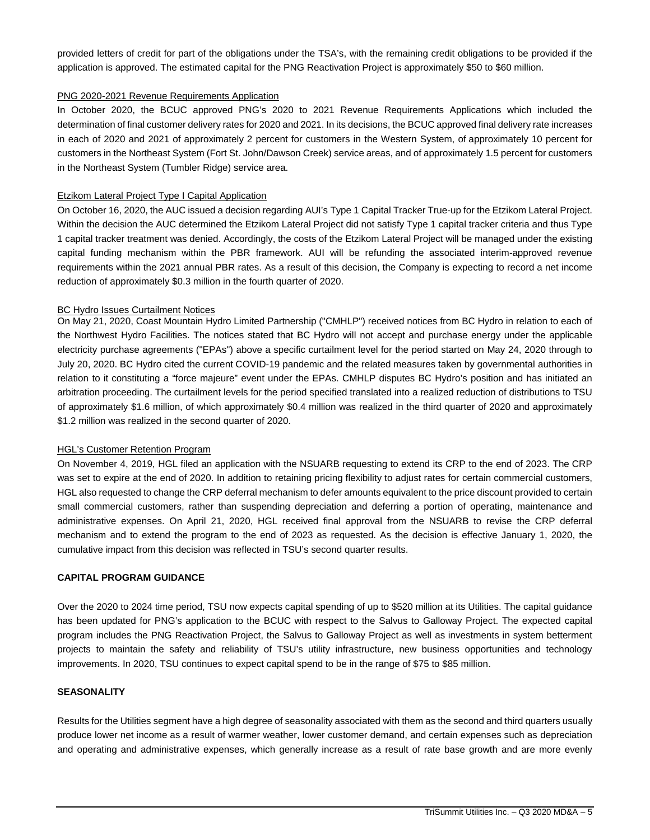provided letters of credit for part of the obligations under the TSA's, with the remaining credit obligations to be provided if the application is approved. The estimated capital for the PNG Reactivation Project is approximately \$50 to \$60 million.

#### PNG 2020-2021 Revenue Requirements Application

In October 2020, the BCUC approved PNG's 2020 to 2021 Revenue Requirements Applications which included the determination of final customer delivery rates for 2020 and 2021. In its decisions, the BCUC approved final delivery rate increases in each of 2020 and 2021 of approximately 2 percent for customers in the Western System, of approximately 10 percent for customers in the Northeast System (Fort St. John/Dawson Creek) service areas, and of approximately 1.5 percent for customers in the Northeast System (Tumbler Ridge) service area.

#### Etzikom Lateral Project Type I Capital Application

On October 16, 2020, the AUC issued a decision regarding AUI's Type 1 Capital Tracker True-up for the Etzikom Lateral Project. Within the decision the AUC determined the Etzikom Lateral Project did not satisfy Type 1 capital tracker criteria and thus Type 1 capital tracker treatment was denied. Accordingly, the costs of the Etzikom Lateral Project will be managed under the existing capital funding mechanism within the PBR framework. AUI will be refunding the associated interim-approved revenue requirements within the 2021 annual PBR rates. As a result of this decision, the Company is expecting to record a net income reduction of approximately \$0.3 million in the fourth quarter of 2020.

#### **BC Hydro Issues Curtailment Notices**

On May 21, 2020, Coast Mountain Hydro Limited Partnership ("CMHLP") received notices from BC Hydro in relation to each of the Northwest Hydro Facilities. The notices stated that BC Hydro will not accept and purchase energy under the applicable electricity purchase agreements ("EPAs") above a specific curtailment level for the period started on May 24, 2020 through to July 20, 2020. BC Hydro cited the current COVID-19 pandemic and the related measures taken by governmental authorities in relation to it constituting a "force majeure" event under the EPAs. CMHLP disputes BC Hydro's position and has initiated an arbitration proceeding. The curtailment levels for the period specified translated into a realized reduction of distributions to TSU of approximately \$1.6 million, of which approximately \$0.4 million was realized in the third quarter of 2020 and approximately \$1.2 million was realized in the second quarter of 2020.

#### HGL's Customer Retention Program

On November 4, 2019, HGL filed an application with the NSUARB requesting to extend its CRP to the end of 2023. The CRP was set to expire at the end of 2020. In addition to retaining pricing flexibility to adjust rates for certain commercial customers, HGL also requested to change the CRP deferral mechanism to defer amounts equivalent to the price discount provided to certain small commercial customers, rather than suspending depreciation and deferring a portion of operating, maintenance and administrative expenses. On April 21, 2020, HGL received final approval from the NSUARB to revise the CRP deferral mechanism and to extend the program to the end of 2023 as requested. As the decision is effective January 1, 2020, the cumulative impact from this decision was reflected in TSU's second quarter results.

## **CAPITAL PROGRAM GUIDANCE**

Over the 2020 to 2024 time period, TSU now expects capital spending of up to \$520 million at its Utilities. The capital guidance has been updated for PNG's application to the BCUC with respect to the Salvus to Galloway Project. The expected capital program includes the PNG Reactivation Project, the Salvus to Galloway Project as well as investments in system betterment projects to maintain the safety and reliability of TSU's utility infrastructure, new business opportunities and technology improvements. In 2020, TSU continues to expect capital spend to be in the range of \$75 to \$85 million.

#### **SEASONALITY**

Results for the Utilities segment have a high degree of seasonality associated with them as the second and third quarters usually produce lower net income as a result of warmer weather, lower customer demand, and certain expenses such as depreciation and operating and administrative expenses, which generally increase as a result of rate base growth and are more evenly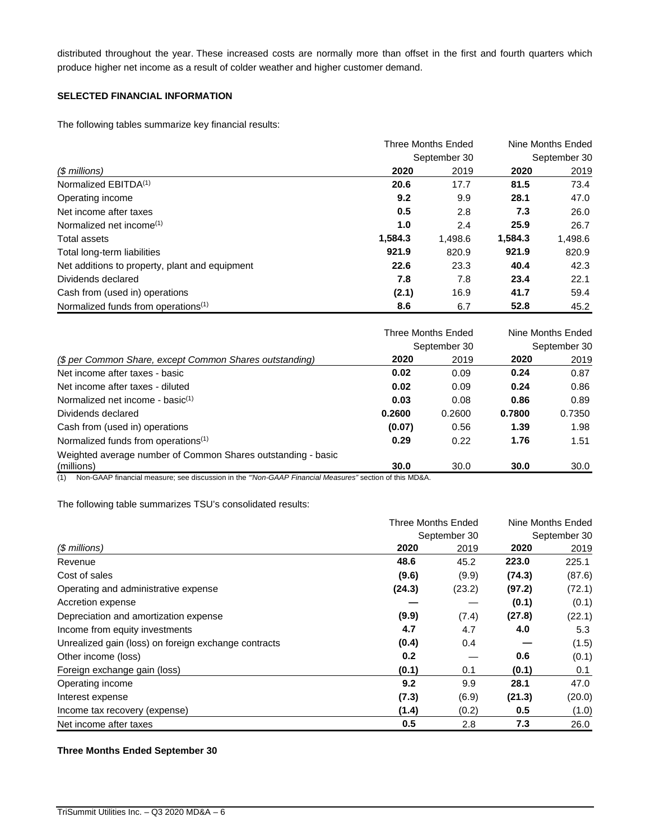distributed throughout the year. These increased costs are normally more than offset in the first and fourth quarters which produce higher net income as a result of colder weather and higher customer demand.

# **SELECTED FINANCIAL INFORMATION**

The following tables summarize key financial results:

|                                                 |         | <b>Three Months Ended</b> |         |              |
|-------------------------------------------------|---------|---------------------------|---------|--------------|
|                                                 |         | September 30              |         | September 30 |
| (\$ millions)                                   | 2020    | 2019                      | 2020    | 2019         |
| Normalized EBITDA <sup>(1)</sup>                | 20.6    | 17.7                      | 81.5    | 73.4         |
| Operating income                                | 9.2     | 9.9                       | 28.1    | 47.0         |
| Net income after taxes                          | 0.5     | 2.8                       | 7.3     | 26.0         |
| Normalized net income <sup>(1)</sup>            | 1.0     | 2.4                       | 25.9    | 26.7         |
| Total assets                                    | 1,584.3 | 1,498.6                   | 1,584.3 | 1,498.6      |
| Total long-term liabilities                     | 921.9   | 820.9                     | 921.9   | 820.9        |
| Net additions to property, plant and equipment  | 22.6    | 23.3                      | 40.4    | 42.3         |
| Dividends declared                              | 7.8     | 7.8                       | 23.4    | 22.1         |
| Cash from (used in) operations                  | (2.1)   | 16.9                      | 41.7    | 59.4         |
| Normalized funds from operations <sup>(1)</sup> | 8.6     | 6.7                       | 52.8    | 45.2         |

|                                                              |        | <b>Three Months Ended</b> | Nine Months Ended |              |
|--------------------------------------------------------------|--------|---------------------------|-------------------|--------------|
|                                                              |        | September 30              |                   | September 30 |
| (\$ per Common Share, except Common Shares outstanding)      | 2020   | 2019                      | 2020              | 2019         |
| Net income after taxes - basic                               | 0.02   | 0.09                      | 0.24              | 0.87         |
| Net income after taxes - diluted                             | 0.02   | 0.09                      | 0.24              | 0.86         |
| Normalized net income - basi $c^{(1)}$                       | 0.03   | 0.08                      | 0.86              | 0.89         |
| Dividends declared                                           | 0.2600 | 0.2600                    | 0.7800            | 0.7350       |
| Cash from (used in) operations                               | (0.07) | 0.56                      | 1.39              | 1.98         |
| Normalized funds from operations <sup>(1)</sup>              | 0.29   | 0.22                      | 1.76              | 1.51         |
| Weighted average number of Common Shares outstanding - basic |        |                           |                   |              |
| (millions)                                                   | 30.0   | 30.0                      | 30.0              | 30.0         |

(1) Non-GAAP financial measure; see discussion in the *"'Non-GAAP Financial Measures"* section of this MD&A.

The following table summarizes TSU's consolidated results:

|                                                                                                                                                                                                                                                                                                                                          | Three Months Ended |              | Nine Months Ended |              |
|------------------------------------------------------------------------------------------------------------------------------------------------------------------------------------------------------------------------------------------------------------------------------------------------------------------------------------------|--------------------|--------------|-------------------|--------------|
|                                                                                                                                                                                                                                                                                                                                          |                    | September 30 |                   | September 30 |
| $$$ millions)<br>Revenue<br>Cost of sales<br>Operating and administrative expense<br>Accretion expense<br>Depreciation and amortization expense<br>Income from equity investments<br>Unrealized gain (loss) on foreign exchange contracts<br>Other income (loss)<br>Foreign exchange gain (loss)<br>Operating income<br>Interest expense | 2020               | 2019         | 2020              | 2019         |
|                                                                                                                                                                                                                                                                                                                                          | 48.6               | 45.2         | 223.0             | 225.1        |
|                                                                                                                                                                                                                                                                                                                                          | (9.6)              | (9.9)        | (74.3)            | (87.6)       |
|                                                                                                                                                                                                                                                                                                                                          | (24.3)             | (23.2)       | (97.2)            | (72.1)       |
|                                                                                                                                                                                                                                                                                                                                          |                    |              | (0.1)             | (0.1)        |
|                                                                                                                                                                                                                                                                                                                                          | (9.9)              | (7.4)        | (27.8)            | (22.1)       |
|                                                                                                                                                                                                                                                                                                                                          | 4.7                | 4.7          | 4.0               | 5.3          |
|                                                                                                                                                                                                                                                                                                                                          | (0.4)              | 0.4          |                   | (1.5)        |
|                                                                                                                                                                                                                                                                                                                                          | 0.2                |              | 0.6               | (0.1)        |
|                                                                                                                                                                                                                                                                                                                                          | (0.1)              | 0.1          | (0.1)             | 0.1          |
|                                                                                                                                                                                                                                                                                                                                          | 9.2                | 9.9          | 28.1              | 47.0         |
|                                                                                                                                                                                                                                                                                                                                          | (7.3)              | (6.9)        | (21.3)            | (20.0)       |
| Income tax recovery (expense)                                                                                                                                                                                                                                                                                                            | (1.4)              | (0.2)        | 0.5               | (1.0)        |
| Net income after taxes                                                                                                                                                                                                                                                                                                                   | 0.5                | 2.8          | 7.3               | 26.0         |

# **Three Months Ended September 30**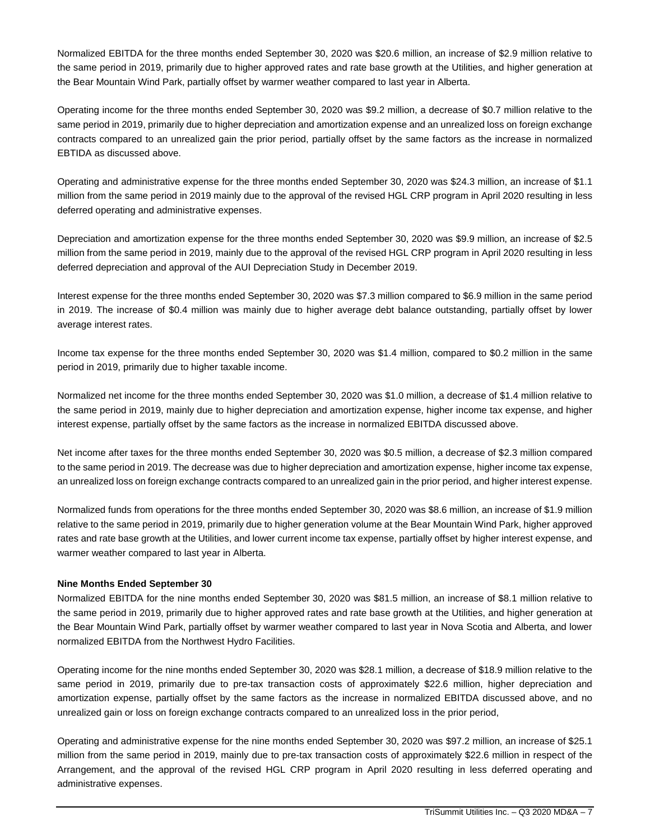Normalized EBITDA for the three months ended September 30, 2020 was \$20.6 million, an increase of \$2.9 million relative to the same period in 2019, primarily due to higher approved rates and rate base growth at the Utilities, and higher generation at the Bear Mountain Wind Park, partially offset by warmer weather compared to last year in Alberta.

Operating income for the three months ended September 30, 2020 was \$9.2 million, a decrease of \$0.7 million relative to the same period in 2019, primarily due to higher depreciation and amortization expense and an unrealized loss on foreign exchange contracts compared to an unrealized gain the prior period, partially offset by the same factors as the increase in normalized EBTIDA as discussed above.

Operating and administrative expense for the three months ended September 30, 2020 was \$24.3 million, an increase of \$1.1 million from the same period in 2019 mainly due to the approval of the revised HGL CRP program in April 2020 resulting in less deferred operating and administrative expenses.

Depreciation and amortization expense for the three months ended September 30, 2020 was \$9.9 million, an increase of \$2.5 million from the same period in 2019, mainly due to the approval of the revised HGL CRP program in April 2020 resulting in less deferred depreciation and approval of the AUI Depreciation Study in December 2019.

Interest expense for the three months ended September 30, 2020 was \$7.3 million compared to \$6.9 million in the same period in 2019. The increase of \$0.4 million was mainly due to higher average debt balance outstanding, partially offset by lower average interest rates.

Income tax expense for the three months ended September 30, 2020 was \$1.4 million, compared to \$0.2 million in the same period in 2019, primarily due to higher taxable income.

Normalized net income for the three months ended September 30, 2020 was \$1.0 million, a decrease of \$1.4 million relative to the same period in 2019, mainly due to higher depreciation and amortization expense, higher income tax expense, and higher interest expense, partially offset by the same factors as the increase in normalized EBITDA discussed above.

Net income after taxes for the three months ended September 30, 2020 was \$0.5 million, a decrease of \$2.3 million compared to the same period in 2019. The decrease was due to higher depreciation and amortization expense, higher income tax expense, an unrealized loss on foreign exchange contracts compared to an unrealized gain in the prior period, and higher interest expense.

Normalized funds from operations for the three months ended September 30, 2020 was \$8.6 million, an increase of \$1.9 million relative to the same period in 2019, primarily due to higher generation volume at the Bear Mountain Wind Park, higher approved rates and rate base growth at the Utilities, and lower current income tax expense, partially offset by higher interest expense, and warmer weather compared to last year in Alberta.

#### **Nine Months Ended September 30**

Normalized EBITDA for the nine months ended September 30, 2020 was \$81.5 million, an increase of \$8.1 million relative to the same period in 2019, primarily due to higher approved rates and rate base growth at the Utilities, and higher generation at the Bear Mountain Wind Park, partially offset by warmer weather compared to last year in Nova Scotia and Alberta, and lower normalized EBITDA from the Northwest Hydro Facilities.

Operating income for the nine months ended September 30, 2020 was \$28.1 million, a decrease of \$18.9 million relative to the same period in 2019, primarily due to pre-tax transaction costs of approximately \$22.6 million, higher depreciation and amortization expense, partially offset by the same factors as the increase in normalized EBITDA discussed above, and no unrealized gain or loss on foreign exchange contracts compared to an unrealized loss in the prior period,

Operating and administrative expense for the nine months ended September 30, 2020 was \$97.2 million, an increase of \$25.1 million from the same period in 2019, mainly due to pre-tax transaction costs of approximately \$22.6 million in respect of the Arrangement, and the approval of the revised HGL CRP program in April 2020 resulting in less deferred operating and administrative expenses.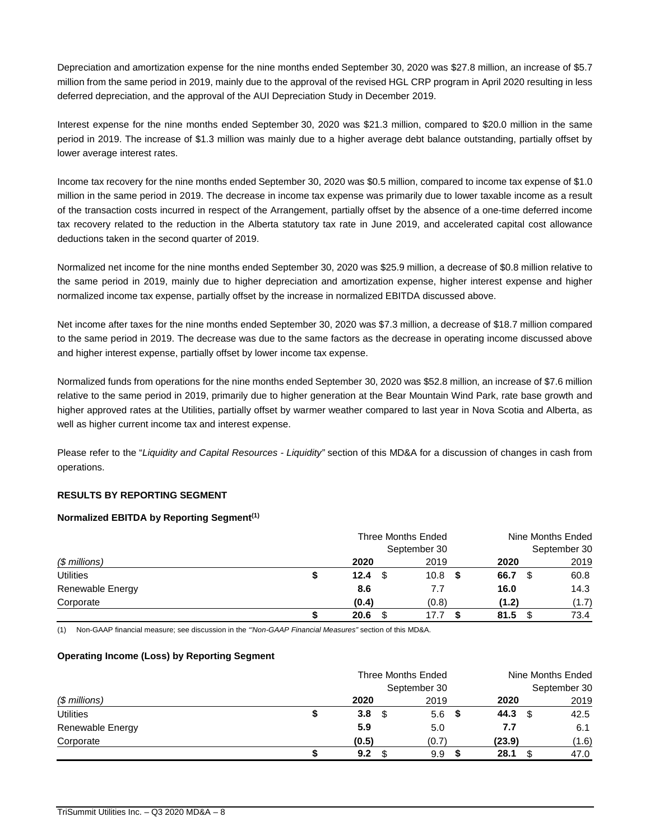Depreciation and amortization expense for the nine months ended September 30, 2020 was \$27.8 million, an increase of \$5.7 million from the same period in 2019, mainly due to the approval of the revised HGL CRP program in April 2020 resulting in less deferred depreciation, and the approval of the AUI Depreciation Study in December 2019.

Interest expense for the nine months ended September 30, 2020 was \$21.3 million, compared to \$20.0 million in the same period in 2019. The increase of \$1.3 million was mainly due to a higher average debt balance outstanding, partially offset by lower average interest rates.

Income tax recovery for the nine months ended September 30, 2020 was \$0.5 million, compared to income tax expense of \$1.0 million in the same period in 2019. The decrease in income tax expense was primarily due to lower taxable income as a result of the transaction costs incurred in respect of the Arrangement, partially offset by the absence of a one-time deferred income tax recovery related to the reduction in the Alberta statutory tax rate in June 2019, and accelerated capital cost allowance deductions taken in the second quarter of 2019.

Normalized net income for the nine months ended September 30, 2020 was \$25.9 million, a decrease of \$0.8 million relative to the same period in 2019, mainly due to higher depreciation and amortization expense, higher interest expense and higher normalized income tax expense, partially offset by the increase in normalized EBITDA discussed above.

Net income after taxes for the nine months ended September 30, 2020 was \$7.3 million, a decrease of \$18.7 million compared to the same period in 2019. The decrease was due to the same factors as the decrease in operating income discussed above and higher interest expense, partially offset by lower income tax expense.

Normalized funds from operations for the nine months ended September 30, 2020 was \$52.8 million, an increase of \$7.6 million relative to the same period in 2019, primarily due to higher generation at the Bear Mountain Wind Park, rate base growth and higher approved rates at the Utilities, partially offset by warmer weather compared to last year in Nova Scotia and Alberta, as well as higher current income tax and interest expense.

Please refer to the "*Liquidity and Capital Resources - Liquidity"* section of this MD&A for a discussion of changes in cash from operations.

# **RESULTS BY REPORTING SEGMENT**

#### **Normalized EBITDA by Reporting Segment(1)**

|                  |   | Three Months Ended |              | Nine Months Ended |       |  |
|------------------|---|--------------------|--------------|-------------------|-------|--|
|                  |   |                    | September 30 | September 30      |       |  |
| $$$ millions)    |   | 2020               | 2019         | 2020              | 2019  |  |
| <b>Utilities</b> | S | 12.4               | 10.8         | 66.7<br>- \$      | 60.8  |  |
| Renewable Energy |   | 8.6                | 7.7          | 16.0              | 14.3  |  |
| Corporate        |   | (0.4)              | (0.8)        | (1.2)             | (1.7) |  |
|                  |   | 20.6               | 17.7         | 81.5              | 73.4  |  |

(1) Non-GAAP financial measure; see discussion in the *"'Non-GAAP Financial Measures"* section of this MD&A.

#### **Operating Income (Loss) by Reporting Segment**

|                  | Three Months Ended |    |              |     | Nine Months Ended |      |              |
|------------------|--------------------|----|--------------|-----|-------------------|------|--------------|
|                  |                    |    | September 30 |     |                   |      | September 30 |
| $$$ millions)    | 2020               |    | 2019         |     | 2020              |      | 2019         |
| <b>Utilities</b> | 3.8                | \$ | 5.6          | - 5 | 44.3              | - \$ | 42.5         |
| Renewable Energy | 5.9                |    | 5.0          |     | 7.7               |      | 6.1          |
| Corporate        | (0.5)              |    | (0.7)        |     | (23.9)            |      | (1.6)        |
|                  | 9.2                |    | 9.9          |     | 28.1              |      | 47.0         |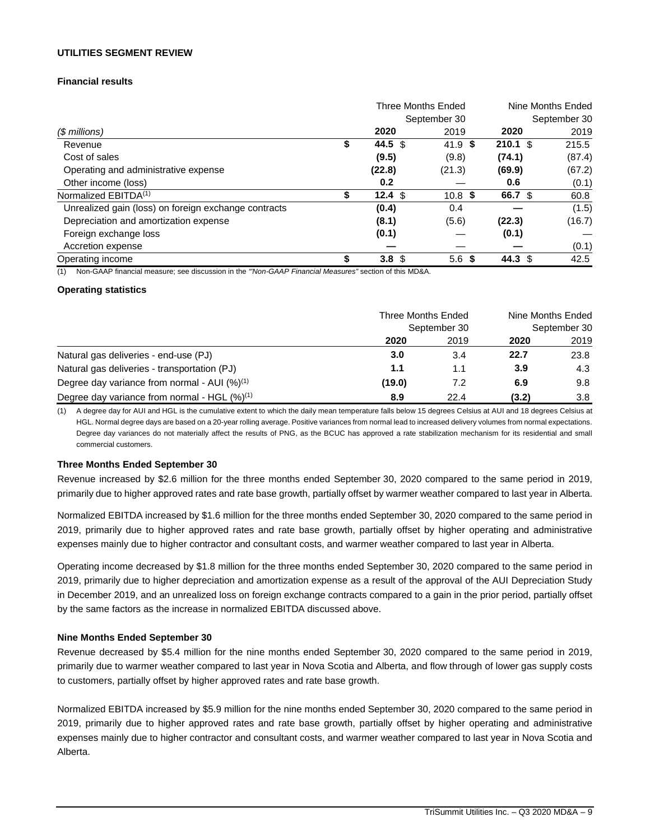#### **UTILITIES SEGMENT REVIEW**

# **Financial results**

|                                                      | <b>Three Months Ended</b> |                    |                     | Nine Months Ended |  |
|------------------------------------------------------|---------------------------|--------------------|---------------------|-------------------|--|
|                                                      |                           | September 30       |                     | September 30      |  |
| (\$ millions)                                        | 2020                      | 2019               | 2020                | 2019              |  |
| Revenue                                              | \$<br>44.5 \$             | 41.9 $\frac{1}{2}$ | $210.1 \text{ }$ \$ | 215.5             |  |
| Cost of sales                                        | (9.5)                     | (9.8)              | (74.1)              | (87.4)            |  |
| Operating and administrative expense                 | (22.8)                    | (21.3)             | (69.9)              | (67.2)            |  |
| Other income (loss)                                  | 0.2                       |                    | 0.6                 | (0.1)             |  |
| Normalized EBITDA <sup>(1)</sup>                     | \$<br>12.4 <sup>°</sup>   | $10.8$ \$          | 66.7 \$             | 60.8              |  |
| Unrealized gain (loss) on foreign exchange contracts | (0.4)                     | 0.4                |                     | (1.5)             |  |
| Depreciation and amortization expense                | (8.1)                     | (5.6)              | (22.3)              | (16.7)            |  |
| Foreign exchange loss                                | (0.1)                     |                    | (0.1)               |                   |  |
| Accretion expense                                    |                           |                    |                     | (0.1)             |  |
| Operating income                                     | \$<br>3.8 <sup>°</sup>    | 5.6 <sup>5</sup>   | 44.3 $$$            | 42.5              |  |

(1) Non-GAAP financial measure; see discussion in the *"'Non-GAAP Financial Measures"* section of this MD&A.

#### **Operating statistics**

|                                                    | Three Months Ended<br>September 30 |      | Nine Months Ended<br>September 30 |      |
|----------------------------------------------------|------------------------------------|------|-----------------------------------|------|
|                                                    |                                    |      |                                   |      |
|                                                    | 2020                               | 2019 | 2020                              | 2019 |
| Natural gas deliveries - end-use (PJ)              | 3.0                                | 3.4  | 22.7                              | 23.8 |
| Natural gas deliveries - transportation (PJ)       | 1.1                                | 1.1  | 3.9                               | 4.3  |
| Degree day variance from normal - AUI $(%)^{(1)}$  | (19.0)                             | 7.2  | 6.9                               | 9.8  |
| Degree day variance from normal - HGL $(\%)^{(1)}$ | 8.9                                | 22.4 | (3.2)                             | 3.8  |

(1) A degree day for AUI and HGL is the cumulative extent to which the daily mean temperature falls below 15 degrees Celsius at AUI and 18 degrees Celsius at HGL. Normal degree days are based on a 20-year rolling average. Positive variances from normal lead to increased delivery volumes from normal expectations. Degree day variances do not materially affect the results of PNG, as the BCUC has approved a rate stabilization mechanism for its residential and small commercial customers.

#### **Three Months Ended September 30**

Revenue increased by \$2.6 million for the three months ended September 30, 2020 compared to the same period in 2019, primarily due to higher approved rates and rate base growth, partially offset by warmer weather compared to last year in Alberta.

Normalized EBITDA increased by \$1.6 million for the three months ended September 30, 2020 compared to the same period in 2019, primarily due to higher approved rates and rate base growth, partially offset by higher operating and administrative expenses mainly due to higher contractor and consultant costs, and warmer weather compared to last year in Alberta.

Operating income decreased by \$1.8 million for the three months ended September 30, 2020 compared to the same period in 2019, primarily due to higher depreciation and amortization expense as a result of the approval of the AUI Depreciation Study in December 2019, and an unrealized loss on foreign exchange contracts compared to a gain in the prior period, partially offset by the same factors as the increase in normalized EBITDA discussed above.

#### **Nine Months Ended September 30**

Revenue decreased by \$5.4 million for the nine months ended September 30, 2020 compared to the same period in 2019, primarily due to warmer weather compared to last year in Nova Scotia and Alberta, and flow through of lower gas supply costs to customers, partially offset by higher approved rates and rate base growth.

Normalized EBITDA increased by \$5.9 million for the nine months ended September 30, 2020 compared to the same period in 2019, primarily due to higher approved rates and rate base growth, partially offset by higher operating and administrative expenses mainly due to higher contractor and consultant costs, and warmer weather compared to last year in Nova Scotia and Alberta.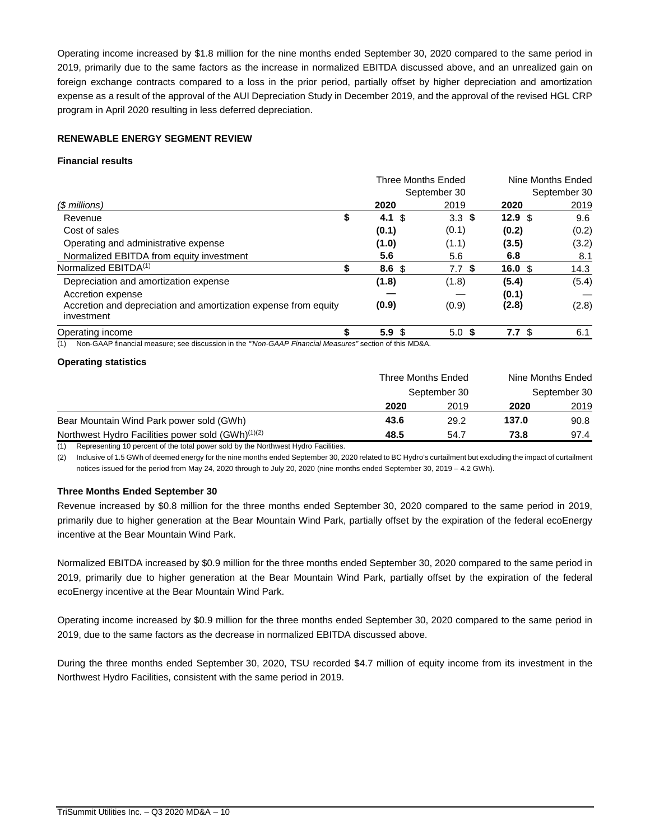Operating income increased by \$1.8 million for the nine months ended September 30, 2020 compared to the same period in 2019, primarily due to the same factors as the increase in normalized EBITDA discussed above, and an unrealized gain on foreign exchange contracts compared to a loss in the prior period, partially offset by higher depreciation and amortization expense as a result of the approval of the AUI Depreciation Study in December 2019, and the approval of the revised HGL CRP program in April 2020 resulting in less deferred depreciation.

# **RENEWABLE ENERGY SEGMENT REVIEW**

## **Financial results**

|                                                                                                              |    |                  | <b>Three Months Ended</b> | Nine Months Ended  |              |  |
|--------------------------------------------------------------------------------------------------------------|----|------------------|---------------------------|--------------------|--------------|--|
|                                                                                                              |    |                  | September 30              |                    | September 30 |  |
| $$$ millions)                                                                                                |    | 2020             | 2019                      | 2020               | 2019         |  |
| Revenue                                                                                                      | \$ | 4.1 $$$          | 3.3 <sup>5</sup>          | 12.9 $$$           | 9.6          |  |
| Cost of sales                                                                                                |    | (0.1)            | (0.1)                     | (0.2)              | (0.2)        |  |
| Operating and administrative expense                                                                         |    | (1.0)            | (1.1)                     | (3.5)              | (3.2)        |  |
| Normalized EBITDA from equity investment                                                                     |    | 5.6              | 5.6                       | 6.8                | 8.1          |  |
| Normalized EBITDA <sup>(1)</sup>                                                                             | \$ | 8.6 <sup>5</sup> | 7.7 \$                    | $16.0 \text{ }$ \$ | 14.3         |  |
| Depreciation and amortization expense                                                                        |    | (1.8)            | (1.8)                     | (5.4)              | (5.4)        |  |
| Accretion expense                                                                                            |    |                  |                           | (0.1)              |              |  |
| Accretion and depreciation and amortization expense from equity<br>investment                                |    | (0.9)            | (0.9)                     | (2.8)              | (2.8)        |  |
| Operating income                                                                                             |    | 5.9 <sub>5</sub> | 5.0 <sup>5</sup>          | 7.7 <sup>°</sup>   | 6.1          |  |
| Non-GAAP financial measure; see discussion in the "Non-GAAP Financial Measures" section of this MD&A.<br>(1) |    |                  |                           |                    |              |  |

# **Operating statistics**

|                                                               | Three Months Ended<br>September 30 |      | Nine Months Ended<br>September 30 |      |
|---------------------------------------------------------------|------------------------------------|------|-----------------------------------|------|
|                                                               |                                    |      |                                   |      |
|                                                               | 2020                               | 2019 | 2020                              | 2019 |
| Bear Mountain Wind Park power sold (GWh)                      | 43.6                               | 29.2 | 137.0                             | 90.8 |
| Northwest Hydro Facilities power sold (GWh) <sup>(1)(2)</sup> | 48.5                               | 54.7 | 73.8                              | 97.4 |

(1) Representing 10 percent of the total power sold by the Northwest Hydro Facilities.

(2) Inclusive of 1.5 GWh of deemed energy for the nine months ended September 30, 2020 related to BC Hydro's curtailment but excluding the impact of curtailment notices issued for the period from May 24, 2020 through to July 20, 2020 (nine months ended September 30, 2019 – 4.2 GWh).

# **Three Months Ended September 30**

Revenue increased by \$0.8 million for the three months ended September 30, 2020 compared to the same period in 2019, primarily due to higher generation at the Bear Mountain Wind Park, partially offset by the expiration of the federal ecoEnergy incentive at the Bear Mountain Wind Park.

Normalized EBITDA increased by \$0.9 million for the three months ended September 30, 2020 compared to the same period in 2019, primarily due to higher generation at the Bear Mountain Wind Park, partially offset by the expiration of the federal ecoEnergy incentive at the Bear Mountain Wind Park.

Operating income increased by \$0.9 million for the three months ended September 30, 2020 compared to the same period in 2019, due to the same factors as the decrease in normalized EBITDA discussed above.

During the three months ended September 30, 2020, TSU recorded \$4.7 million of equity income from its investment in the Northwest Hydro Facilities, consistent with the same period in 2019.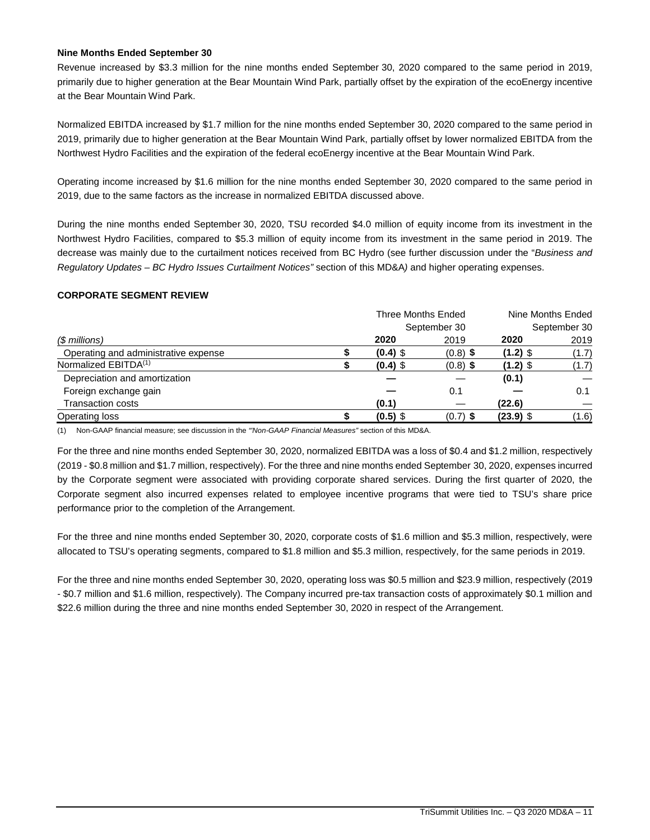### **Nine Months Ended September 30**

Revenue increased by \$3.3 million for the nine months ended September 30, 2020 compared to the same period in 2019, primarily due to higher generation at the Bear Mountain Wind Park, partially offset by the expiration of the ecoEnergy incentive at the Bear Mountain Wind Park.

Normalized EBITDA increased by \$1.7 million for the nine months ended September 30, 2020 compared to the same period in 2019, primarily due to higher generation at the Bear Mountain Wind Park, partially offset by lower normalized EBITDA from the Northwest Hydro Facilities and the expiration of the federal ecoEnergy incentive at the Bear Mountain Wind Park.

Operating income increased by \$1.6 million for the nine months ended September 30, 2020 compared to the same period in 2019, due to the same factors as the increase in normalized EBITDA discussed above.

During the nine months ended September 30, 2020, TSU recorded \$4.0 million of equity income from its investment in the Northwest Hydro Facilities, compared to \$5.3 million of equity income from its investment in the same period in 2019. The decrease was mainly due to the curtailment notices received from BC Hydro (see further discussion under the "*Business and Regulatory Updates – BC Hydro Issues Curtailment Notices"* section of this MD&A*)* and higher operating expenses.

#### **CORPORATE SEGMENT REVIEW**

|                                      | Three Months Ended |            |              | Nine Months Ended |              |
|--------------------------------------|--------------------|------------|--------------|-------------------|--------------|
|                                      |                    |            | September 30 |                   | September 30 |
| (\$ millions)                        |                    | 2020       | 2019         | 2020              | 2019         |
| Operating and administrative expense |                    | $(0.4)$ \$ | $(0.8)$ \$   | $(1.2)$ \$        | (1.7)        |
| Normalized EBITDA <sup>(1)</sup>     |                    | $(0.4)$ \$ | $(0.8)$ \$   | (1.2) \$          | (1.7)        |
| Depreciation and amortization        |                    |            |              | (0.1)             |              |
| Foreign exchange gain                |                    |            | 0.1          |                   | 0.1          |
| <b>Transaction costs</b>             |                    | (0.1)      |              | (22.6)            |              |
| Operating loss                       |                    | $(0.5)$ \$ | $(0.7)$ \$   | $(23.9)$ \$       | (1.6)        |

(1) Non-GAAP financial measure; see discussion in the *"'Non-GAAP Financial Measures"* section of this MD&A.

For the three and nine months ended September 30, 2020, normalized EBITDA was a loss of \$0.4 and \$1.2 million, respectively (2019 - \$0.8 million and \$1.7 million, respectively). For the three and nine months ended September 30, 2020, expenses incurred by the Corporate segment were associated with providing corporate shared services. During the first quarter of 2020, the Corporate segment also incurred expenses related to employee incentive programs that were tied to TSU's share price performance prior to the completion of the Arrangement.

For the three and nine months ended September 30, 2020, corporate costs of \$1.6 million and \$5.3 million, respectively, were allocated to TSU's operating segments, compared to \$1.8 million and \$5.3 million, respectively, for the same periods in 2019.

For the three and nine months ended September 30, 2020, operating loss was \$0.5 million and \$23.9 million, respectively (2019 - \$0.7 million and \$1.6 million, respectively). The Company incurred pre-tax transaction costs of approximately \$0.1 million and \$22.6 million during the three and nine months ended September 30, 2020 in respect of the Arrangement.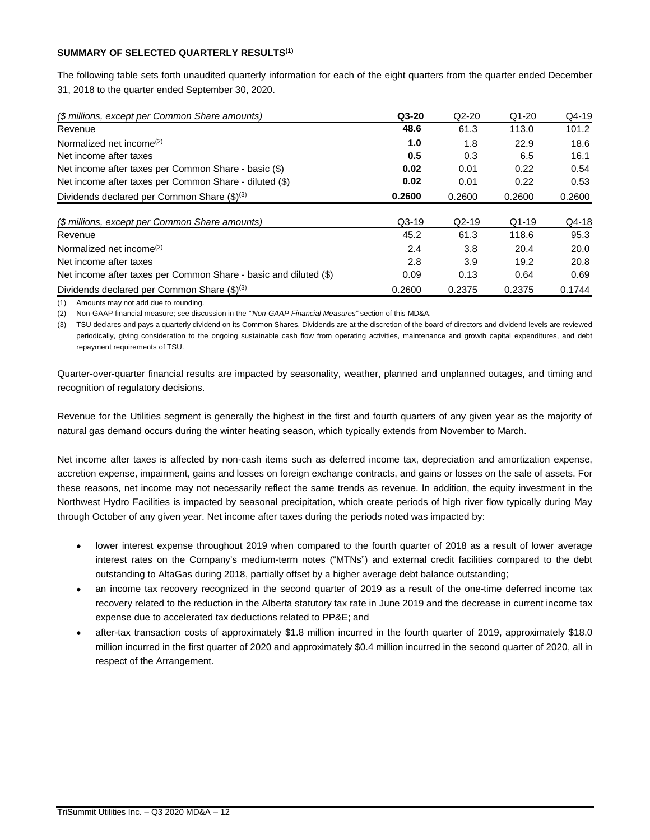# **SUMMARY OF SELECTED QUARTERLY RESULTS(1)**

The following table sets forth unaudited quarterly information for each of the eight quarters from the quarter ended December 31, 2018 to the quarter ended September 30, 2020.

| (\$ millions, except per Common Share amounts)                   | $Q3-20$ | $Q2-20$ | $Q1-20$ | $Q4-19$ |
|------------------------------------------------------------------|---------|---------|---------|---------|
| Revenue                                                          | 48.6    | 61.3    | 113.0   | 101.2   |
| Normalized net income <sup>(2)</sup>                             | 1.0     | 1.8     | 22.9    | 18.6    |
| Net income after taxes                                           | 0.5     | 0.3     | 6.5     | 16.1    |
| Net income after taxes per Common Share - basic (\$)             | 0.02    | 0.01    | 0.22    | 0.54    |
| Net income after taxes per Common Share - diluted (\$)           | 0.02    | 0.01    | 0.22    | 0.53    |
| Dividends declared per Common Share (\$) <sup>(3)</sup>          | 0.2600  | 0.2600  | 0.2600  | 0.2600  |
|                                                                  |         |         |         |         |
| (\$ millions, except per Common Share amounts)                   | $Q3-19$ | $Q2-19$ | $Q1-19$ | Q4-18   |
| Revenue                                                          | 45.2    | 61.3    | 118.6   | 95.3    |
| Normalized net income <sup>(2)</sup>                             | 2.4     | 3.8     | 20.4    | 20.0    |
| Net income after taxes                                           | 2.8     | 3.9     | 19.2    | 20.8    |
| Net income after taxes per Common Share - basic and diluted (\$) | 0.09    | 0.13    | 0.64    | 0.69    |
| Dividends declared per Common Share (\$) <sup>(3)</sup>          | 0.2600  | 0.2375  | 0.2375  | 0.1744  |

(1) Amounts may not add due to rounding.

(2) Non-GAAP financial measure; see discussion in the *"'Non-GAAP Financial Measures"* section of this MD&A.

(3) TSU declares and pays a quarterly dividend on its Common Shares. Dividends are at the discretion of the board of directors and dividend levels are reviewed periodically, giving consideration to the ongoing sustainable cash flow from operating activities, maintenance and growth capital expenditures, and debt repayment requirements of TSU.

Quarter-over-quarter financial results are impacted by seasonality, weather, planned and unplanned outages, and timing and recognition of regulatory decisions.

Revenue for the Utilities segment is generally the highest in the first and fourth quarters of any given year as the majority of natural gas demand occurs during the winter heating season, which typically extends from November to March.

Net income after taxes is affected by non-cash items such as deferred income tax, depreciation and amortization expense, accretion expense, impairment, gains and losses on foreign exchange contracts, and gains or losses on the sale of assets. For these reasons, net income may not necessarily reflect the same trends as revenue. In addition, the equity investment in the Northwest Hydro Facilities is impacted by seasonal precipitation, which create periods of high river flow typically during May through October of any given year. Net income after taxes during the periods noted was impacted by:

- lower interest expense throughout 2019 when compared to the fourth quarter of 2018 as a result of lower average interest rates on the Company's medium-term notes ("MTNs") and external credit facilities compared to the debt outstanding to AltaGas during 2018, partially offset by a higher average debt balance outstanding;
- an income tax recovery recognized in the second quarter of 2019 as a result of the one-time deferred income tax recovery related to the reduction in the Alberta statutory tax rate in June 2019 and the decrease in current income tax expense due to accelerated tax deductions related to PP&E; and
- · after-tax transaction costs of approximately \$1.8 million incurred in the fourth quarter of 2019, approximately \$18.0 million incurred in the first quarter of 2020 and approximately \$0.4 million incurred in the second quarter of 2020, all in respect of the Arrangement.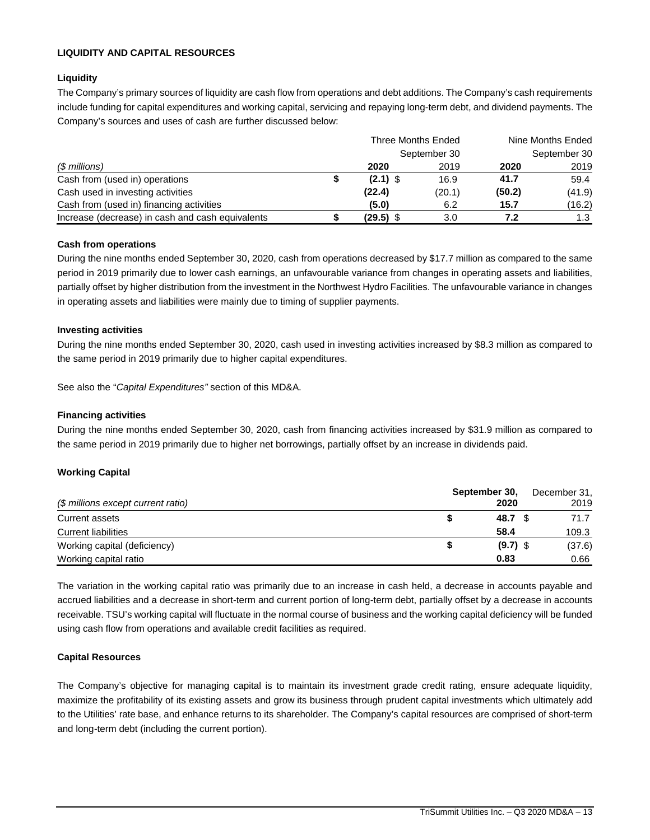# **LIQUIDITY AND CAPITAL RESOURCES**

# **Liquidity**

The Company's primary sources of liquidity are cash flow from operations and debt additions. The Company's cash requirements include funding for capital expenditures and working capital, servicing and repaying long-term debt, and dividend payments. The Company's sources and uses of cash are further discussed below:

|                                                  | Three Months Ended |              | Nine Months Ended |              |
|--------------------------------------------------|--------------------|--------------|-------------------|--------------|
|                                                  |                    | September 30 |                   | September 30 |
| (\$ millions)                                    | 2020               | 2019         | 2020              | 2019         |
| Cash from (used in) operations                   | $(2.1)$ \$         | 16.9         | 41.7              | 59.4         |
| Cash used in investing activities                | (22.4)             | (20.1)       | (50.2)            | (41.9)       |
| Cash from (used in) financing activities         | (5.0)              | 6.2          | 15.7              | (16.2)       |
| Increase (decrease) in cash and cash equivalents | $(29.5)$ \$        | 3.0          | 7.2               | 1.3          |

#### **Cash from operations**

During the nine months ended September 30, 2020, cash from operations decreased by \$17.7 million as compared to the same period in 2019 primarily due to lower cash earnings, an unfavourable variance from changes in operating assets and liabilities, partially offset by higher distribution from the investment in the Northwest Hydro Facilities. The unfavourable variance in changes in operating assets and liabilities were mainly due to timing of supplier payments.

#### **Investing activities**

During the nine months ended September 30, 2020, cash used in investing activities increased by \$8.3 million as compared to the same period in 2019 primarily due to higher capital expenditures.

See also the "*Capital Expenditures"* section of this MD&A.

#### **Financing activities**

During the nine months ended September 30, 2020, cash from financing activities increased by \$31.9 million as compared to the same period in 2019 primarily due to higher net borrowings, partially offset by an increase in dividends paid.

# **Working Capital**

|                                    | September 30, | December 31, |  |  |
|------------------------------------|---------------|--------------|--|--|
| (\$ millions except current ratio) | 2020          | 2019         |  |  |
| Current assets                     | 48.7          | 71.7         |  |  |
| <b>Current liabilities</b>         | 58.4          | 109.3        |  |  |
| Working capital (deficiency)       | $(9.7)$ \$    | (37.6)       |  |  |
| Working capital ratio              | 0.83          | 0.66         |  |  |

The variation in the working capital ratio was primarily due to an increase in cash held, a decrease in accounts payable and accrued liabilities and a decrease in short-term and current portion of long-term debt, partially offset by a decrease in accounts receivable. TSU's working capital will fluctuate in the normal course of business and the working capital deficiency will be funded using cash flow from operations and available credit facilities as required.

#### **Capital Resources**

The Company's objective for managing capital is to maintain its investment grade credit rating, ensure adequate liquidity, maximize the profitability of its existing assets and grow its business through prudent capital investments which ultimately add to the Utilities' rate base, and enhance returns to its shareholder. The Company's capital resources are comprised of short-term and long-term debt (including the current portion).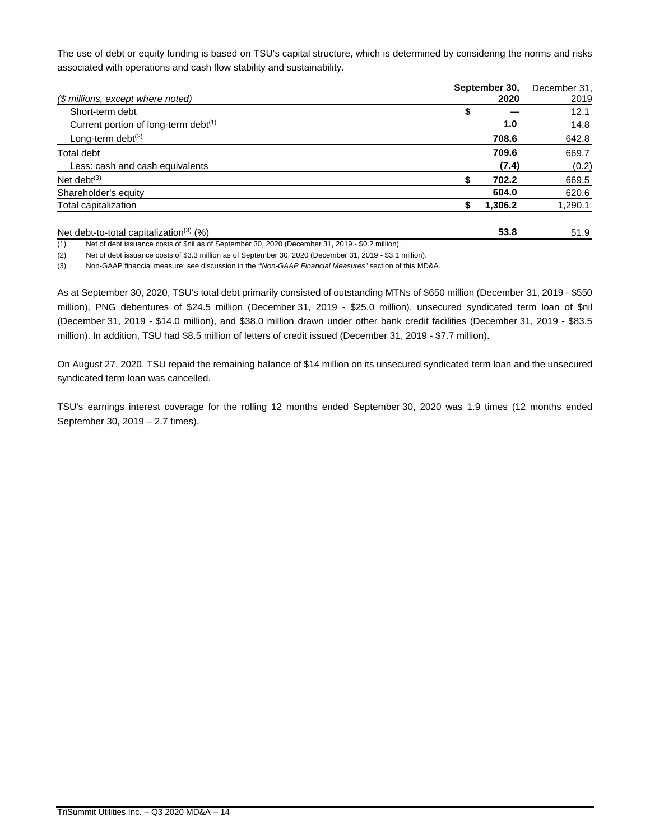The use of debt or equity funding is based on TSU's capital structure, which is determined by considering the norms and risks associated with operations and cash flow stability and sustainability.

|                                                     | September 30, | December 31, |
|-----------------------------------------------------|---------------|--------------|
| (\$ millions, except where noted)                   | 2020          | 2019         |
| Short-term debt                                     | \$            | 12.1         |
| Current portion of long-term debt <sup>(1)</sup>    | 1.0           | 14.8         |
| Long-term debt $(2)$                                | 708.6         | 642.8        |
| Total debt                                          | 709.6         | 669.7        |
| Less: cash and cash equivalents                     | (7.4)         | (0.2)        |
| Net debt $(3)$                                      | 702.2         | 669.5        |
| Shareholder's equity                                | 604.0         | 620.6        |
| Total capitalization                                | 1,306.2       | 1,290.1      |
| Net debt-to-total capitalization <sup>(3)</sup> (%) | 53.8          | 51.9         |

(1) Net of debt issuance costs of \$nil as of September 30, 2020 (December 31, 2019 - \$0.2 million).

(2) Net of debt issuance costs of \$3.3 million as of September 30, 2020 (December 31, 2019 - \$3.1 million).

(3) Non-GAAP financial measure; see discussion in the *"'Non-GAAP Financial Measures"* section of this MD&A.

As at September 30, 2020, TSU's total debt primarily consisted of outstanding MTNs of \$650 million (December 31, 2019 - \$550 million), PNG debentures of \$24.5 million (December 31, 2019 - \$25.0 million), unsecured syndicated term loan of \$nil (December 31, 2019 - \$14.0 million), and \$38.0 million drawn under other bank credit facilities (December 31, 2019 - \$83.5 million). In addition, TSU had \$8.5 million of letters of credit issued (December 31, 2019 - \$7.7 million).

On August 27, 2020, TSU repaid the remaining balance of \$14 million on its unsecured syndicated term loan and the unsecured syndicated term loan was cancelled.

TSU's earnings interest coverage for the rolling 12 months ended September 30, 2020 was 1.9 times (12 months ended September 30, 2019 – 2.7 times).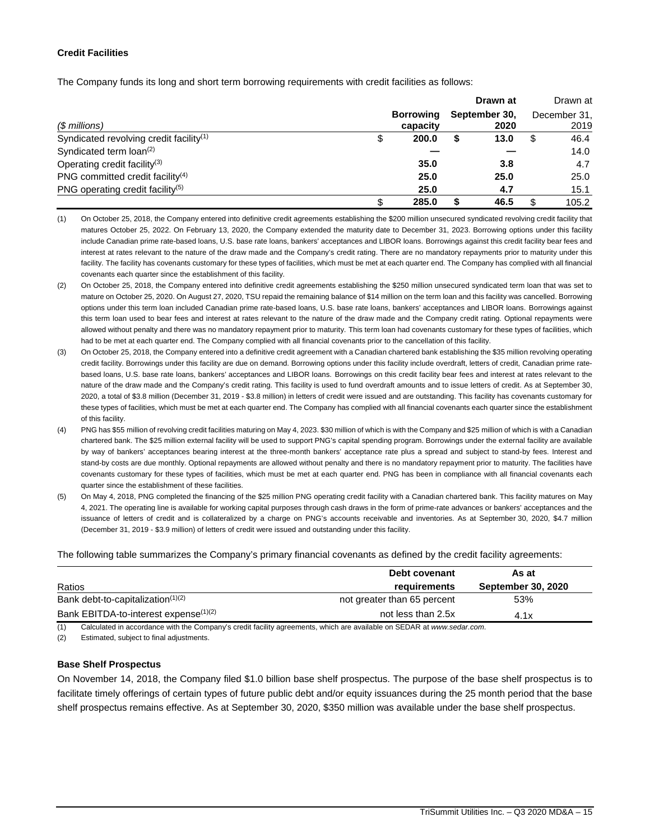### **Credit Facilities**

The Company funds its long and short term borrowing requirements with credit facilities as follows:

|                                                     |           | Drawn at      |   | Drawn at     |
|-----------------------------------------------------|-----------|---------------|---|--------------|
|                                                     | Borrowing | September 30, |   | December 31. |
| $$$ millions)                                       | capacity  | 2020          |   | 2019         |
| Syndicated revolving credit facility <sup>(1)</sup> | 200.0     | 13.0          | S | 46.4         |
| Syndicated term $\text{loan}^{(2)}$                 |           |               |   | 14.0         |
| Operating credit facility <sup>(3)</sup>            | 35.0      | 3.8           |   | 4.7          |
| PNG committed credit facility <sup>(4)</sup>        | 25.0      | 25.0          |   | 25.0         |
| PNG operating credit facility <sup>(5)</sup>        | 25.0      | 4.7           |   | 15.1         |
|                                                     | 285.0     | 46.5          |   | 105.2        |

<sup>(1)</sup> On October 25, 2018, the Company entered into definitive credit agreements establishing the \$200 million unsecured syndicated revolving credit facility that matures October 25, 2022. On February 13, 2020, the Company extended the maturity date to December 31, 2023. Borrowing options under this facility include Canadian prime rate-based loans, U.S. base rate loans, bankers' acceptances and LIBOR loans. Borrowings against this credit facility bear fees and interest at rates relevant to the nature of the draw made and the Company's credit rating. There are no mandatory repayments prior to maturity under this facility. The facility has covenants customary for these types of facilities, which must be met at each quarter end. The Company has complied with all financial covenants each quarter since the establishment of this facility.

- (2) On October 25, 2018, the Company entered into definitive credit agreements establishing the \$250 million unsecured syndicated term loan that was set to mature on October 25, 2020. On August 27, 2020, TSU repaid the remaining balance of \$14 million on the term loan and this facility was cancelled. Borrowing options under this term loan included Canadian prime rate-based loans, U.S. base rate loans, bankers' acceptances and LIBOR loans. Borrowings against this term loan used to bear fees and interest at rates relevant to the nature of the draw made and the Company credit rating. Optional repayments were allowed without penalty and there was no mandatory repayment prior to maturity. This term loan had covenants customary for these types of facilities, which had to be met at each quarter end. The Company complied with all financial covenants prior to the cancellation of this facility.
- (3) On October 25, 2018, the Company entered into a definitive credit agreement with a Canadian chartered bank establishing the \$35 million revolving operating credit facility. Borrowings under this facility are due on demand. Borrowing options under this facility include overdraft, letters of credit, Canadian prime ratebased loans, U.S. base rate loans, bankers' acceptances and LIBOR loans. Borrowings on this credit facility bear fees and interest at rates relevant to the nature of the draw made and the Company's credit rating. This facility is used to fund overdraft amounts and to issue letters of credit. As at September 30, 2020, a total of \$3.8 million (December 31, 2019 - \$3.8 million) in letters of credit were issued and are outstanding. This facility has covenants customary for these types of facilities, which must be met at each quarter end. The Company has complied with all financial covenants each quarter since the establishment of this facility.
- (4) PNG has \$55 million of revolving credit facilities maturing on May 4, 2023. \$30 million of which is with the Company and \$25 million of which is with a Canadian chartered bank. The \$25 million external facility will be used to support PNG's capital spending program. Borrowings under the external facility are available by way of bankers' acceptances bearing interest at the three-month bankers' acceptance rate plus a spread and subject to stand-by fees. Interest and stand-by costs are due monthly. Optional repayments are allowed without penalty and there is no mandatory repayment prior to maturity. The facilities have covenants customary for these types of facilities, which must be met at each quarter end. PNG has been in compliance with all financial covenants each quarter since the establishment of these facilities.
- (5) On May 4, 2018, PNG completed the financing of the \$25 million PNG operating credit facility with a Canadian chartered bank. This facility matures on May 4, 2021. The operating line is available for working capital purposes through cash draws in the form of prime-rate advances or bankers' acceptances and the issuance of letters of credit and is collateralized by a charge on PNG's accounts receivable and inventories. As at September 30, 2020, \$4.7 million (December 31, 2019 - \$3.9 million) of letters of credit were issued and outstanding under this facility.

The following table summarizes the Company's primary financial covenants as defined by the credit facility agreements:

|                                                   | Debt covenant               | As at                     |
|---------------------------------------------------|-----------------------------|---------------------------|
| Ratios                                            | requirements                | <b>September 30, 2020</b> |
| Bank debt-to-capitalization $(1)(2)$              | not greater than 65 percent | 53%                       |
| Bank EBITDA-to-interest expense <sup>(1)(2)</sup> | not less than 2.5x          | 4.1x                      |

(1) Calculated in accordance with the Company's credit facility agreements, which are available on SEDAR at *www.sedar.com*.

(2) Estimated, subject to final adjustments.

#### **Base Shelf Prospectus**

On November 14, 2018, the Company filed \$1.0 billion base shelf prospectus. The purpose of the base shelf prospectus is to facilitate timely offerings of certain types of future public debt and/or equity issuances during the 25 month period that the base shelf prospectus remains effective. As at September 30, 2020, \$350 million was available under the base shelf prospectus.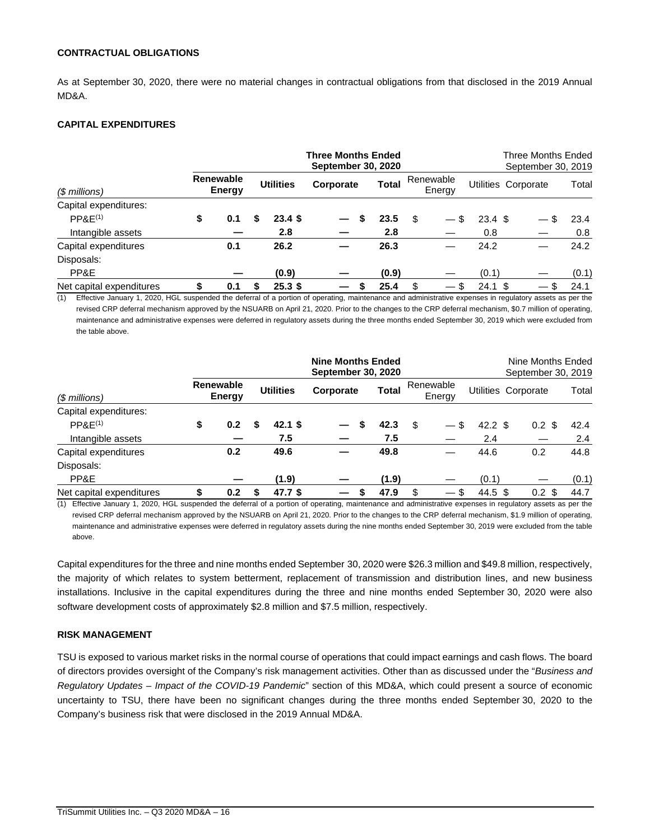#### **CONTRACTUAL OBLIGATIONS**

As at September 30, 2020, there were no material changes in contractual obligations from that disclosed in the 2019 Annual MD&A.

# **CAPITAL EXPENDITURES**

|                                                                                                                                                                 |    |                     |                   | <b>Three Months Ended</b><br><b>September 30, 2020</b> |    |              |    |                     |                    | Three Months Ended<br>September 30, 2019 |       |
|-----------------------------------------------------------------------------------------------------------------------------------------------------------------|----|---------------------|-------------------|--------------------------------------------------------|----|--------------|----|---------------------|--------------------|------------------------------------------|-------|
| $$$ millions)                                                                                                                                                   |    | Renewable<br>Energy | <b>Utilities</b>  | Corporate                                              |    | <b>Total</b> |    | Renewable<br>Energy |                    | Utilities Corporate                      | Total |
| Capital expenditures:                                                                                                                                           |    |                     |                   |                                                        |    |              |    |                     |                    |                                          |       |
| PPAE <sup>(1)</sup>                                                                                                                                             | \$ | 0.1                 | 23.4S             |                                                        | S  | 23.5         | S  |                     | 23.4 <sup>5</sup>  |                                          | 23.4  |
| Intangible assets                                                                                                                                               |    |                     | 2.8               |                                                        |    | 2.8          |    |                     | 0.8                |                                          | 0.8   |
| Capital expenditures                                                                                                                                            |    | 0.1                 | 26.2              |                                                        |    | 26.3         |    |                     | 24.2               |                                          | 24.2  |
| Disposals:                                                                                                                                                      |    |                     |                   |                                                        |    |              |    |                     |                    |                                          |       |
| PP&E                                                                                                                                                            |    |                     | (0.9)             |                                                        |    | (0.9)        |    |                     | (0.1)              |                                          | (0.1) |
| Net capital expenditures                                                                                                                                        | S  | 0.1                 | 25.3 <sup>5</sup> |                                                        | \$ | 25.4         | \$ | \$                  | $24.1 \text{ }$ \$ | -S                                       | 24.1  |
| (1)<br>Effective January 1, 2020, HGL suspended the deferral of a portion of operating, maintenance and administrative expenses in regulatory assets as per the |    |                     |                   |                                                        |    |              |    |                     |                    |                                          |       |

revised CRP deferral mechanism approved by the NSUARB on April 21, 2020. Prior to the changes to the CRP deferral mechanism, \$0.7 million of operating, maintenance and administrative expenses were deferred in regulatory assets during the three months ended September 30, 2019 which were excluded from the table above.

|                                                                                                                                                              |   |                            |   |                   | <b>Nine Months Ended</b><br><b>September 30, 2020</b> |              |                     |                   | Nine Months Ended<br>September 30, 2019 |       |
|--------------------------------------------------------------------------------------------------------------------------------------------------------------|---|----------------------------|---|-------------------|-------------------------------------------------------|--------------|---------------------|-------------------|-----------------------------------------|-------|
| $$$ millions)                                                                                                                                                |   | <b>Renewable</b><br>Energy |   | <b>Utilities</b>  | Corporate                                             | <b>Total</b> | Renewable<br>Energy |                   | Utilities Corporate                     | Total |
| Capital expenditures:                                                                                                                                        |   |                            |   |                   |                                                       |              |                     |                   |                                         |       |
| PPAE <sup>(1)</sup>                                                                                                                                          | S | 0.2                        |   | 42.1 \$           |                                                       | 42.3         | \$                  | $42.2 \text{ } $$ | $0.2 \text{ }$ \$                       | 42.4  |
| Intangible assets                                                                                                                                            |   |                            |   | 7.5               |                                                       | 7.5          |                     | 2.4               |                                         | 2.4   |
| Capital expenditures                                                                                                                                         |   | 0.2                        |   | 49.6              |                                                       | 49.8         |                     | 44.6              | 0.2                                     | 44.8  |
| Disposals:                                                                                                                                                   |   |                            |   |                   |                                                       |              |                     |                   |                                         |       |
| PP&E                                                                                                                                                         |   |                            |   | (1.9)             |                                                       | (1.9)        |                     | (0.1)             |                                         | (0.1) |
| Net capital expenditures                                                                                                                                     |   | 0.2                        | S | 47.7 <sup>5</sup> |                                                       | \$<br>47.9   | \$                  | $44.5 \text{ } $$ | $0.2 \text{ } $$                        | 44.7  |
| (1) Effective January 1, 2020, HGL suspended the deferral of a portion of operating, maintenance and administrative expenses in regulatory assets as per the |   |                            |   |                   |                                                       |              |                     |                   |                                         |       |

revised CRP deferral mechanism approved by the NSUARB on April 21, 2020. Prior to the changes to the CRP deferral mechanism, \$1.9 million of operating, maintenance and administrative expenses were deferred in regulatory assets during the nine months ended September 30, 2019 were excluded from the table above.

Capital expenditures for the three and nine months ended September 30, 2020 were \$26.3 million and \$49.8 million, respectively, the majority of which relates to system betterment, replacement of transmission and distribution lines, and new business installations. Inclusive in the capital expenditures during the three and nine months ended September 30, 2020 were also software development costs of approximately \$2.8 million and \$7.5 million, respectively.

# **RISK MANAGEMENT**

TSU is exposed to various market risks in the normal course of operations that could impact earnings and cash flows. The board of directors provides oversight of the Company's risk management activities. Other than as discussed under the "*Business and Regulatory Updates – Impact of the COVID-19 Pandemic*" section of this MD&A, which could present a source of economic uncertainty to TSU, there have been no significant changes during the three months ended September 30, 2020 to the Company's business risk that were disclosed in the 2019 Annual MD&A.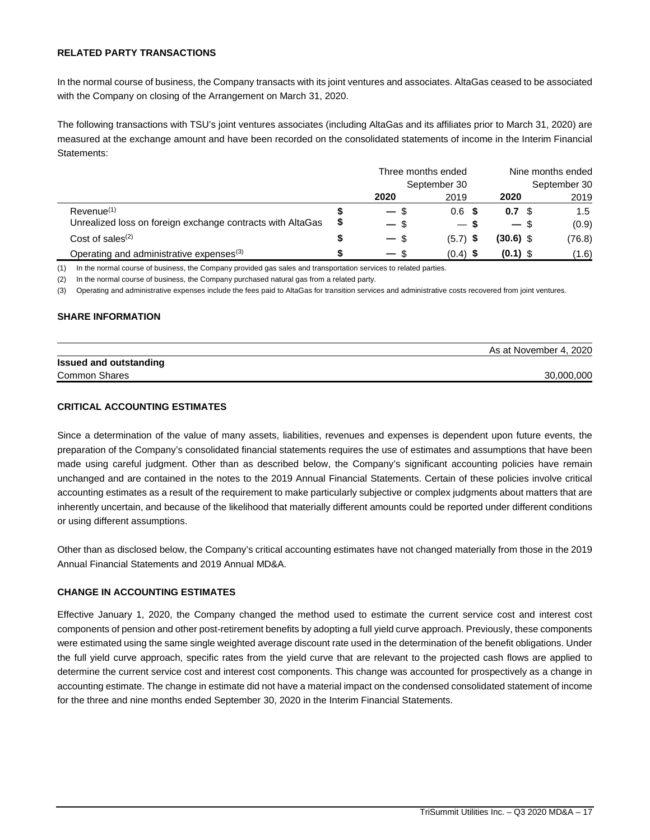#### **RELATED PARTY TRANSACTIONS**

In the normal course of business, the Company transacts with its joint ventures and associates. AltaGas ceased to be associated with the Company on closing of the Arrangement on March 31, 2020.

The following transactions with TSU's joint ventures associates (including AltaGas and its affiliates prior to March 31, 2020) are measured at the exchange amount and have been recorded on the consolidated statements of income in the Interim Financial Statements:

|                                                            | Three months ended |              | Nine months ended |               |  |  |
|------------------------------------------------------------|--------------------|--------------|-------------------|---------------|--|--|
|                                                            |                    | September 30 |                   | September 30  |  |  |
|                                                            | 2020               | 2019         | 2020              | 2019          |  |  |
| Revenue <sup>(1)</sup>                                     | $-$ \$             | $0.6$ \$     | 0.7 <sup>5</sup>  | $1.5^{\circ}$ |  |  |
| Unrealized loss on foreign exchange contracts with AltaGas | $-$ \$             | $-s$         | $-$ \$            | (0.9)         |  |  |
| Cost of sales $(2)$                                        | $-$ \$             | $(5.7)$ \$   | $(30.6)$ \$       | (76.8)        |  |  |
| Operating and administrative expenses <sup>(3)</sup>       | $-$ \$             | $(0.4)$ \$   | $(0.1)$ \$        | (1.6)         |  |  |

(1) In the normal course of business, the Company provided gas sales and transportation services to related parties.

(2) In the normal course of business, the Company purchased natural gas from a related party.

(3) Operating and administrative expenses include the fees paid to AltaGas for transition services and administrative costs recovered from joint ventures*.*

#### **SHARE INFORMATION**

|                               | As at November 4, 2020 |
|-------------------------------|------------------------|
| <b>Issued and outstanding</b> |                        |
| <b>Common Shares</b>          | 30.000.000             |

#### **CRITICAL ACCOUNTING ESTIMATES**

Since a determination of the value of many assets, liabilities, revenues and expenses is dependent upon future events, the preparation of the Company's consolidated financial statements requires the use of estimates and assumptions that have been made using careful judgment. Other than as described below, the Company's significant accounting policies have remain unchanged and are contained in the notes to the 2019 Annual Financial Statements. Certain of these policies involve critical accounting estimates as a result of the requirement to make particularly subjective or complex judgments about matters that are inherently uncertain, and because of the likelihood that materially different amounts could be reported under different conditions or using different assumptions.

Other than as disclosed below, the Company's critical accounting estimates have not changed materially from those in the 2019 Annual Financial Statements and 2019 Annual MD&A.

# **CHANGE IN ACCOUNTING ESTIMATES**

Effective January 1, 2020, the Company changed the method used to estimate the current service cost and interest cost components of pension and other post-retirement benefits by adopting a full yield curve approach. Previously, these components were estimated using the same single weighted average discount rate used in the determination of the benefit obligations. Under the full yield curve approach, specific rates from the yield curve that are relevant to the projected cash flows are applied to determine the current service cost and interest cost components. This change was accounted for prospectively as a change in accounting estimate. The change in estimate did not have a material impact on the condensed consolidated statement of income for the three and nine months ended September 30, 2020 in the Interim Financial Statements.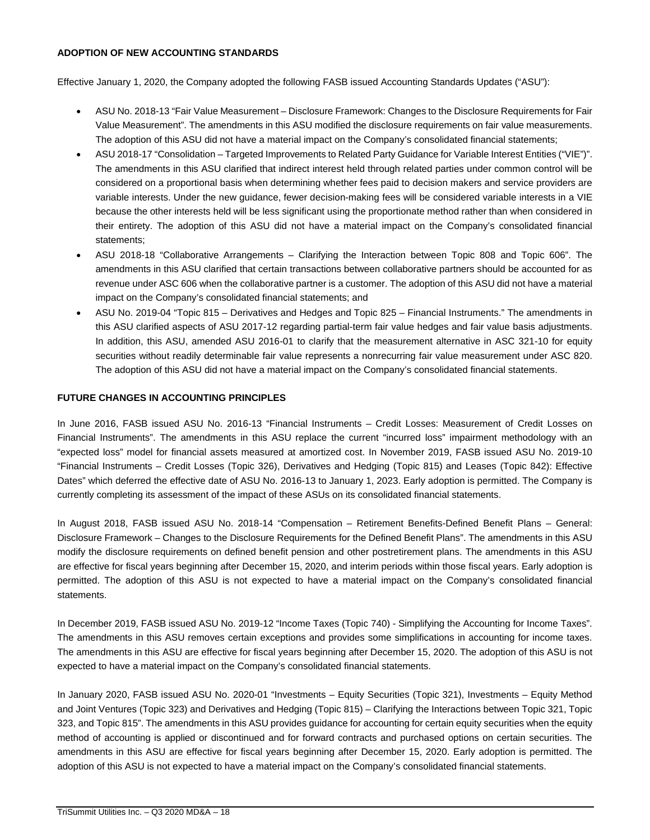### **ADOPTION OF NEW ACCOUNTING STANDARDS**

Effective January 1, 2020, the Company adopted the following FASB issued Accounting Standards Updates ("ASU"):

- ASU No. 2018-13 "Fair Value Measurement Disclosure Framework: Changes to the Disclosure Requirements for Fair Value Measurement". The amendments in this ASU modified the disclosure requirements on fair value measurements. The adoption of this ASU did not have a material impact on the Company's consolidated financial statements;
- · ASU 2018-17 "Consolidation Targeted Improvements to Related Party Guidance for Variable Interest Entities ("VIE")". The amendments in this ASU clarified that indirect interest held through related parties under common control will be considered on a proportional basis when determining whether fees paid to decision makers and service providers are variable interests. Under the new guidance, fewer decision-making fees will be considered variable interests in a VIE because the other interests held will be less significant using the proportionate method rather than when considered in their entirety. The adoption of this ASU did not have a material impact on the Company's consolidated financial statements;
- · ASU 2018-18 "Collaborative Arrangements Clarifying the Interaction between Topic 808 and Topic 606". The amendments in this ASU clarified that certain transactions between collaborative partners should be accounted for as revenue under ASC 606 when the collaborative partner is a customer. The adoption of this ASU did not have a material impact on the Company's consolidated financial statements; and
- · ASU No. 2019-04 "Topic 815 Derivatives and Hedges and Topic 825 Financial Instruments." The amendments in this ASU clarified aspects of ASU 2017-12 regarding partial-term fair value hedges and fair value basis adjustments. In addition, this ASU, amended ASU 2016-01 to clarify that the measurement alternative in ASC 321-10 for equity securities without readily determinable fair value represents a nonrecurring fair value measurement under ASC 820. The adoption of this ASU did not have a material impact on the Company's consolidated financial statements.

# **FUTURE CHANGES IN ACCOUNTING PRINCIPLES**

In June 2016, FASB issued ASU No. 2016-13 "Financial Instruments – Credit Losses: Measurement of Credit Losses on Financial Instruments". The amendments in this ASU replace the current "incurred loss" impairment methodology with an "expected loss" model for financial assets measured at amortized cost. In November 2019, FASB issued ASU No. 2019-10 "Financial Instruments – Credit Losses (Topic 326), Derivatives and Hedging (Topic 815) and Leases (Topic 842): Effective Dates" which deferred the effective date of ASU No. 2016-13 to January 1, 2023. Early adoption is permitted. The Company is currently completing its assessment of the impact of these ASUs on its consolidated financial statements.

In August 2018, FASB issued ASU No. 2018-14 "Compensation – Retirement Benefits-Defined Benefit Plans – General: Disclosure Framework – Changes to the Disclosure Requirements for the Defined Benefit Plans". The amendments in this ASU modify the disclosure requirements on defined benefit pension and other postretirement plans. The amendments in this ASU are effective for fiscal years beginning after December 15, 2020, and interim periods within those fiscal years. Early adoption is permitted. The adoption of this ASU is not expected to have a material impact on the Company's consolidated financial statements.

In December 2019, FASB issued ASU No. 2019-12 "Income Taxes (Topic 740) - Simplifying the Accounting for Income Taxes". The amendments in this ASU removes certain exceptions and provides some simplifications in accounting for income taxes. The amendments in this ASU are effective for fiscal years beginning after December 15, 2020. The adoption of this ASU is not expected to have a material impact on the Company's consolidated financial statements.

In January 2020, FASB issued ASU No. 2020-01 "Investments – Equity Securities (Topic 321), Investments – Equity Method and Joint Ventures (Topic 323) and Derivatives and Hedging (Topic 815) – Clarifying the Interactions between Topic 321, Topic 323, and Topic 815". The amendments in this ASU provides guidance for accounting for certain equity securities when the equity method of accounting is applied or discontinued and for forward contracts and purchased options on certain securities. The amendments in this ASU are effective for fiscal years beginning after December 15, 2020. Early adoption is permitted. The adoption of this ASU is not expected to have a material impact on the Company's consolidated financial statements.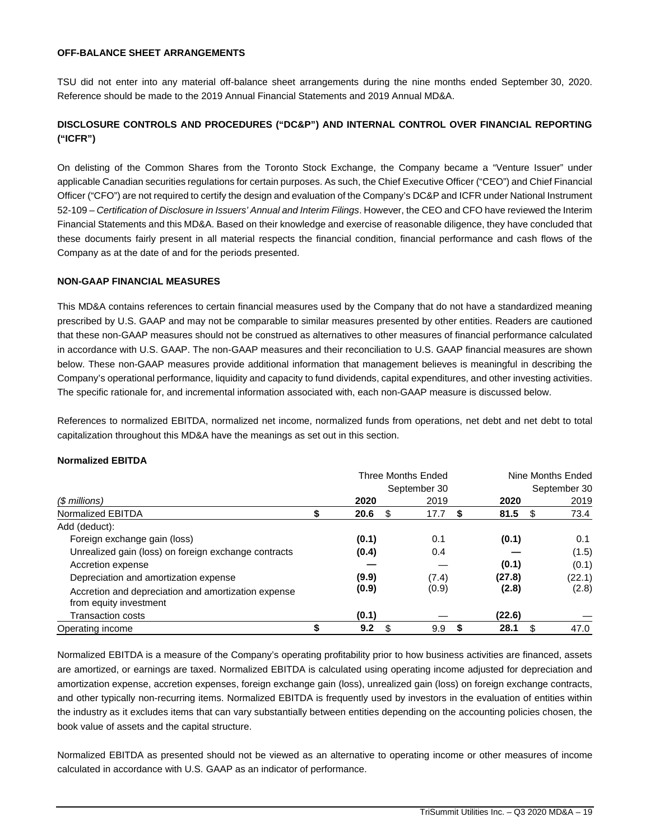#### **OFF-BALANCE SHEET ARRANGEMENTS**

TSU did not enter into any material off-balance sheet arrangements during the nine months ended September 30, 2020. Reference should be made to the 2019 Annual Financial Statements and 2019 Annual MD&A.

# **DISCLOSURE CONTROLS AND PROCEDURES ("DC&P") AND INTERNAL CONTROL OVER FINANCIAL REPORTING ("ICFR")**

On delisting of the Common Shares from the Toronto Stock Exchange, the Company became a "Venture Issuer" under applicable Canadian securities regulations for certain purposes. As such, the Chief Executive Officer ("CEO") and Chief Financial Officer ("CFO") are not required to certify the design and evaluation of the Company's DC&P and ICFR under National Instrument 52-109 – *Certification of Disclosure in Issuers' Annual and Interim Filings*. However, the CEO and CFO have reviewed the Interim Financial Statements and this MD&A. Based on their knowledge and exercise of reasonable diligence, they have concluded that these documents fairly present in all material respects the financial condition, financial performance and cash flows of the Company as at the date of and for the periods presented.

#### **NON-GAAP FINANCIAL MEASURES**

This MD&A contains references to certain financial measures used by the Company that do not have a standardized meaning prescribed by U.S. GAAP and may not be comparable to similar measures presented by other entities. Readers are cautioned that these non-GAAP measures should not be construed as alternatives to other measures of financial performance calculated in accordance with U.S. GAAP. The non-GAAP measures and their reconciliation to U.S. GAAP financial measures are shown below. These non-GAAP measures provide additional information that management believes is meaningful in describing the Company's operational performance, liquidity and capacity to fund dividends, capital expenditures, and other investing activities. The specific rationale for, and incremental information associated with, each non-GAAP measure is discussed below.

References to normalized EBITDA, normalized net income, normalized funds from operations, net debt and net debt to total capitalization throughout this MD&A have the meanings as set out in this section.

#### **Normalized EBITDA**

|                                                                               |            | <b>Three Months Ended</b> | Nine Months Ended |              |  |  |  |
|-------------------------------------------------------------------------------|------------|---------------------------|-------------------|--------------|--|--|--|
|                                                                               |            | September 30              |                   | September 30 |  |  |  |
| (\$ millions)                                                                 | 2020       | 2019                      | 2020              | 2019         |  |  |  |
| Normalized EBITDA                                                             | 20.6<br>\$ | 17.7                      | 81.5<br>S         | 73.4<br>S    |  |  |  |
| Add (deduct):                                                                 |            |                           |                   |              |  |  |  |
| Foreign exchange gain (loss)                                                  | (0.1)      | 0.1                       | (0.1)             | 0.1          |  |  |  |
| Unrealized gain (loss) on foreign exchange contracts                          | (0.4)      | 0.4                       |                   | (1.5)        |  |  |  |
| Accretion expense                                                             |            |                           | (0.1)             | (0.1)        |  |  |  |
| Depreciation and amortization expense                                         | (9.9)      | (7.4)                     | (27.8)            | (22.1)       |  |  |  |
| Accretion and depreciation and amortization expense<br>from equity investment | (0.9)      | (0.9)                     | (2.8)             | (2.8)        |  |  |  |
| <b>Transaction costs</b>                                                      | (0.1)      |                           | (22.6)            |              |  |  |  |
| Operating income                                                              | 9.2<br>S   | 9.9                       | 28.1<br>S         | 47.0<br>\$   |  |  |  |

Normalized EBITDA is a measure of the Company's operating profitability prior to how business activities are financed, assets are amortized, or earnings are taxed. Normalized EBITDA is calculated using operating income adjusted for depreciation and amortization expense, accretion expenses, foreign exchange gain (loss), unrealized gain (loss) on foreign exchange contracts, and other typically non-recurring items. Normalized EBITDA is frequently used by investors in the evaluation of entities within the industry as it excludes items that can vary substantially between entities depending on the accounting policies chosen, the book value of assets and the capital structure.

Normalized EBITDA as presented should not be viewed as an alternative to operating income or other measures of income calculated in accordance with U.S. GAAP as an indicator of performance.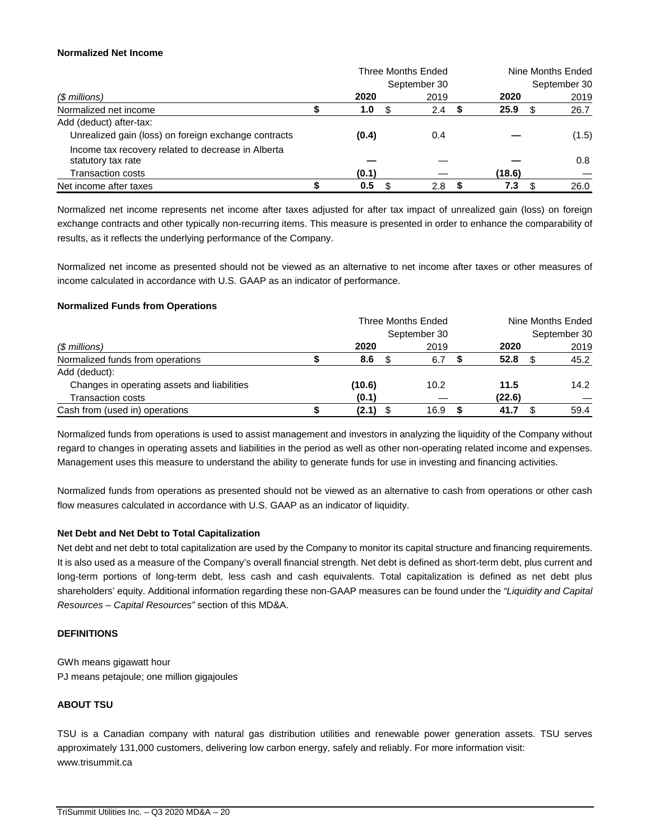#### **Normalized Net Income**

|                                                                          |       | Three Months Ended | Nine Months Ended |  |              |  |
|--------------------------------------------------------------------------|-------|--------------------|-------------------|--|--------------|--|
|                                                                          |       | September 30       |                   |  | September 30 |  |
| (\$ millions)                                                            | 2020  | 2019               | 2020              |  | 2019         |  |
| Normalized net income                                                    | 1.0   | 2.4                | 25.9              |  | 26.7         |  |
| Add (deduct) after-tax:                                                  |       |                    |                   |  |              |  |
| Unrealized gain (loss) on foreign exchange contracts                     | (0.4) | 0.4                |                   |  | (1.5)        |  |
| Income tax recovery related to decrease in Alberta<br>statutory tax rate |       |                    |                   |  | 0.8          |  |
| <b>Transaction costs</b>                                                 | (0.1) |                    | (18.6)            |  |              |  |
| Net income after taxes                                                   | 0.5   | 2.8                | 7.3               |  | 26.0         |  |

Normalized net income represents net income after taxes adjusted for after tax impact of unrealized gain (loss) on foreign exchange contracts and other typically non-recurring items. This measure is presented in order to enhance the comparability of results, as it reflects the underlying performance of the Company.

Normalized net income as presented should not be viewed as an alternative to net income after taxes or other measures of income calculated in accordance with U.S. GAAP as an indicator of performance.

#### **Normalized Funds from Operations**

|                                             | Three Months Ended |        |  |              |  | Nine Months Ended |  |              |  |
|---------------------------------------------|--------------------|--------|--|--------------|--|-------------------|--|--------------|--|
|                                             |                    |        |  | September 30 |  |                   |  | September 30 |  |
| $$$ millions)                               |                    | 2020   |  | 2019         |  | 2020              |  | 2019         |  |
| Normalized funds from operations            |                    | 8.6    |  | 6.7          |  | 52.8              |  | 45.2         |  |
| Add (deduct):                               |                    |        |  |              |  |                   |  |              |  |
| Changes in operating assets and liabilities |                    | (10.6) |  | 10.2         |  | 11.5              |  | 14.2         |  |
| <b>Transaction costs</b>                    |                    | (0.1)  |  |              |  | (22.6)            |  |              |  |
| Cash from (used in) operations              |                    | (2.1)  |  | 16.9         |  | 41.7              |  | 59.4         |  |

Normalized funds from operations is used to assist management and investors in analyzing the liquidity of the Company without regard to changes in operating assets and liabilities in the period as well as other non-operating related income and expenses. Management uses this measure to understand the ability to generate funds for use in investing and financing activities.

Normalized funds from operations as presented should not be viewed as an alternative to cash from operations or other cash flow measures calculated in accordance with U.S. GAAP as an indicator of liquidity.

# **Net Debt and Net Debt to Total Capitalization**

Net debt and net debt to total capitalization are used by the Company to monitor its capital structure and financing requirements. It is also used as a measure of the Company's overall financial strength. Net debt is defined as short-term debt, plus current and long-term portions of long-term debt, less cash and cash equivalents. Total capitalization is defined as net debt plus shareholders' equity. Additional information regarding these non-GAAP measures can be found under the *"Liquidity and Capital Resources – Capital Resources"* section of this MD&A.

# **DEFINITIONS**

GWh means gigawatt hour PJ means petajoule; one million gigajoules

# **ABOUT TSU**

TSU is a Canadian company with natural gas distribution utilities and renewable power generation assets. TSU serves approximately 131,000 customers, delivering low carbon energy, safely and reliably. For more information visit: www.trisummit.ca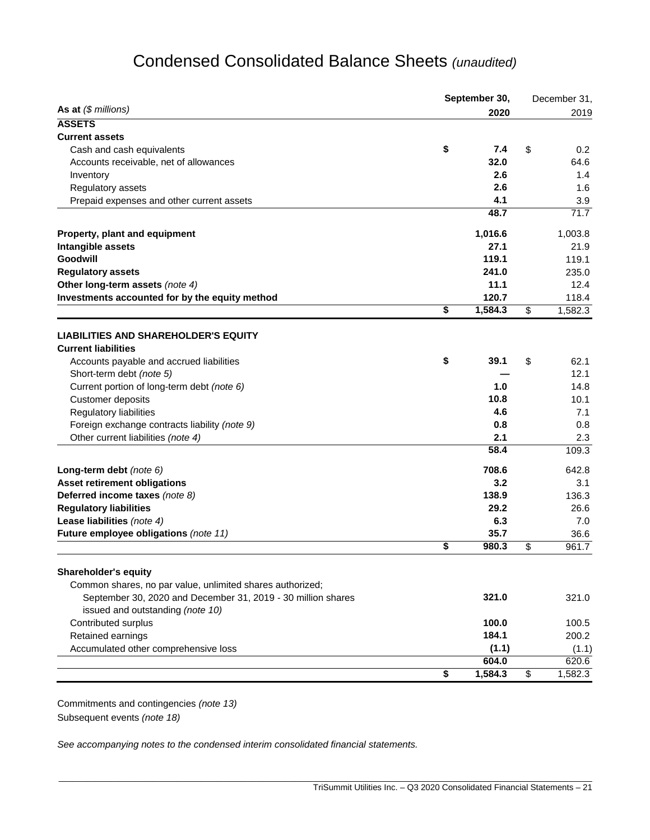# Condensed Consolidated Balance Sheets *(unaudited)*

|                                                                           | September 30, | December 31, |    |         |
|---------------------------------------------------------------------------|---------------|--------------|----|---------|
| As at $($$ millions)                                                      |               | 2020         |    | 2019    |
| <b>ASSETS</b>                                                             |               |              |    |         |
| <b>Current assets</b>                                                     |               |              |    |         |
| Cash and cash equivalents                                                 | \$            | 7.4          | \$ | 0.2     |
| Accounts receivable, net of allowances                                    |               | 32.0         |    | 64.6    |
| Inventory                                                                 |               | 2.6          |    | 1.4     |
| Regulatory assets                                                         |               | 2.6          |    | 1.6     |
| Prepaid expenses and other current assets                                 |               | 4.1          |    | 3.9     |
|                                                                           |               | 48.7         |    | 71.7    |
| Property, plant and equipment                                             |               | 1,016.6      |    | 1,003.8 |
| Intangible assets                                                         |               | 27.1         |    | 21.9    |
| Goodwill                                                                  |               | 119.1        |    | 119.1   |
| <b>Regulatory assets</b>                                                  |               | 241.0        |    | 235.0   |
| Other long-term assets (note 4)                                           |               | 11.1         |    | 12.4    |
| Investments accounted for by the equity method                            |               | 120.7        |    | 118.4   |
|                                                                           | \$            | 1,584.3      | \$ | 1,582.3 |
|                                                                           |               |              |    |         |
| <b>LIABILITIES AND SHAREHOLDER'S EQUITY</b><br><b>Current liabilities</b> |               |              |    |         |
| Accounts payable and accrued liabilities                                  | \$            | 39.1         | \$ | 62.1    |
| Short-term debt (note 5)                                                  |               |              |    | 12.1    |
|                                                                           |               | 1.0          |    | 14.8    |
| Current portion of long-term debt (note 6)                                |               | 10.8         |    |         |
| Customer deposits                                                         |               | 4.6          |    | 10.1    |
| Regulatory liabilities                                                    |               |              |    | 7.1     |
| Foreign exchange contracts liability (note 9)                             |               | 0.8          |    | 0.8     |
| Other current liabilities (note 4)                                        |               | 2.1          |    | 2.3     |
|                                                                           |               | 58.4         |    | 109.3   |
| Long-term debt (note 6)                                                   |               | 708.6        |    | 642.8   |
| <b>Asset retirement obligations</b>                                       |               | 3.2          |    | 3.1     |
| Deferred income taxes (note 8)                                            |               | 138.9        |    | 136.3   |
| <b>Regulatory liabilities</b>                                             |               | 29.2         |    | 26.6    |
| Lease liabilities (note 4)                                                |               | 6.3          |    | 7.0     |
| Future employee obligations (note 11)                                     |               | 35.7         |    | 36.6    |
|                                                                           | \$            | 980.3        | \$ | 961.7   |
| <b>Shareholder's equity</b>                                               |               |              |    |         |
| Common shares, no par value, unlimited shares authorized;                 |               |              |    |         |
| September 30, 2020 and December 31, 2019 - 30 million shares              |               | 321.0        |    | 321.0   |
| issued and outstanding (note 10)                                          |               |              |    |         |
| Contributed surplus                                                       |               | 100.0        |    | 100.5   |
| Retained earnings                                                         |               | 184.1        |    | 200.2   |
| Accumulated other comprehensive loss                                      |               | (1.1)        |    |         |
|                                                                           |               | 604.0        |    | (1.1)   |
|                                                                           |               | 1,584.3      |    | 620.6   |
|                                                                           | \$            |              | \$ | 1,582.3 |

\_\_\_\_\_\_\_\_\_\_\_\_\_\_\_\_\_\_\_\_\_\_\_\_\_\_\_\_\_\_\_\_\_\_\_\_\_\_\_\_\_\_\_\_\_\_\_\_\_\_\_\_\_\_\_\_\_\_\_\_\_\_\_\_\_\_\_\_\_\_\_\_\_\_\_\_\_\_\_\_\_\_\_\_\_\_\_\_\_\_\_\_\_\_\_\_\_\_\_\_\_\_\_\_\_\_\_\_\_\_\_\_\_

Commitments and contingencies *(note 13)* Subsequent events *(note 18)*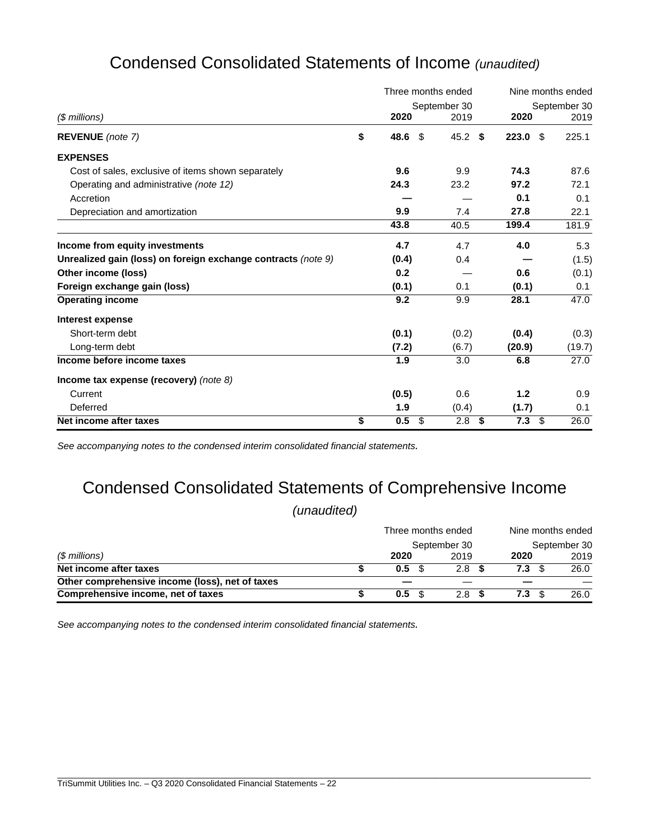|                                                               | Three months ended |              |     |             | Nine months ended |  |  |  |
|---------------------------------------------------------------|--------------------|--------------|-----|-------------|-------------------|--|--|--|
|                                                               |                    | September 30 |     |             | September 30      |  |  |  |
| (\$ millions)                                                 | 2020               | 2019         |     | 2020        | 2019              |  |  |  |
| <b>REVENUE</b> (note 7)                                       | \$<br>48.6         | 45.2<br>\$   | -\$ | 223.0<br>-S | 225.1             |  |  |  |
| <b>EXPENSES</b>                                               |                    |              |     |             |                   |  |  |  |
| Cost of sales, exclusive of items shown separately            | 9.6                | 9.9          |     | 74.3        | 87.6              |  |  |  |
| Operating and administrative (note 12)                        | 24.3               | 23.2         |     | 97.2        | 72.1              |  |  |  |
| Accretion                                                     |                    |              |     | 0.1         | 0.1               |  |  |  |
| Depreciation and amortization                                 | 9.9                | 7.4          |     | 27.8        | 22.1              |  |  |  |
|                                                               | 43.8               | 40.5         |     | 199.4       | 181.9             |  |  |  |
| Income from equity investments                                | 4.7                | 4.7          |     | 4.0         | 5.3               |  |  |  |
| Unrealized gain (loss) on foreign exchange contracts (note 9) | (0.4)              | 0.4          |     |             | (1.5)             |  |  |  |
| Other income (loss)                                           | 0.2                |              |     | 0.6         | (0.1)             |  |  |  |
| Foreign exchange gain (loss)                                  | (0.1)              | 0.1          |     | (0.1)       | 0.1               |  |  |  |
| <b>Operating income</b>                                       | 9.2                | 9.9          |     | 28.1        | 47.0              |  |  |  |
| Interest expense                                              |                    |              |     |             |                   |  |  |  |
| Short-term debt                                               | (0.1)              | (0.2)        |     | (0.4)       | (0.3)             |  |  |  |
| Long-term debt                                                | (7.2)              | (6.7)        |     | (20.9)      | (19.7)            |  |  |  |
| Income before income taxes                                    | 1.9                | 3.0          |     | 6.8         | 27.0              |  |  |  |
| Income tax expense (recovery) (note $8$ )                     |                    |              |     |             |                   |  |  |  |
| Current                                                       | (0.5)              | 0.6          |     | 1.2         | 0.9               |  |  |  |
| Deferred                                                      | 1.9                | (0.4)        |     | (1.7)       | 0.1               |  |  |  |
| Net income after taxes                                        | \$<br>0.5          | \$<br>2.8    | \$  | 7.3<br>\$   | 26.0              |  |  |  |

# Condensed Consolidated Statements of Income *(unaudited)*

*See accompanying notes to the condensed interim consolidated financial statements.*

# Condensed Consolidated Statements of Comprehensive Income

*(unaudited)*

|                                                 | Three months ended |                  | Nine months ended |              |  |  |
|-------------------------------------------------|--------------------|------------------|-------------------|--------------|--|--|
| (\$ millions)                                   |                    | September 30     |                   | September 30 |  |  |
|                                                 | 2020               | 2019             | 2020              | 2019         |  |  |
| Net income after taxes                          | 0.5                | 2.8              | 7.3               | 26.0         |  |  |
| Other comprehensive income (loss), net of taxes |                    |                  |                   |              |  |  |
| Comprehensive income, net of taxes              | 0.5 <sup>5</sup>   | 2.8 <sup>5</sup> | 7.3<br>- \$       | 26.0         |  |  |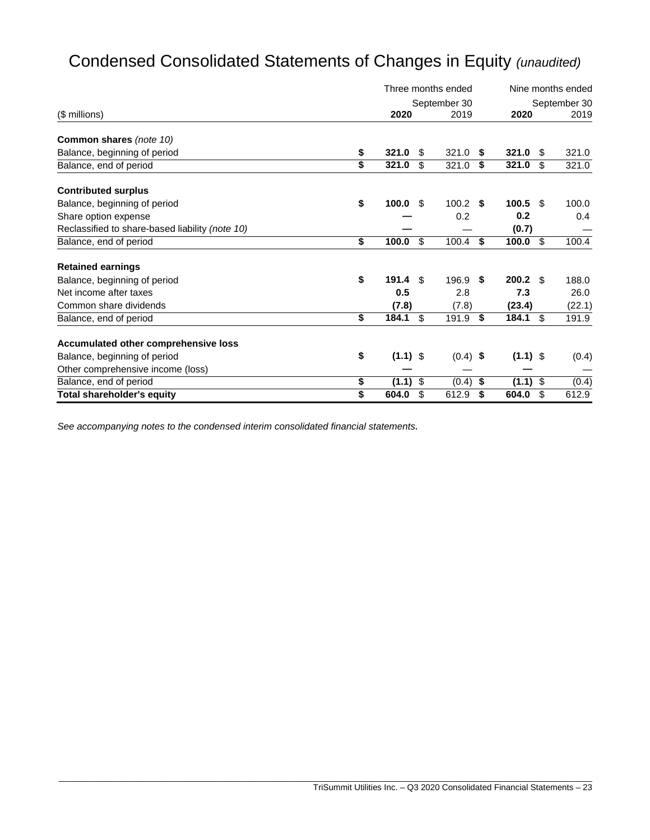# Condensed Consolidated Statements of Changes in Equity *(unaudited)*

|                                                 |    | Three months ended |     |              |    |            | Nine months ended |              |  |  |
|-------------------------------------------------|----|--------------------|-----|--------------|----|------------|-------------------|--------------|--|--|
|                                                 |    |                    |     | September 30 |    |            |                   | September 30 |  |  |
| (\$ millions)                                   |    | 2020               |     | 2019         |    | 2020       |                   | 2019         |  |  |
| <b>Common shares (note 10)</b>                  |    |                    |     |              |    |            |                   |              |  |  |
| Balance, beginning of period                    | \$ | 321.0              | S   | 321.0        | \$ | 321.0      | \$                | 321.0        |  |  |
| Balance, end of period                          | \$ | 321.0              | \$. | 321.0        | \$ | 321.0      | \$                | 321.0        |  |  |
| <b>Contributed surplus</b>                      |    |                    |     |              |    |            |                   |              |  |  |
| Balance, beginning of period                    | \$ | 100.0              | -S  | 100.2        | S  | 100.5      | -S                | 100.0        |  |  |
| Share option expense                            |    |                    |     | 0.2          |    | 0.2        |                   | 0.4          |  |  |
| Reclassified to share-based liability (note 10) |    |                    |     |              |    | (0.7)      |                   |              |  |  |
| Balance, end of period                          | \$ | 100.0              | \$  | 100.4        | \$ | 100.0      | \$                | 100.4        |  |  |
| <b>Retained earnings</b>                        |    |                    |     |              |    |            |                   |              |  |  |
| Balance, beginning of period                    | \$ | 191.4              | \$. | 196.9        | \$ | 200.2      | - \$              | 188.0        |  |  |
| Net income after taxes                          |    | 0.5                |     | 2.8          |    | 7.3        |                   | 26.0         |  |  |
| Common share dividends                          |    | (7.8)              |     | (7.8)        |    | (23.4)     |                   | (22.1)       |  |  |
| Balance, end of period                          | \$ | 184.1              | \$  | 191.9        | \$ | 184.1      | \$                | 191.9        |  |  |
| Accumulated other comprehensive loss            |    |                    |     |              |    |            |                   |              |  |  |
| Balance, beginning of period                    | \$ | $(1.1)$ \$         |     | $(0.4)$ \$   |    | $(1.1)$ \$ |                   | (0.4)        |  |  |
| Other comprehensive income (loss)               |    |                    |     |              |    |            |                   |              |  |  |
| Balance, end of period                          | \$ | (1.1)              | \$  | (0.4)        | \$ | (1.1)      | \$                | (0.4)        |  |  |
| <b>Total shareholder's equity</b>               | \$ | 604.0              | \$  | 612.9        | \$ | 604.0      | \$                | 612.9        |  |  |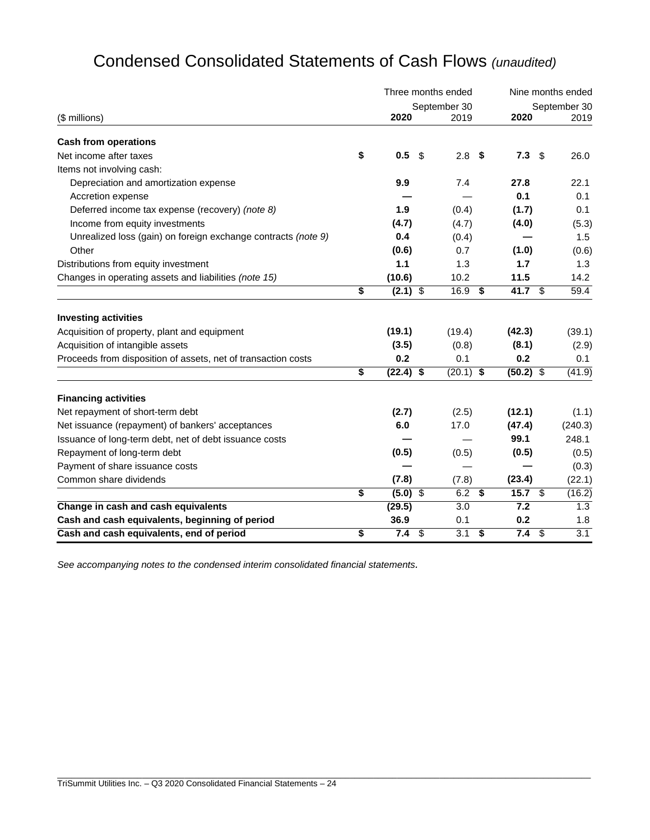|                                                               |    |             |     | Three months ended | Nine months ended |             |                         |                  |
|---------------------------------------------------------------|----|-------------|-----|--------------------|-------------------|-------------|-------------------------|------------------|
|                                                               |    |             |     | September 30       |                   |             |                         | September 30     |
| (\$ millions)                                                 |    | 2020        |     | 2019               |                   | 2020        |                         | 2019             |
| <b>Cash from operations</b>                                   |    |             |     |                    |                   |             |                         |                  |
| Net income after taxes                                        | \$ | 0.5         | -\$ | 2.8                | - \$              | 7.3         | \$                      | 26.0             |
| Items not involving cash:                                     |    |             |     |                    |                   |             |                         |                  |
| Depreciation and amortization expense                         |    | 9.9         |     | 7.4                |                   | 27.8        |                         | 22.1             |
| Accretion expense                                             |    |             |     |                    |                   | 0.1         |                         | 0.1              |
| Deferred income tax expense (recovery) (note 8)               |    | 1.9         |     | (0.4)              |                   | (1.7)       |                         | 0.1              |
| Income from equity investments                                |    | (4.7)       |     | (4.7)              |                   | (4.0)       |                         | (5.3)            |
| Unrealized loss (gain) on foreign exchange contracts (note 9) |    | 0.4         |     | (0.4)              |                   |             |                         | 1.5              |
| Other                                                         |    | (0.6)       |     | 0.7                |                   | (1.0)       |                         | (0.6)            |
| Distributions from equity investment                          |    | 1.1         |     | 1.3                |                   | 1.7         |                         | 1.3              |
| Changes in operating assets and liabilities (note 15)         |    | (10.6)      |     | 10.2               |                   | 11.5        |                         | 14.2             |
|                                                               | \$ | $(2.1)$ \$  |     | 16.9               | \$                | 41.7 $$$    |                         | 59.4             |
| <b>Investing activities</b>                                   |    |             |     |                    |                   |             |                         |                  |
| Acquisition of property, plant and equipment                  |    | (19.1)      |     | (19.4)             |                   | (42.3)      |                         | (39.1)           |
| Acquisition of intangible assets                              |    | (3.5)       |     | (0.8)              |                   | (8.1)       |                         | (2.9)            |
| Proceeds from disposition of assets, net of transaction costs |    | 0.2         |     | 0.1                |                   | 0.2         |                         | 0.1              |
|                                                               | \$ | $(22.4)$ \$ |     | $(20.1)$ \$        |                   | $(50.2)$ \$ |                         | (41.9)           |
| <b>Financing activities</b>                                   |    |             |     |                    |                   |             |                         |                  |
| Net repayment of short-term debt                              |    | (2.7)       |     | (2.5)              |                   | (12.1)      |                         | (1.1)            |
| Net issuance (repayment) of bankers' acceptances              |    | 6.0         |     | 17.0               |                   | (47.4)      |                         | (240.3)          |
| Issuance of long-term debt, net of debt issuance costs        |    |             |     |                    |                   | 99.1        |                         | 248.1            |
| Repayment of long-term debt                                   |    | (0.5)       |     | (0.5)              |                   | (0.5)       |                         | (0.5)            |
| Payment of share issuance costs                               |    |             |     |                    |                   |             |                         | (0.3)            |
| Common share dividends                                        |    | (7.8)       |     | (7.8)              |                   | (23.4)      |                         | (22.1)           |
|                                                               | \$ | $(5.0)$ \$  |     | 6.2                | \$                | 15.7 $$$    |                         | (16.2)           |
| Change in cash and cash equivalents                           |    | (29.5)      |     | 3.0                |                   | 7.2         |                         | 1.3              |
| Cash and cash equivalents, beginning of period                |    | 36.9        |     | 0.1                |                   | 0.2         |                         | 1.8              |
| Cash and cash equivalents, end of period                      | \$ | 7.4         | \$  | 3.1                | \$                | 7.4         | $\sqrt[6]{\frac{1}{2}}$ | $\overline{3.1}$ |

\_\_\_\_\_\_\_\_\_\_\_\_\_\_\_\_\_\_\_\_\_\_\_\_\_\_\_\_\_\_\_\_\_\_\_\_\_\_\_\_\_\_\_\_\_\_\_\_\_\_\_\_\_\_\_\_\_\_\_\_\_\_\_\_\_\_\_\_\_\_\_\_\_\_\_\_\_\_\_\_\_\_\_\_\_\_\_\_\_\_\_\_\_\_\_\_\_\_\_\_\_\_\_\_\_\_\_\_\_\_\_\_\_

# Condensed Consolidated Statements of Cash Flows *(unaudited)*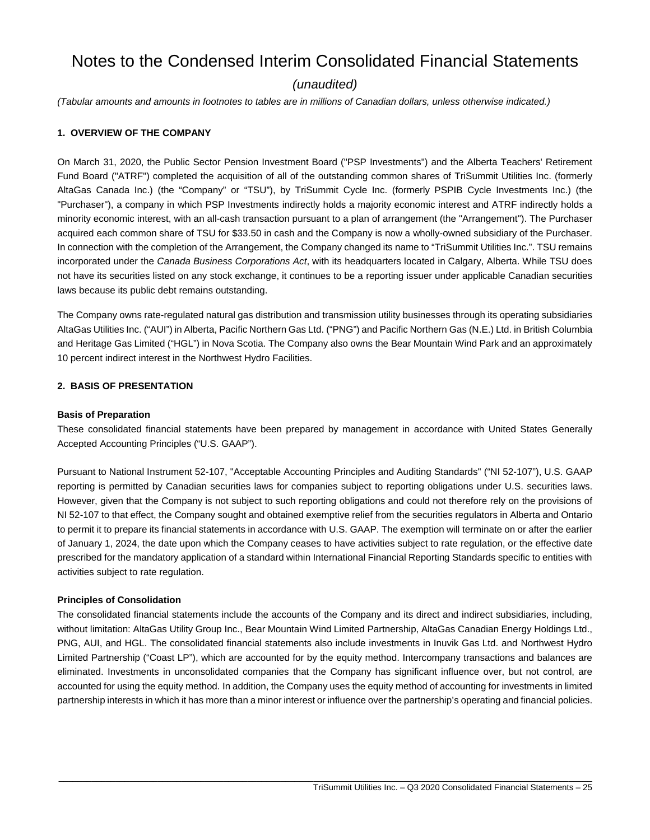# Notes to the Condensed Interim Consolidated Financial Statements

# *(unaudited)*

*(Tabular amounts and amounts in footnotes to tables are in millions of Canadian dollars, unless otherwise indicated.)*

#### **1. OVERVIEW OF THE COMPANY**

On March 31, 2020, the Public Sector Pension Investment Board ("PSP Investments") and the Alberta Teachers' Retirement Fund Board ("ATRF") completed the acquisition of all of the outstanding common shares of TriSummit Utilities Inc. (formerly AltaGas Canada Inc.) (the "Company" or "TSU"), by TriSummit Cycle Inc. (formerly PSPIB Cycle Investments Inc.) (the "Purchaser"), a company in which PSP Investments indirectly holds a majority economic interest and ATRF indirectly holds a minority economic interest, with an all-cash transaction pursuant to a plan of arrangement (the "Arrangement"). The Purchaser acquired each common share of TSU for \$33.50 in cash and the Company is now a wholly-owned subsidiary of the Purchaser. In connection with the completion of the Arrangement, the Company changed its name to "TriSummit Utilities Inc.". TSU remains incorporated under the *Canada Business Corporations Act*, with its headquarters located in Calgary, Alberta. While TSU does not have its securities listed on any stock exchange, it continues to be a reporting issuer under applicable Canadian securities laws because its public debt remains outstanding.

The Company owns rate-regulated natural gas distribution and transmission utility businesses through its operating subsidiaries AltaGas Utilities Inc. ("AUI") in Alberta, Pacific Northern Gas Ltd. ("PNG") and Pacific Northern Gas (N.E.) Ltd. in British Columbia and Heritage Gas Limited ("HGL") in Nova Scotia. The Company also owns the Bear Mountain Wind Park and an approximately 10 percent indirect interest in the Northwest Hydro Facilities.

#### **2. BASIS OF PRESENTATION**

#### **Basis of Preparation**

These consolidated financial statements have been prepared by management in accordance with United States Generally Accepted Accounting Principles ("U.S. GAAP").

Pursuant to National Instrument 52-107, "Acceptable Accounting Principles and Auditing Standards" ("NI 52-107"), U.S. GAAP reporting is permitted by Canadian securities laws for companies subject to reporting obligations under U.S. securities laws. However, given that the Company is not subject to such reporting obligations and could not therefore rely on the provisions of NI 52-107 to that effect, the Company sought and obtained exemptive relief from the securities regulators in Alberta and Ontario to permit it to prepare its financial statements in accordance with U.S. GAAP. The exemption will terminate on or after the earlier of January 1, 2024, the date upon which the Company ceases to have activities subject to rate regulation, or the effective date prescribed for the mandatory application of a standard within International Financial Reporting Standards specific to entities with activities subject to rate regulation.

#### **Principles of Consolidation**

The consolidated financial statements include the accounts of the Company and its direct and indirect subsidiaries, including, without limitation: AltaGas Utility Group Inc., Bear Mountain Wind Limited Partnership, AltaGas Canadian Energy Holdings Ltd., PNG, AUI, and HGL. The consolidated financial statements also include investments in Inuvik Gas Ltd. and Northwest Hydro Limited Partnership ("Coast LP"), which are accounted for by the equity method. Intercompany transactions and balances are eliminated. Investments in unconsolidated companies that the Company has significant influence over, but not control, are accounted for using the equity method. In addition, the Company uses the equity method of accounting for investments in limited partnership interests in which it has more than a minor interest or influence over the partnership's operating and financial policies.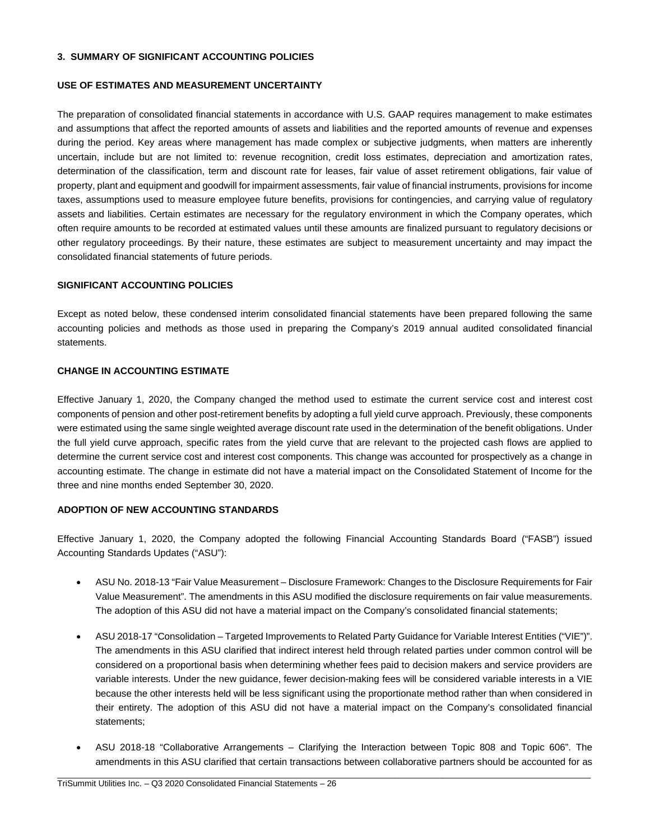#### **3. SUMMARY OF SIGNIFICANT ACCOUNTING POLICIES**

#### **USE OF ESTIMATES AND MEASUREMENT UNCERTAINTY**

The preparation of consolidated financial statements in accordance with U.S. GAAP requires management to make estimates and assumptions that affect the reported amounts of assets and liabilities and the reported amounts of revenue and expenses during the period. Key areas where management has made complex or subjective judgments, when matters are inherently uncertain, include but are not limited to: revenue recognition, credit loss estimates, depreciation and amortization rates, determination of the classification, term and discount rate for leases, fair value of asset retirement obligations, fair value of property, plant and equipment and goodwill for impairment assessments, fair value of financial instruments, provisions for income taxes, assumptions used to measure employee future benefits, provisions for contingencies, and carrying value of regulatory assets and liabilities. Certain estimates are necessary for the regulatory environment in which the Company operates, which often require amounts to be recorded at estimated values until these amounts are finalized pursuant to regulatory decisions or other regulatory proceedings. By their nature, these estimates are subject to measurement uncertainty and may impact the consolidated financial statements of future periods.

#### **SIGNIFICANT ACCOUNTING POLICIES**

Except as noted below, these condensed interim consolidated financial statements have been prepared following the same accounting policies and methods as those used in preparing the Company's 2019 annual audited consolidated financial statements.

# **CHANGE IN ACCOUNTING ESTIMATE**

Effective January 1, 2020, the Company changed the method used to estimate the current service cost and interest cost components of pension and other post-retirement benefits by adopting a full yield curve approach. Previously, these components were estimated using the same single weighted average discount rate used in the determination of the benefit obligations. Under the full yield curve approach, specific rates from the yield curve that are relevant to the projected cash flows are applied to determine the current service cost and interest cost components. This change was accounted for prospectively as a change in accounting estimate. The change in estimate did not have a material impact on the Consolidated Statement of Income for the three and nine months ended September 30, 2020.

# **ADOPTION OF NEW ACCOUNTING STANDARDS**

Effective January 1, 2020, the Company adopted the following Financial Accounting Standards Board ("FASB") issued Accounting Standards Updates ("ASU"):

- · ASU No. 2018-13 "Fair Value Measurement Disclosure Framework: Changes to the Disclosure Requirements for Fair Value Measurement". The amendments in this ASU modified the disclosure requirements on fair value measurements. The adoption of this ASU did not have a material impact on the Company's consolidated financial statements;
- · ASU 2018-17 "Consolidation Targeted Improvements to Related Party Guidance for Variable Interest Entities ("VIE")". The amendments in this ASU clarified that indirect interest held through related parties under common control will be considered on a proportional basis when determining whether fees paid to decision makers and service providers are variable interests. Under the new guidance, fewer decision-making fees will be considered variable interests in a VIE because the other interests held will be less significant using the proportionate method rather than when considered in their entirety. The adoption of this ASU did not have a material impact on the Company's consolidated financial statements;
- · ASU 2018-18 "Collaborative Arrangements Clarifying the Interaction between Topic 808 and Topic 606". The amendments in this ASU clarified that certain transactions between collaborative partners should be accounted for as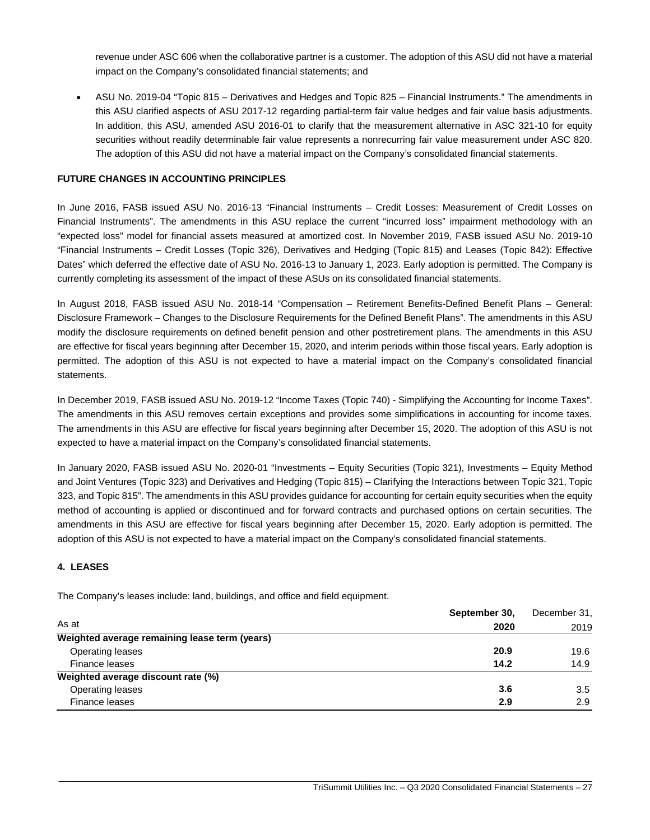revenue under ASC 606 when the collaborative partner is a customer. The adoption of this ASU did not have a material impact on the Company's consolidated financial statements; and

· ASU No. 2019-04 "Topic 815 – Derivatives and Hedges and Topic 825 – Financial Instruments." The amendments in this ASU clarified aspects of ASU 2017-12 regarding partial-term fair value hedges and fair value basis adjustments. In addition, this ASU, amended ASU 2016-01 to clarify that the measurement alternative in ASC 321-10 for equity securities without readily determinable fair value represents a nonrecurring fair value measurement under ASC 820. The adoption of this ASU did not have a material impact on the Company's consolidated financial statements.

#### **FUTURE CHANGES IN ACCOUNTING PRINCIPLES**

In June 2016, FASB issued ASU No. 2016-13 "Financial Instruments – Credit Losses: Measurement of Credit Losses on Financial Instruments". The amendments in this ASU replace the current "incurred loss" impairment methodology with an "expected loss" model for financial assets measured at amortized cost. In November 2019, FASB issued ASU No. 2019-10 "Financial Instruments – Credit Losses (Topic 326), Derivatives and Hedging (Topic 815) and Leases (Topic 842): Effective Dates" which deferred the effective date of ASU No. 2016-13 to January 1, 2023. Early adoption is permitted. The Company is currently completing its assessment of the impact of these ASUs on its consolidated financial statements.

In August 2018, FASB issued ASU No. 2018-14 "Compensation – Retirement Benefits-Defined Benefit Plans – General: Disclosure Framework – Changes to the Disclosure Requirements for the Defined Benefit Plans". The amendments in this ASU modify the disclosure requirements on defined benefit pension and other postretirement plans. The amendments in this ASU are effective for fiscal years beginning after December 15, 2020, and interim periods within those fiscal years. Early adoption is permitted. The adoption of this ASU is not expected to have a material impact on the Company's consolidated financial statements.

In December 2019, FASB issued ASU No. 2019-12 "Income Taxes (Topic 740) - Simplifying the Accounting for Income Taxes". The amendments in this ASU removes certain exceptions and provides some simplifications in accounting for income taxes. The amendments in this ASU are effective for fiscal years beginning after December 15, 2020. The adoption of this ASU is not expected to have a material impact on the Company's consolidated financial statements.

In January 2020, FASB issued ASU No. 2020-01 "Investments – Equity Securities (Topic 321), Investments – Equity Method and Joint Ventures (Topic 323) and Derivatives and Hedging (Topic 815) – Clarifying the Interactions between Topic 321, Topic 323, and Topic 815". The amendments in this ASU provides guidance for accounting for certain equity securities when the equity method of accounting is applied or discontinued and for forward contracts and purchased options on certain securities. The amendments in this ASU are effective for fiscal years beginning after December 15, 2020. Early adoption is permitted. The adoption of this ASU is not expected to have a material impact on the Company's consolidated financial statements.

#### **4. LEASES**

The Company's leases include: land, buildings, and office and field equipment.

|                                               | September 30, | December 31, |
|-----------------------------------------------|---------------|--------------|
| As at                                         | 2020          | 2019         |
| Weighted average remaining lease term (years) |               |              |
| Operating leases                              | 20.9          | 19.6         |
| Finance leases                                | 14.2          | 14.9         |
| Weighted average discount rate (%)            |               |              |
| Operating leases                              | 3.6           | 3.5          |
| Finance leases                                | 2.9           | 2.9          |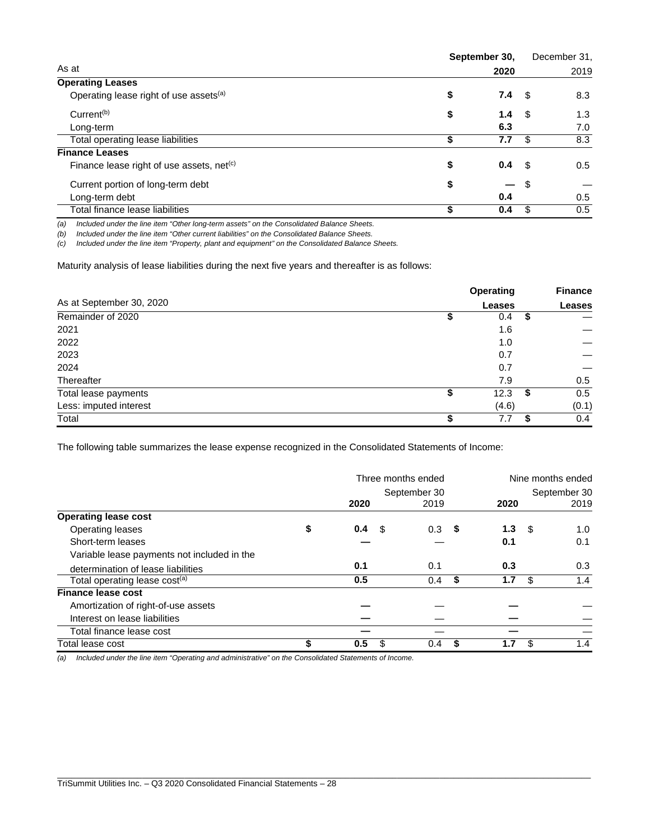|                                                       | September 30, |      | December 31, |  |
|-------------------------------------------------------|---------------|------|--------------|--|
| As at                                                 | 2020          |      | 2019         |  |
| <b>Operating Leases</b>                               |               |      |              |  |
| Operating lease right of use assets <sup>(a)</sup>    | \$<br>7.4     | - \$ | 8.3          |  |
| Current <sup>(b)</sup>                                | \$<br>1.4     | - \$ | 1.3          |  |
| Long-term                                             | 6.3           |      | 7.0          |  |
| Total operating lease liabilities                     | 7.7<br>\$     | -\$  | 8.3          |  |
| <b>Finance Leases</b>                                 |               |      |              |  |
| Finance lease right of use assets, net <sup>(c)</sup> | \$<br>0.4     | - \$ | 0.5          |  |
| Current portion of long-term debt                     | \$            | - \$ |              |  |
| Long-term debt                                        | 0.4           |      | 0.5          |  |
| Total finance lease liabilities                       | \$<br>0.4     | - \$ | 0.5          |  |

*(a) Included under the line item "Other long-term assets" on the Consolidated Balance Sheets.*

*(b) Included under the line item "Other current liabilities" on the Consolidated Balance Sheets.*

*(c) Included under the line item "Property, plant and equipment" on the Consolidated Balance Sheets.*

Maturity analysis of lease liabilities during the next five years and thereafter is as follows:

|                          |   | <b>Operating</b> |    | <b>Finance</b> |  |
|--------------------------|---|------------------|----|----------------|--|
| As at September 30, 2020 |   | <b>Leases</b>    |    | <b>Leases</b>  |  |
| Remainder of 2020        |   | 0.4              | \$ |                |  |
| 2021                     |   | 1.6              |    |                |  |
| 2022                     |   | 1.0              |    |                |  |
| 2023                     |   | 0.7              |    |                |  |
| 2024                     |   | 0.7              |    |                |  |
| Thereafter               |   | 7.9              |    | 0.5            |  |
| Total lease payments     | S | 12.3             | S  | 0.5            |  |
| Less: imputed interest   |   | (4.6)            |    | (0.1)          |  |
| Total                    |   | 7.7              |    | 0.4            |  |

The following table summarizes the lease expense recognized in the Consolidated Statements of Income:

|                                             | Three months ended |      |          | Nine months ended |      |              |      |
|---------------------------------------------|--------------------|------|----------|-------------------|------|--------------|------|
|                                             | September 30       |      |          |                   |      | September 30 |      |
|                                             | 2020               |      | 2019     |                   | 2020 |              | 2019 |
| <b>Operating lease cost</b>                 |                    |      |          |                   |      |              |      |
| Operating leases                            | \$<br>0.4          | - \$ | $0.3$ \$ |                   | 1.3  | - \$         | 1.0  |
| Short-term leases                           |                    |      |          |                   | 0.1  |              | 0.1  |
| Variable lease payments not included in the |                    |      |          |                   |      |              |      |
| determination of lease liabilities          | 0.1                |      | 0.1      |                   | 0.3  |              | 0.3  |
| Total operating lease cost <sup>(a)</sup>   | 0.5                |      | 0.4      | Ŝ.                | 1.7  | S            | 1.4  |
| <b>Finance lease cost</b>                   |                    |      |          |                   |      |              |      |
| Amortization of right-of-use assets         |                    |      |          |                   |      |              |      |
| Interest on lease liabilities               |                    |      |          |                   |      |              |      |
| Total finance lease cost                    |                    |      |          |                   |      |              |      |
| Total lease cost                            | 0.5                | S    | 0.4      |                   | 1.7  | \$           | 1.4  |

\_\_\_\_\_\_\_\_\_\_\_\_\_\_\_\_\_\_\_\_\_\_\_\_\_\_\_\_\_\_\_\_\_\_\_\_\_\_\_\_\_\_\_\_\_\_\_\_\_\_\_\_\_\_\_\_\_\_\_\_\_\_\_\_\_\_\_\_\_\_\_\_\_\_\_\_\_\_\_\_\_\_\_\_\_\_\_\_\_\_\_\_\_\_\_\_\_\_\_\_\_\_\_\_\_\_\_\_\_\_\_\_\_

*(a) Included under the line item "Operating and administrative" on the Consolidated Statements of Income.*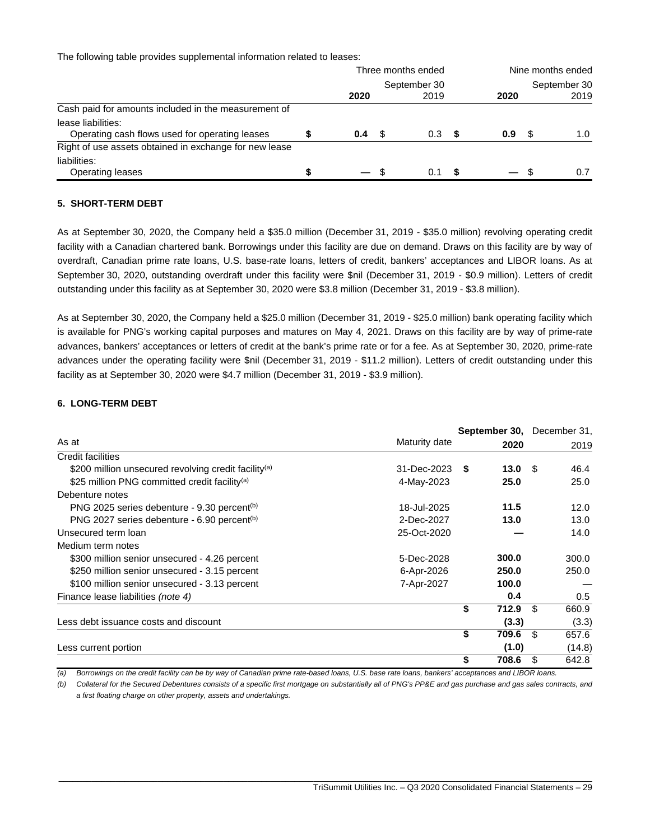The following table provides supplemental information related to leases:

|                                                                      | Three months ended |      |      |     |      | Nine months ended |      |  |
|----------------------------------------------------------------------|--------------------|------|------|-----|------|-------------------|------|--|
|                                                                      | September 30       |      |      |     |      | September 30      |      |  |
|                                                                      | 2020               |      | 2019 |     | 2020 |                   | 2019 |  |
| Cash paid for amounts included in the measurement of                 |                    |      |      |     |      |                   |      |  |
| lease liabilities:<br>Operating cash flows used for operating leases | 0.4                | - \$ | 0.3  | - 5 | 0.9  |                   | 1.0  |  |
| Right of use assets obtained in exchange for new lease               |                    |      |      |     |      |                   |      |  |
| liabilities:<br><b>Operating leases</b>                              |                    | - 35 | 0.1  |     |      |                   |      |  |

#### **5. SHORT-TERM DEBT**

As at September 30, 2020, the Company held a \$35.0 million (December 31, 2019 - \$35.0 million) revolving operating credit facility with a Canadian chartered bank. Borrowings under this facility are due on demand. Draws on this facility are by way of overdraft, Canadian prime rate loans, U.S. base-rate loans, letters of credit, bankers' acceptances and LIBOR loans. As at September 30, 2020, outstanding overdraft under this facility were \$nil (December 31, 2019 - \$0.9 million). Letters of credit outstanding under this facility as at September 30, 2020 were \$3.8 million (December 31, 2019 - \$3.8 million).

As at September 30, 2020, the Company held a \$25.0 million (December 31, 2019 - \$25.0 million) bank operating facility which is available for PNG's working capital purposes and matures on May 4, 2021. Draws on this facility are by way of prime-rate advances, bankers' acceptances or letters of credit at the bank's prime rate or for a fee. As at September 30, 2020, prime-rate advances under the operating facility were \$nil (December 31, 2019 - \$11.2 million). Letters of credit outstanding under this facility as at September 30, 2020 were \$4.7 million (December 31, 2019 - \$3.9 million).

### **6. LONG-TERM DEBT**

|                                                                  |                |             |                   | <b>September 30, December 31,</b> |
|------------------------------------------------------------------|----------------|-------------|-------------------|-----------------------------------|
| As at                                                            | Maturity date  | 2020        |                   | 2019                              |
| <b>Credit facilities</b>                                         |                |             |                   |                                   |
| \$200 million unsecured revolving credit facility <sup>(a)</sup> | 31-Dec-2023 \$ |             | 13.0 <sup>5</sup> | 46.4                              |
| \$25 million PNG committed credit facility <sup>(a)</sup>        | 4-May-2023     | 25.0        |                   | 25.0                              |
| Debenture notes                                                  |                |             |                   |                                   |
| PNG 2025 series debenture - 9.30 percent <sup>(b)</sup>          | 18-Jul-2025    | 11.5        |                   | 12.0                              |
| PNG 2027 series debenture - 6.90 percent <sup>(b)</sup>          | 2-Dec-2027     | 13.0        |                   | 13.0                              |
| Unsecured term loan                                              | 25-Oct-2020    |             |                   | 14.0                              |
| Medium term notes                                                |                |             |                   |                                   |
| \$300 million senior unsecured - 4.26 percent                    | 5-Dec-2028     | 300.0       |                   | 300.0                             |
| \$250 million senior unsecured - 3.15 percent                    | 6-Apr-2026     | 250.0       |                   | 250.0                             |
| \$100 million senior unsecured - 3.13 percent                    | 7-Apr-2027     | 100.0       |                   |                                   |
| Finance lease liabilities (note 4)                               |                | 0.4         |                   | 0.5                               |
|                                                                  |                | \$<br>712.9 |                   | 660.9<br>ß.                       |
| Less debt issuance costs and discount                            |                | (3.3)       |                   | (3.3)                             |
|                                                                  |                | \$<br>709.6 |                   | 657.6<br>\$.                      |
| Less current portion                                             |                | (1.0)       |                   | (14.8)                            |
|                                                                  |                | \$<br>708.6 |                   | 642.8<br>\$.                      |

*(a) Borrowings on the credit facility can be by way of Canadian prime rate-based loans, U.S. base rate loans, bankers' acceptances and LIBOR loans.*

*(b) Collateral for the Secured Debentures consists of a specific first mortgage on substantially all of PNG's PP&E and gas purchase and gas sales contracts, and a first floating charge on other property, assets and undertakings.*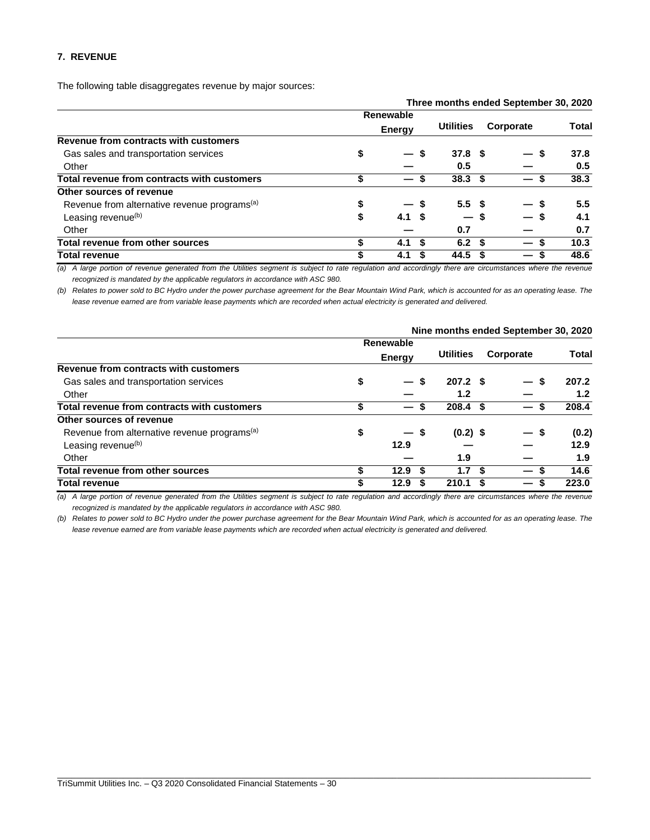#### **7. REVENUE**

The following table disaggregates revenue by major sources:

|                                                          |                                         |                   | Three months ended September 30, 2020 |       |
|----------------------------------------------------------|-----------------------------------------|-------------------|---------------------------------------|-------|
|                                                          | <b>Renewable</b>                        |                   |                                       |       |
|                                                          | <b>Energy</b>                           | <b>Utilities</b>  | Corporate                             | Total |
| Revenue from contracts with customers                    |                                         |                   |                                       |       |
| Gas sales and transportation services                    | \$<br>S<br>$\qquad \qquad \blacksquare$ | 37.8 <sup>5</sup> |                                       | 37.8  |
| Other                                                    |                                         | 0.5               |                                       | 0.5   |
| Total revenue from contracts with customers              | \$                                      | 38.3 <sup>5</sup> |                                       | 38.3  |
| Other sources of revenue                                 |                                         |                   |                                       |       |
| Revenue from alternative revenue programs <sup>(a)</sup> | \$<br>-5                                | 5.5 <sup>5</sup>  |                                       | 5.5   |
| Leasing revenue <sup>(b)</sup>                           | \$<br>4.1 S                             | $-s$              |                                       | 4.1   |
| Other                                                    |                                         | 0.7               |                                       | 0.7   |
| Total revenue from other sources                         | \$<br>4.1<br>- \$                       | 6.2 <sup>5</sup>  |                                       | 10.3  |
| <b>Total revenue</b>                                     | \$<br>4.1                               | 44.5              |                                       | 48.6  |

*(a) A large portion of revenue generated from the Utilities segment is subject to rate regulation and accordingly there are circumstances where the revenue recognized is mandated by the applicable regulators in accordance with ASC 980.*

*(b) Relates to power sold to BC Hydro under the power purchase agreement for the Bear Mountain Wind Park, which is accounted for as an operating lease. The lease revenue earned are from variable lease payments which are recorded when actual electricity is generated and delivered.*

|                                                          |                                |                          |     | Nine months ended September 30, 2020 |       |
|----------------------------------------------------------|--------------------------------|--------------------------|-----|--------------------------------------|-------|
|                                                          | <b>Renewable</b>               |                          |     |                                      |       |
|                                                          | <b>Energy</b>                  | <b>Utilities</b>         |     | Corporate                            | Total |
| Revenue from contracts with customers                    |                                |                          |     |                                      |       |
| Gas sales and transportation services                    | \$<br>$\overline{\phantom{a}}$ | \$<br>207.2 <sup>5</sup> |     | S                                    | 207.2 |
| Other                                                    |                                | 1.2                      |     |                                      | 1.2   |
| Total revenue from contracts with customers              | \$                             | $208.4$ \$<br>\$         |     | S                                    | 208.4 |
| Other sources of revenue                                 |                                |                          |     |                                      |       |
| Revenue from alternative revenue programs <sup>(a)</sup> | \$<br>$-s$                     | $(0.2)$ \$               |     | — \$                                 | (0.2) |
| Leasing revenue <sup>(b)</sup>                           | 12.9                           |                          |     |                                      | 12.9  |
| Other                                                    |                                | 1.9                      |     |                                      | 1.9   |
| Total revenue from other sources                         | \$<br>12.9                     | S<br>1.7                 | \$. | \$.                                  | 14.6  |
| <b>Total revenue</b>                                     | \$<br>12.9                     | 210.1                    | S   | S<br>—                               | 223.0 |

*(a) A large portion of revenue generated from the Utilities segment is subject to rate regulation and accordingly there are circumstances where the revenue recognized is mandated by the applicable regulators in accordance with ASC 980.*

*(b) Relates to power sold to BC Hydro under the power purchase agreement for the Bear Mountain Wind Park, which is accounted for as an operating lease. The lease revenue earned are from variable lease payments which are recorded when actual electricity is generated and delivered.*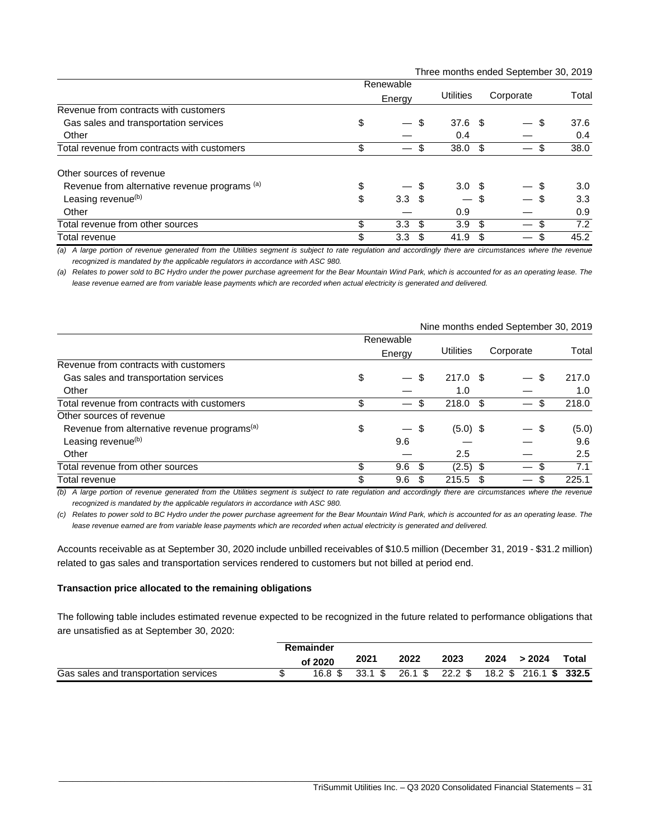Three months ended September 30, 2019

|                                               | Renewable                               |      |                               |      |           |                  |
|-----------------------------------------------|-----------------------------------------|------|-------------------------------|------|-----------|------------------|
|                                               | Energy                                  |      | <b>Utilities</b>              |      | Corporate | Total            |
| Revenue from contracts with customers         |                                         |      |                               |      |           |                  |
| Gas sales and transportation services         | \$<br>$\overbrace{\phantom{123221111}}$ | S    | $37.6$ \$                     |      | \$        | 37.6             |
| Other                                         |                                         |      | 0.4                           |      |           | 0.4              |
| Total revenue from contracts with customers   | \$<br>$\overline{\phantom{0}}$          | S    | 38.0                          | - \$ | S         | 38.0             |
| Other sources of revenue                      |                                         |      |                               |      |           |                  |
| Revenue from alternative revenue programs (a) | \$                                      |      | 3.0 <sup>5</sup>              |      |           | 3.0 <sub>2</sub> |
| Leasing revenue <sup>(b)</sup>                | \$<br>3.3 <sup>5</sup>                  |      | $\overbrace{\phantom{12333}}$ | \$   |           | 3.3              |
| Other                                         |                                         |      | 0.9                           |      |           | 0.9              |
| Total revenue from other sources              | \$<br>3.3                               | - \$ | 3.9 <sup>°</sup>              | -\$  | \$        | 7.2              |
| Total revenue                                 | \$<br>3.3 <sub>2</sub>                  | \$.  | 41.9                          | S    | S         | 45.2             |

*(a) A large portion of revenue generated from the Utilities segment is subject to rate regulation and accordingly there are circumstances where the revenue recognized is mandated by the applicable regulators in accordance with ASC 980.*

*(a) Relates to power sold to BC Hydro under the power purchase agreement for the Bear Mountain Wind Park, which is accounted for as an operating lease. The lease revenue earned are from variable lease payments which are recorded when actual electricity is generated and delivered.*

|                                                          | Renewable                             |            |           |       |
|----------------------------------------------------------|---------------------------------------|------------|-----------|-------|
|                                                          | Energy                                | Utilities  | Corporate | Total |
| Revenue from contracts with customers                    |                                       |            |           |       |
| Gas sales and transportation services                    | \$<br>\$<br>$\overline{\phantom{m}}$  | $217.0$ \$ | \$.       | 217.0 |
| Other                                                    |                                       | 1.0        |           | 1.0   |
| Total revenue from contracts with customers              | \$<br>\$<br>$\overline{\phantom{m}}$  | 218.0      | - \$      | 218.0 |
| Other sources of revenue                                 |                                       |            |           |       |
| Revenue from alternative revenue programs <sup>(a)</sup> | \$<br>-\$<br>$\overline{\phantom{0}}$ | $(5.0)$ \$ | \$        | (5.0) |
| Leasing revenue <sup>(b)</sup>                           | 9.6                                   |            |           | 9.6   |
| Other                                                    |                                       | 2.5        |           | 2.5   |
| Total revenue from other sources                         | \$<br>9.6<br>- \$                     | $(2.5)$ \$ |           | 7.1   |
| Total revenue                                            | \$<br>S<br>9.6                        | 215.5      | \$        | 225.1 |

#### Nine months ended September 30, 2019

*(b) A large portion of revenue generated from the Utilities segment is subject to rate regulation and accordingly there are circumstances where the revenue recognized is mandated by the applicable regulators in accordance with ASC 980.*

*(c) Relates to power sold to BC Hydro under the power purchase agreement for the Bear Mountain Wind Park, which is accounted for as an operating lease. The lease revenue earned are from variable lease payments which are recorded when actual electricity is generated and delivered.*

Accounts receivable as at September 30, 2020 include unbilled receivables of \$10.5 million (December 31, 2019 - \$31.2 million) related to gas sales and transportation services rendered to customers but not billed at period end.

#### **Transaction price allocated to the remaining obligations**

The following table includes estimated revenue expected to be recognized in the future related to performance obligations that are unsatisfied as at September 30, 2020:

|                                       | Remainder |      |      |      |      |                                                        |       |
|---------------------------------------|-----------|------|------|------|------|--------------------------------------------------------|-------|
|                                       | of 2020   | 2021 | 2022 | 2023 | 2024 | >2024                                                  | Total |
| Gas sales and transportation services |           |      |      |      |      | 16.8 \$ 33.1 \$ 26.1 \$ 22.2 \$ 18.2 \$ 216.1 \$ 332.5 |       |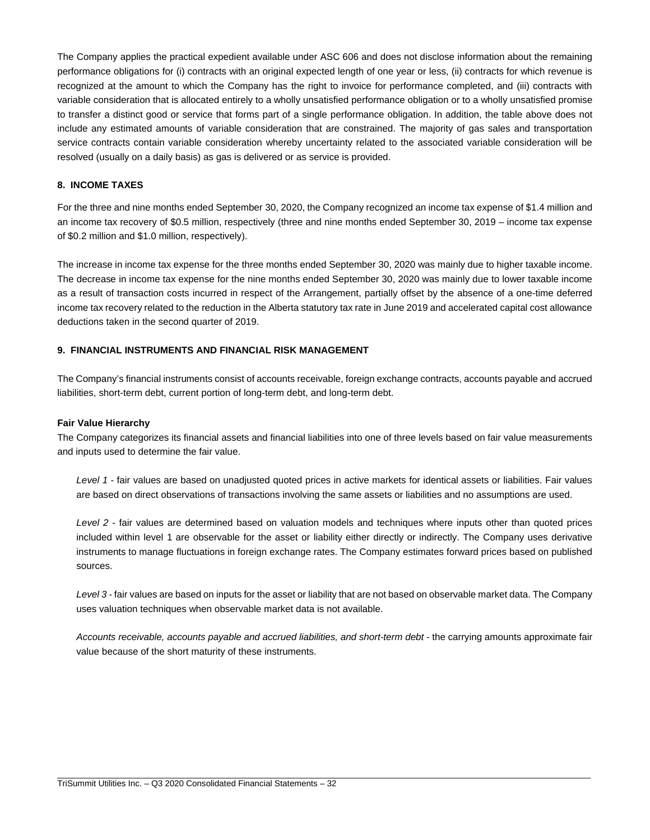The Company applies the practical expedient available under ASC 606 and does not disclose information about the remaining performance obligations for (i) contracts with an original expected length of one year or less, (ii) contracts for which revenue is recognized at the amount to which the Company has the right to invoice for performance completed, and (iii) contracts with variable consideration that is allocated entirely to a wholly unsatisfied performance obligation or to a wholly unsatisfied promise to transfer a distinct good or service that forms part of a single performance obligation. In addition, the table above does not include any estimated amounts of variable consideration that are constrained. The majority of gas sales and transportation service contracts contain variable consideration whereby uncertainty related to the associated variable consideration will be resolved (usually on a daily basis) as gas is delivered or as service is provided.

## **8. INCOME TAXES**

For the three and nine months ended September 30, 2020, the Company recognized an income tax expense of \$1.4 million and an income tax recovery of \$0.5 million, respectively (three and nine months ended September 30, 2019 – income tax expense of \$0.2 million and \$1.0 million, respectively).

The increase in income tax expense for the three months ended September 30, 2020 was mainly due to higher taxable income. The decrease in income tax expense for the nine months ended September 30, 2020 was mainly due to lower taxable income as a result of transaction costs incurred in respect of the Arrangement, partially offset by the absence of a one-time deferred income tax recovery related to the reduction in the Alberta statutory tax rate in June 2019 and accelerated capital cost allowance deductions taken in the second quarter of 2019.

# **9. FINANCIAL INSTRUMENTS AND FINANCIAL RISK MANAGEMENT**

The Company's financial instruments consist of accounts receivable, foreign exchange contracts, accounts payable and accrued liabilities, short-term debt, current portion of long-term debt, and long-term debt.

#### **Fair Value Hierarchy**

The Company categorizes its financial assets and financial liabilities into one of three levels based on fair value measurements and inputs used to determine the fair value.

*Level 1* - fair values are based on unadjusted quoted prices in active markets for identical assets or liabilities. Fair values are based on direct observations of transactions involving the same assets or liabilities and no assumptions are used.

*Level 2* - fair values are determined based on valuation models and techniques where inputs other than quoted prices included within level 1 are observable for the asset or liability either directly or indirectly. The Company uses derivative instruments to manage fluctuations in foreign exchange rates. The Company estimates forward prices based on published sources.

*Level 3* - fair values are based on inputs for the asset or liability that are not based on observable market data. The Company uses valuation techniques when observable market data is not available.

*Accounts receivable, accounts payable and accrued liabilities, and short-term debt* - the carrying amounts approximate fair value because of the short maturity of these instruments.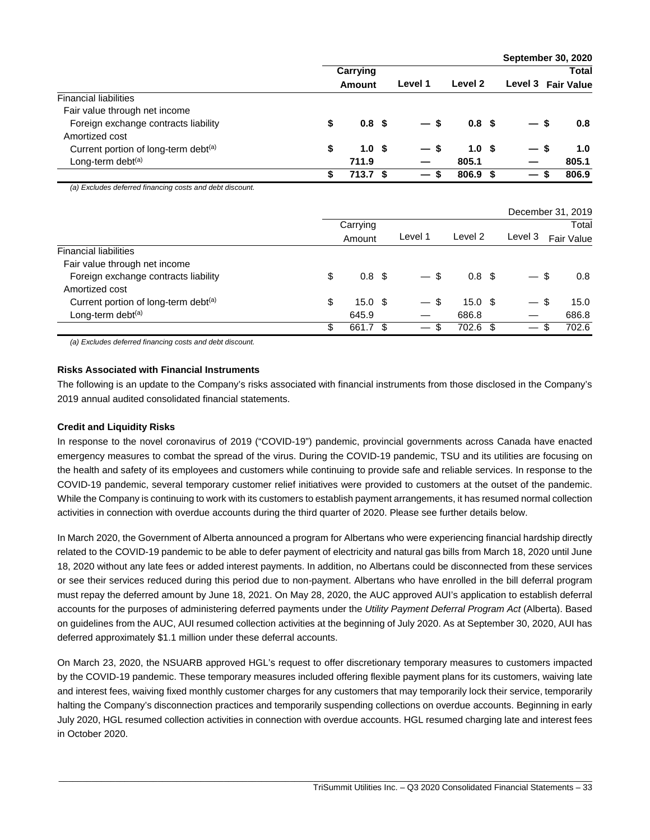|                                                          |               |                  |         |         |                    |         | September 30, 2020 |                   |       |
|----------------------------------------------------------|---------------|------------------|---------|---------|--------------------|---------|--------------------|-------------------|-------|
|                                                          |               | Carrying         |         |         |                    |         |                    |                   | Total |
|                                                          | <b>Amount</b> |                  | Level 1 | Level 2 |                    | Level 3 |                    | <b>Fair Value</b> |       |
| <b>Financial liabilities</b>                             |               |                  |         |         |                    |         |                    |                   |       |
| Fair value through net income                            |               |                  |         |         |                    |         |                    |                   |       |
| Foreign exchange contracts liability                     | \$            | 0.8 <sup>5</sup> |         | \$      | 0.8 <sup>5</sup>   |         |                    | \$                | 0.8   |
| Amortized cost                                           |               |                  |         |         |                    |         |                    |                   |       |
| Current portion of long-term debt <sup>(a)</sup>         | \$            | 1.0              | -\$     | \$      | 1.0 <sup>5</sup>   |         |                    | -\$               | 1.0   |
| Long-term debt <sup>(a)</sup>                            |               | 711.9            |         |         | 805.1              |         |                    |                   | 805.1 |
|                                                          | \$            | 713.7            | - \$    | \$      | 806.9              | -\$     |                    | \$                | 806.9 |
| (a) Excludes deferred financing costs and debt discount. |               |                  |         |         |                    |         | December 31, 2019  |                   |       |
|                                                          |               | Carrying         |         |         |                    |         |                    |                   | Total |
|                                                          |               | Amount           |         | Level 1 | Level <sub>2</sub> |         | Level 3            | <b>Fair Value</b> |       |
| <b>Financial liabilities</b>                             |               |                  |         |         |                    |         |                    |                   |       |
| Fair value through net income                            |               |                  |         |         |                    |         |                    |                   |       |
| Foreign exchange contracts liability                     | \$            | 0.8              | -\$     | \$      | 0.8 <sup>5</sup>   |         |                    | \$                | 0.8   |
| Amortized cost                                           |               |                  |         |         |                    |         |                    |                   |       |
| Current portion of long-term debt <sup>(a)</sup>         | \$            | 15.0             | -\$     | \$      | 15.0 <sup>5</sup>  |         |                    | \$                | 15.0  |
| Long-term debt <sup>(a)</sup>                            |               | 645.9            |         |         | 686.8              |         |                    |                   | 686.8 |
|                                                          | \$            | 661.7            | \$      | \$      | 702.6              | \$      |                    | \$                | 702.6 |

*(a) Excludes deferred financing costs and debt discount.*

#### **Risks Associated with Financial Instruments**

The following is an update to the Company's risks associated with financial instruments from those disclosed in the Company's 2019 annual audited consolidated financial statements.

# **Credit and Liquidity Risks**

In response to the novel coronavirus of 2019 ("COVID-19") pandemic, provincial governments across Canada have enacted emergency measures to combat the spread of the virus. During the COVID-19 pandemic, TSU and its utilities are focusing on the health and safety of its employees and customers while continuing to provide safe and reliable services. In response to the COVID-19 pandemic, several temporary customer relief initiatives were provided to customers at the outset of the pandemic. While the Company is continuing to work with its customers to establish payment arrangements, it has resumed normal collection activities in connection with overdue accounts during the third quarter of 2020. Please see further details below.

In March 2020, the Government of Alberta announced a program for Albertans who were experiencing financial hardship directly related to the COVID-19 pandemic to be able to defer payment of electricity and natural gas bills from March 18, 2020 until June 18, 2020 without any late fees or added interest payments. In addition, no Albertans could be disconnected from these services or see their services reduced during this period due to non-payment. Albertans who have enrolled in the bill deferral program must repay the deferred amount by June 18, 2021. On May 28, 2020, the AUC approved AUI's application to establish deferral accounts for the purposes of administering deferred payments under the *Utility Payment Deferral Program Act* (Alberta). Based on guidelines from the AUC, AUI resumed collection activities at the beginning of July 2020. As at September 30, 2020, AUI has deferred approximately \$1.1 million under these deferral accounts.

On March 23, 2020, the NSUARB approved HGL's request to offer discretionary temporary measures to customers impacted by the COVID-19 pandemic. These temporary measures included offering flexible payment plans for its customers, waiving late and interest fees, waiving fixed monthly customer charges for any customers that may temporarily lock their service, temporarily halting the Company's disconnection practices and temporarily suspending collections on overdue accounts. Beginning in early July 2020, HGL resumed collection activities in connection with overdue accounts. HGL resumed charging late and interest fees in October 2020.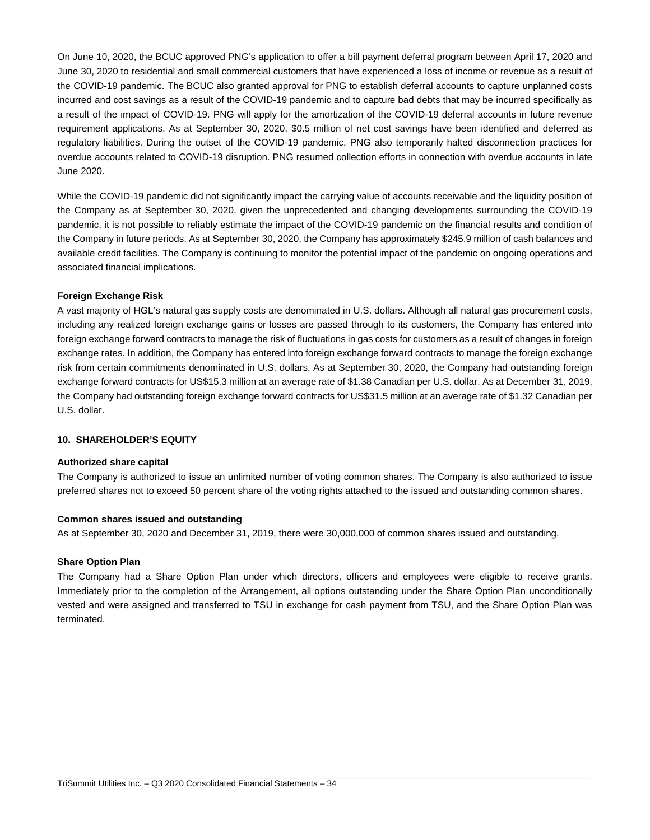On June 10, 2020, the BCUC approved PNG's application to offer a bill payment deferral program between April 17, 2020 and June 30, 2020 to residential and small commercial customers that have experienced a loss of income or revenue as a result of the COVID-19 pandemic. The BCUC also granted approval for PNG to establish deferral accounts to capture unplanned costs incurred and cost savings as a result of the COVID-19 pandemic and to capture bad debts that may be incurred specifically as a result of the impact of COVID-19. PNG will apply for the amortization of the COVID-19 deferral accounts in future revenue requirement applications. As at September 30, 2020, \$0.5 million of net cost savings have been identified and deferred as regulatory liabilities. During the outset of the COVID-19 pandemic, PNG also temporarily halted disconnection practices for overdue accounts related to COVID-19 disruption. PNG resumed collection efforts in connection with overdue accounts in late June 2020.

While the COVID-19 pandemic did not significantly impact the carrying value of accounts receivable and the liquidity position of the Company as at September 30, 2020, given the unprecedented and changing developments surrounding the COVID-19 pandemic, it is not possible to reliably estimate the impact of the COVID-19 pandemic on the financial results and condition of the Company in future periods. As at September 30, 2020, the Company has approximately \$245.9 million of cash balances and available credit facilities. The Company is continuing to monitor the potential impact of the pandemic on ongoing operations and associated financial implications.

# **Foreign Exchange Risk**

A vast majority of HGL's natural gas supply costs are denominated in U.S. dollars. Although all natural gas procurement costs, including any realized foreign exchange gains or losses are passed through to its customers, the Company has entered into foreign exchange forward contracts to manage the risk of fluctuations in gas costs for customers as a result of changes in foreign exchange rates. In addition, the Company has entered into foreign exchange forward contracts to manage the foreign exchange risk from certain commitments denominated in U.S. dollars. As at September 30, 2020, the Company had outstanding foreign exchange forward contracts for US\$15.3 million at an average rate of \$1.38 Canadian per U.S. dollar. As at December 31, 2019, the Company had outstanding foreign exchange forward contracts for US\$31.5 million at an average rate of \$1.32 Canadian per U.S. dollar.

#### **10. SHAREHOLDER'S EQUITY**

#### **Authorized share capital**

The Company is authorized to issue an unlimited number of voting common shares. The Company is also authorized to issue preferred shares not to exceed 50 percent share of the voting rights attached to the issued and outstanding common shares.

#### **Common shares issued and outstanding**

As at September 30, 2020 and December 31, 2019, there were 30,000,000 of common shares issued and outstanding.

#### **Share Option Plan**

The Company had a Share Option Plan under which directors, officers and employees were eligible to receive grants. Immediately prior to the completion of the Arrangement, all options outstanding under the Share Option Plan unconditionally vested and were assigned and transferred to TSU in exchange for cash payment from TSU, and the Share Option Plan was terminated.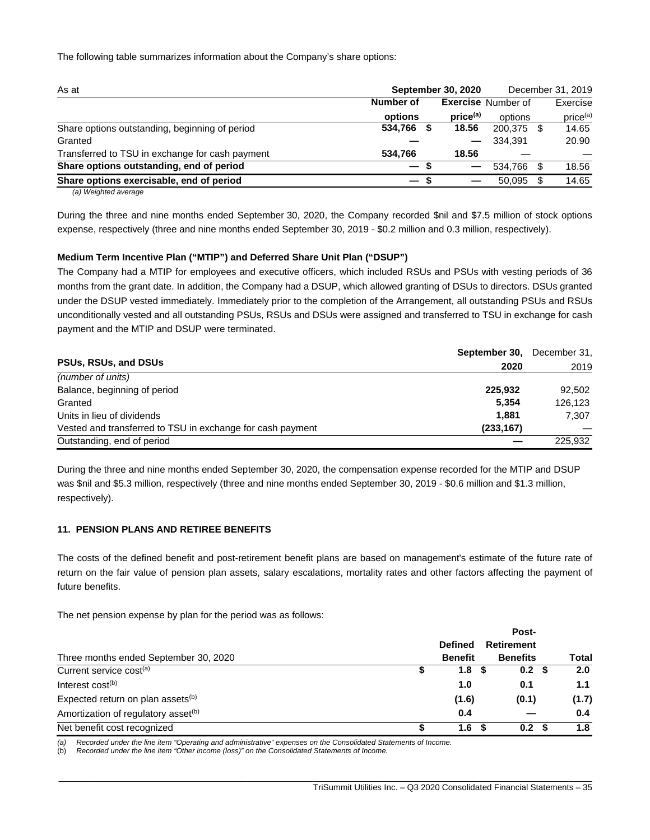The following table summarizes information about the Company's share options:

| <b>September 30, 2020</b><br>As at              |                          |                      |                           | December 31, 2019 |                      |
|-------------------------------------------------|--------------------------|----------------------|---------------------------|-------------------|----------------------|
|                                                 | Number of                |                      | <b>Exercise Number of</b> |                   | Exercise             |
|                                                 | options                  | price <sup>(a)</sup> | options                   |                   | price <sup>(a)</sup> |
| Share options outstanding, beginning of period  | 534,766 \$               | 18.56                | 200.375                   |                   | 14.65                |
| Granted                                         |                          |                      | 334.391                   |                   | 20.90                |
| Transferred to TSU in exchange for cash payment | 534.766                  | 18.56                |                           |                   |                      |
| Share options outstanding, end of period        | $-s$                     |                      | 534.766                   |                   | 18.56                |
| Share options exercisable, end of period        | $\overline{\phantom{0}}$ |                      | 50,095                    |                   | 14.65                |
|                                                 |                          |                      |                           |                   |                      |

*(a) Weighted average*

During the three and nine months ended September 30, 2020, the Company recorded \$nil and \$7.5 million of stock options expense, respectively (three and nine months ended September 30, 2019 - \$0.2 million and 0.3 million, respectively).

#### **Medium Term Incentive Plan ("MTIP") and Deferred Share Unit Plan ("DSUP")**

The Company had a MTIP for employees and executive officers, which included RSUs and PSUs with vesting periods of 36 months from the grant date. In addition, the Company had a DSUP, which allowed granting of DSUs to directors. DSUs granted under the DSUP vested immediately. Immediately prior to the completion of the Arrangement, all outstanding PSUs and RSUs unconditionally vested and all outstanding PSUs, RSUs and DSUs were assigned and transferred to TSU in exchange for cash payment and the MTIP and DSUP were terminated.

|                                                            | September 30, | December 31. |
|------------------------------------------------------------|---------------|--------------|
| PSUs, RSUs, and DSUs                                       | 2020          | 2019         |
| (number of units)                                          |               |              |
| Balance, beginning of period                               | 225,932       | 92.502       |
| Granted                                                    | 5.354         | 126.123      |
| Units in lieu of dividends                                 | 1.881         | 7,307        |
| Vested and transferred to TSU in exchange for cash payment | (233, 167)    |              |
| Outstanding, end of period                                 |               | 225.932      |

During the three and nine months ended September 30, 2020, the compensation expense recorded for the MTIP and DSUP was \$nil and \$5.3 million, respectively (three and nine months ended September 30, 2019 - \$0.6 million and \$1.3 million, respectively).

#### **11. PENSION PLANS AND RETIREE BENEFITS**

The costs of the defined benefit and post-retirement benefit plans are based on management's estimate of the future rate of return on the fair value of pension plan assets, salary escalations, mortality rates and other factors affecting the payment of future benefits.

The net pension expense by plan for the period was as follows:

|                                                 |                |                   | Post-            |       |
|-------------------------------------------------|----------------|-------------------|------------------|-------|
|                                                 | <b>Defined</b> | <b>Retirement</b> |                  |       |
| Three months ended September 30, 2020           | <b>Benefit</b> | <b>Benefits</b>   |                  | Total |
| Current service cost <sup>(a)</sup>             | 1.8            |                   | 0.2 <sup>5</sup> | 2.0   |
| Interest $cost(b)$                              | 1.0            |                   | 0.1              | 1.1   |
| Expected return on plan assets <sup>(b)</sup>   | (1.6)          |                   | (0.1)            | (1.7) |
| Amortization of regulatory asset <sup>(b)</sup> | 0.4            |                   |                  | 0.4   |
| Net benefit cost recognized                     | 1.6            |                   | 0.2 <sup>5</sup> | 1.8   |

\_\_\_\_\_\_\_\_\_\_\_\_\_\_\_\_\_\_\_\_\_\_\_\_\_\_\_\_\_\_\_\_\_\_\_\_\_\_\_\_\_\_\_\_\_\_\_\_\_\_\_\_\_\_\_\_\_\_\_\_\_\_\_\_\_\_\_\_\_\_\_\_\_\_\_\_\_\_\_\_\_\_\_\_\_\_\_\_\_\_\_\_\_\_\_\_\_\_\_\_\_\_\_\_\_\_\_\_\_\_\_\_\_

*(a) Recorded under the line item "Operating and administrative" expenses on the Consolidated Statements of Income.*

(b) *Recorded under the line item "Other income (loss)" on the Consolidated Statements of Income.*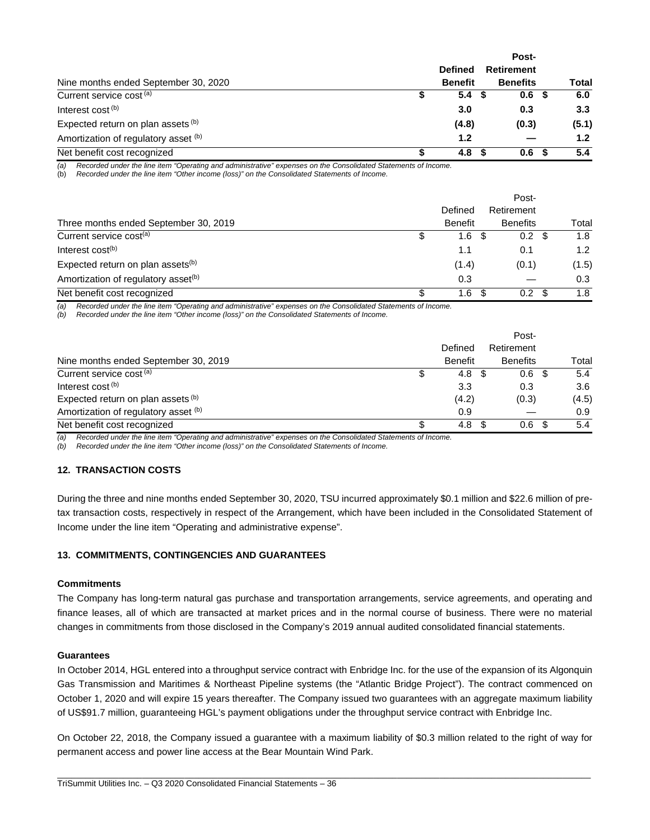|                                      |                | Post-            |                  |
|--------------------------------------|----------------|------------------|------------------|
|                                      | <b>Defined</b> | Retirement       |                  |
| Nine months ended September 30, 2020 | <b>Benefit</b> | <b>Benefits</b>  | <b>Total</b>     |
| Current service cost <sup>(a)</sup>  | 5.4            | 0.6 <sup>5</sup> | 6.0              |
| Interest cost <sup>(b)</sup>         | 3.0            | 0.3              | 3.3 <sub>1</sub> |
| Expected return on plan assets (b)   | (4.8)          | (0.3)            | (5.1)            |
| Amortization of regulatory asset (b) | 1.2            |                  | 1.2 <sub>2</sub> |
| Net benefit cost recognized          | 4.8            | 0.6              | 5.4              |

*(a) Recorded under the line item "Operating and administrative" expenses on the Consolidated Statements of Income.*

(b) *Recorded under the line item "Other income (loss)" on the Consolidated Statements of Income.*

|                                                 |   |                | Post-            |       |
|-------------------------------------------------|---|----------------|------------------|-------|
|                                                 |   | Defined        | Retirement       |       |
| Three months ended September 30, 2019           |   | <b>Benefit</b> | <b>Benefits</b>  | Total |
| Current service cost <sup>(a)</sup>             |   | 1.6            | $0.2 \text{ } $$ | 1.8   |
| Interest $cost(b)$                              |   | 1.1            | 0.1              | 1.2   |
| Expected return on plan assets <sup>(b)</sup>   |   | (1.4)          | (0.1)            | (1.5) |
| Amortization of regulatory asset <sup>(b)</sup> |   | 0.3            |                  | 0.3   |
| Net benefit cost recognized                     | S | 1.6<br>-S      | $0.2\,$          | 1.8   |

*(a) Recorded under the line item "Operating and administrative" expenses on the Consolidated Statements of Income.*

*(b) Recorded under the line item "Other income (loss)" on the Consolidated Statements of Income.*

|                                      |     |                | Post-                    |       |
|--------------------------------------|-----|----------------|--------------------------|-------|
|                                      |     | Defined        | Retirement               |       |
| Nine months ended September 30, 2019 |     | <b>Benefit</b> | <b>Benefits</b>          | Total |
| Current service cost (a)             | \$. | 4.8            | 0.6 <sup>5</sup><br>- \$ | 5.4   |
| Interest cost <sup>(b)</sup>         |     | 3.3            | 0.3                      | 3.6   |
| Expected return on plan assets (b)   |     | (4.2)          | (0.3)                    | (4.5) |
| Amortization of regulatory asset (b) |     | 0.9            |                          | 0.9   |
| Net benefit cost recognized          |     | 4.8            | 0.6<br>- \$              | 5.4   |

*(a) Recorded under the line item "Operating and administrative" expenses on the Consolidated Statements of Income.*

*(b) Recorded under the line item "Other income (loss)" on the Consolidated Statements of Income.*

#### **12. TRANSACTION COSTS**

During the three and nine months ended September 30, 2020, TSU incurred approximately \$0.1 million and \$22.6 million of pretax transaction costs, respectively in respect of the Arrangement, which have been included in the Consolidated Statement of Income under the line item "Operating and administrative expense".

#### **13. COMMITMENTS, CONTINGENCIES AND GUARANTEES**

#### **Commitments**

The Company has long-term natural gas purchase and transportation arrangements, service agreements, and operating and finance leases, all of which are transacted at market prices and in the normal course of business. There were no material changes in commitments from those disclosed in the Company's 2019 annual audited consolidated financial statements.

#### **Guarantees**

In October 2014, HGL entered into a throughput service contract with Enbridge Inc. for the use of the expansion of its Algonquin Gas Transmission and Maritimes & Northeast Pipeline systems (the "Atlantic Bridge Project"). The contract commenced on October 1, 2020 and will expire 15 years thereafter. The Company issued two guarantees with an aggregate maximum liability of US\$91.7 million, guaranteeing HGL's payment obligations under the throughput service contract with Enbridge Inc.

On October 22, 2018, the Company issued a guarantee with a maximum liability of \$0.3 million related to the right of way for permanent access and power line access at the Bear Mountain Wind Park.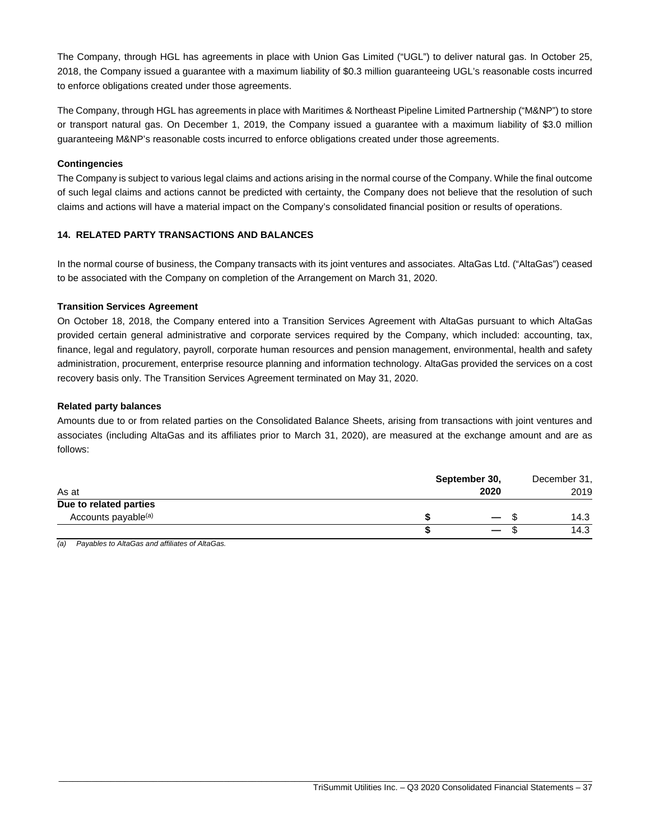The Company, through HGL has agreements in place with Union Gas Limited ("UGL") to deliver natural gas. In October 25, 2018, the Company issued a guarantee with a maximum liability of \$0.3 million guaranteeing UGL's reasonable costs incurred to enforce obligations created under those agreements.

The Company, through HGL has agreements in place with Maritimes & Northeast Pipeline Limited Partnership ("M&NP") to store or transport natural gas. On December 1, 2019, the Company issued a guarantee with a maximum liability of \$3.0 million guaranteeing M&NP's reasonable costs incurred to enforce obligations created under those agreements.

## **Contingencies**

The Company is subject to various legal claims and actions arising in the normal course of the Company. While the final outcome of such legal claims and actions cannot be predicted with certainty, the Company does not believe that the resolution of such claims and actions will have a material impact on the Company's consolidated financial position or results of operations.

## **14. RELATED PARTY TRANSACTIONS AND BALANCES**

In the normal course of business, the Company transacts with its joint ventures and associates. AltaGas Ltd. ("AltaGas") ceased to be associated with the Company on completion of the Arrangement on March 31, 2020.

#### **Transition Services Agreement**

On October 18, 2018, the Company entered into a Transition Services Agreement with AltaGas pursuant to which AltaGas provided certain general administrative and corporate services required by the Company, which included: accounting, tax, finance, legal and regulatory, payroll, corporate human resources and pension management, environmental, health and safety administration, procurement, enterprise resource planning and information technology. AltaGas provided the services on a cost recovery basis only. The Transition Services Agreement terminated on May 31, 2020.

#### **Related party balances**

Amounts due to or from related parties on the Consolidated Balance Sheets, arising from transactions with joint ventures and associates (including AltaGas and its affiliates prior to March 31, 2020), are measured at the exchange amount and are as follows:

|                                 | September 30, |      | December 31, |
|---------------------------------|---------------|------|--------------|
| As at                           | 2020          |      | 2019         |
| Due to related parties          |               |      |              |
| Accounts payable <sup>(a)</sup> |               | — \$ | 14.3         |
|                                 |               |      | 14.3         |

\_\_\_\_\_\_\_\_\_\_\_\_\_\_\_\_\_\_\_\_\_\_\_\_\_\_\_\_\_\_\_\_\_\_\_\_\_\_\_\_\_\_\_\_\_\_\_\_\_\_\_\_\_\_\_\_\_\_\_\_\_\_\_\_\_\_\_\_\_\_\_\_\_\_\_\_\_\_\_\_\_\_\_\_\_\_\_\_\_\_\_\_\_\_\_\_\_\_\_\_\_\_\_\_\_\_\_\_\_\_\_\_\_

*(a) Payables to AltaGas and affiliates of AltaGas.*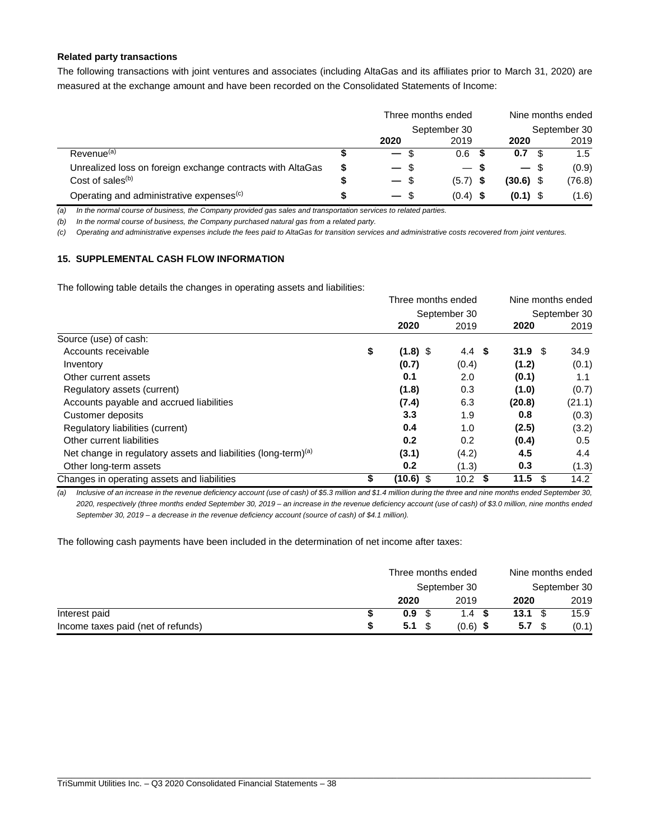#### **Related party transactions**

The following transactions with joint ventures and associates (including AltaGas and its affiliates prior to March 31, 2020) are measured at the exchange amount and have been recorded on the Consolidated Statements of Income:

|                                                            | Three months ended | Nine months ended |             |               |  |
|------------------------------------------------------------|--------------------|-------------------|-------------|---------------|--|
|                                                            |                    | September 30      |             | September 30  |  |
|                                                            | 2020               | 2019              | 2020        | 2019          |  |
| Revenue <sup>(a)</sup>                                     | $-$ \$             | 0.6               | 0.7         | $1.5^{\circ}$ |  |
| Unrealized loss on foreign exchange contracts with AltaGas | $-$ \$             | — S               | $-$ \$      | (0.9)         |  |
| Cost of sales $(b)$                                        | $-$ \$             | $(5.7)$ \$        | $(30.6)$ \$ | (76.8)        |  |
| Operating and administrative expenses <sup>(c)</sup>       | $-$ \$             | (0.4)             | $(0.1)$ \$  | (1.6)         |  |

*(a) In the normal course of business, the Company provided gas sales and transportation services to related parties.*

*(b) In the normal course of business, the Company purchased natural gas from a related party.*

*(c) Operating and administrative expenses include the fees paid to AltaGas for transition services and administrative costs recovered from joint ventures.*

# **15. SUPPLEMENTAL CASH FLOW INFORMATION**

The following table details the changes in operating assets and liabilities:

|                                                                            | Three months ended |                           | Nine months ended<br>September 30 |        |  |  |
|----------------------------------------------------------------------------|--------------------|---------------------------|-----------------------------------|--------|--|--|
|                                                                            |                    | September 30              |                                   |        |  |  |
|                                                                            | 2020               | 2019                      | 2020                              | 2019   |  |  |
| Source (use) of cash:                                                      |                    |                           |                                   |        |  |  |
| Accounts receivable                                                        | \$<br>$(1.8)$ \$   | 4.4<br>- \$               | 31.9 <sup>5</sup>                 | 34.9   |  |  |
| Inventory                                                                  | (0.7)              | (0.4)                     | (1.2)                             | (0.1)  |  |  |
| Other current assets                                                       | 0.1                | 2.0                       | (0.1)                             | 1.1    |  |  |
| Regulatory assets (current)                                                | (1.8)              | 0.3                       | (1.0)                             | (0.7)  |  |  |
| Accounts payable and accrued liabilities                                   | (7.4)              | 6.3                       | (20.8)                            | (21.1) |  |  |
| Customer deposits                                                          | 3.3                | 1.9                       | 0.8                               | (0.3)  |  |  |
| Regulatory liabilities (current)                                           | 0.4                | 1.0                       | (2.5)                             | (3.2)  |  |  |
| Other current liabilities                                                  | 0.2                | 0.2                       | (0.4)                             | 0.5    |  |  |
| Net change in regulatory assets and liabilities (long-term) <sup>(a)</sup> | (3.1)              | (4.2)                     | 4.5                               | 4.4    |  |  |
| Other long-term assets                                                     | 0.2                | (1.3)                     | 0.3                               | (1.3)  |  |  |
| Changes in operating assets and liabilities                                | \$<br>$(10.6)$ \$  | 10.2 <sub>1</sub><br>- \$ | 11.5<br>\$                        | 14.2   |  |  |

*(a) Inclusive of an increase in the revenue deficiency account (use of cash) of \$5.3 million and \$1.4 million during the three and nine months ended September 30, 2020, respectively (three months ended September 30, 2019 – an increase in the revenue deficiency account (use of cash) of \$3.0 million, nine months ended September 30, 2019 – a decrease in the revenue deficiency account (source of cash) of \$4.1 million).*

The following cash payments have been included in the determination of net income after taxes:

|                                    | Three months ended |                  | Nine months ended<br>September 30 |       |  |  |
|------------------------------------|--------------------|------------------|-----------------------------------|-------|--|--|
|                                    |                    | September 30     |                                   |       |  |  |
|                                    | 2020               | 2019             | 2020                              | 2019  |  |  |
| Interest paid                      | 0.9 <sup>5</sup>   | 1.4 <sup>5</sup> | $13.1 \text{ }$ \$                | 15.9  |  |  |
| Income taxes paid (net of refunds) | $5.1 \text{ } $s$  | $(0.6)$ \$       | 5.7 <sup>°</sup>                  | (0.1) |  |  |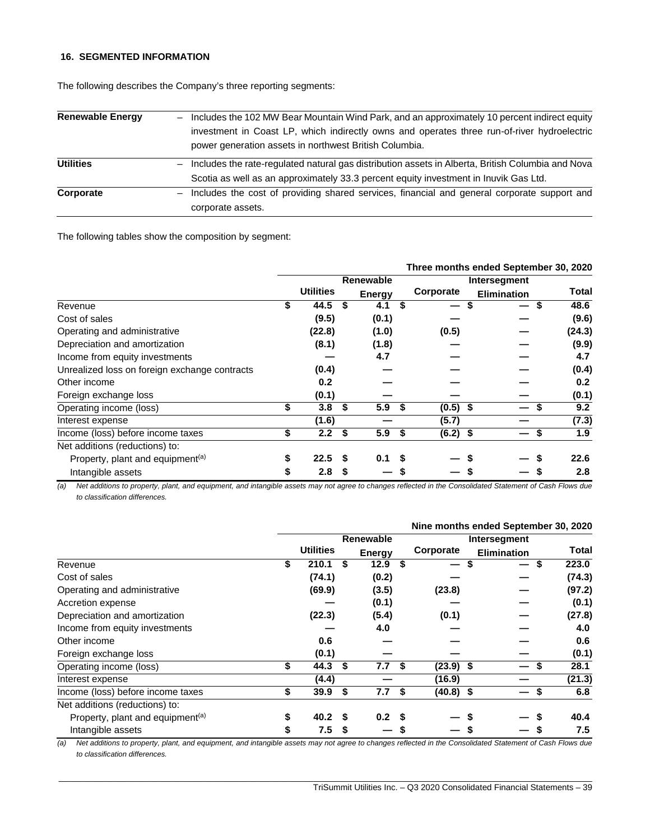#### **16. SEGMENTED INFORMATION**

The following describes the Company's three reporting segments:

| <b>Renewable Energy</b> | Includes the 102 MW Bear Mountain Wind Park, and an approximately 10 percent indirect equity<br>investment in Coast LP, which indirectly owns and operates three run-of-river hydroelectric<br>power generation assets in northwest British Columbia. |
|-------------------------|-------------------------------------------------------------------------------------------------------------------------------------------------------------------------------------------------------------------------------------------------------|
| <b>Utilities</b>        | Includes the rate-regulated natural gas distribution assets in Alberta, British Columbia and Nova<br>$-$<br>Scotia as well as an approximately 33.3 percent equity investment in Inuvik Gas Ltd.                                                      |
| Corporate               | - Includes the cost of providing shared services, financial and general corporate support and<br>corporate assets.                                                                                                                                    |

The following tables show the composition by segment:

|                                               |    |                  |               |           |                  | Three months ended September 30, 2020 |                  |
|-----------------------------------------------|----|------------------|---------------|-----------|------------------|---------------------------------------|------------------|
|                                               |    |                  |               | Renewable |                  | Intersegment                          |                  |
|                                               |    | <b>Utilities</b> | <b>Energy</b> |           | Corporate        | <b>Elimination</b>                    | Total            |
| Revenue                                       |    | 44.5             | S             | 4.1       | \$<br>—          | S                                     | 48.6             |
| Cost of sales                                 |    | (9.5)            |               | (0.1)     |                  |                                       | (9.6)            |
| Operating and administrative                  |    | (22.8)           |               | (1.0)     | (0.5)            |                                       | (24.3)           |
| Depreciation and amortization                 |    | (8.1)            |               | (1.8)     |                  |                                       | (9.9)            |
| Income from equity investments                |    |                  |               | 4.7       |                  |                                       | 4.7              |
| Unrealized loss on foreign exchange contracts |    | (0.4)            |               |           |                  |                                       | (0.4)            |
| Other income                                  |    | 0.2              |               |           |                  |                                       | 0.2 <sub>0</sub> |
| Foreign exchange loss                         |    | (0.1)            |               |           |                  |                                       | (0.1)            |
| Operating income (loss)                       | \$ | 3.8              | S             | 5.9       | $(0.5)$ \$       |                                       | 9.2              |
| Interest expense                              |    | (1.6)            |               |           | (5.7)            |                                       | (7.3)            |
| Income (loss) before income taxes             | \$ | 2.2              | \$            | 5.9       | \$<br>$(6.2)$ \$ |                                       | 1.9              |
| Net additions (reductions) to:                |    |                  |               |           |                  |                                       |                  |
| Property, plant and equipment <sup>(a)</sup>  |    | 22.5             |               | 0.1       |                  |                                       | 22.6             |
| Intangible assets                             | S  | 2.8              |               |           |                  |                                       | 2.8              |

*(a) Net additions to property, plant, and equipment, and intangible assets may not agree to changes reflected in the Consolidated Statement of Cash Flows due to classification differences.*

|                                              |                  |        |                  |                  |    |              | Nine months ended September 30, 2020 |             |
|----------------------------------------------|------------------|--------|------------------|------------------|----|--------------|--------------------------------------|-------------|
|                                              |                  |        | <b>Renewable</b> |                  |    | Intersegment |                                      |             |
|                                              | <b>Utilities</b> |        |                  | <b>Energy</b>    |    | Corporate    | <b>Elimination</b>                   | Total       |
| Revenue                                      | \$               | 210.1  | \$               | 12.9             | \$ | \$           |                                      | 223.0<br>\$ |
| Cost of sales                                |                  | (74.1) |                  | (0.2)            |    |              |                                      | (74.3)      |
| Operating and administrative                 |                  | (69.9) |                  | (3.5)            |    | (23.8)       |                                      | (97.2)      |
| Accretion expense                            |                  |        |                  | (0.1)            |    |              |                                      | (0.1)       |
| Depreciation and amortization                |                  | (22.3) |                  | (5.4)            |    | (0.1)        |                                      | (27.8)      |
| Income from equity investments               |                  |        |                  | 4.0              |    |              |                                      | 4.0         |
| Other income                                 |                  | 0.6    |                  |                  |    |              |                                      | 0.6         |
| Foreign exchange loss                        |                  | (0.1)  |                  |                  |    |              |                                      | (0.1)       |
| Operating income (loss)                      | \$               | 44.3   | \$               | 7.7              | \$ | $(23.9)$ \$  |                                      | 28.1        |
| Interest expense                             |                  | (4.4)  |                  |                  |    | (16.9)       |                                      | (21.3)      |
| Income (loss) before income taxes            | \$               | 39.9   | \$               | 7.7              | \$ | $(40.8)$ \$  |                                      | 6.8<br>\$   |
| Net additions (reductions) to:               |                  |        |                  |                  |    |              |                                      |             |
| Property, plant and equipment <sup>(a)</sup> | \$               | 40.2   | S                | 0.2 <sup>5</sup> |    |              |                                      | 40.4<br>S   |
| Intangible assets                            | \$               | 7.5    | \$               |                  | \$ |              |                                      | 7.5<br>S    |

*(a) Net additions to property, plant, and equipment, and intangible assets may not agree to changes reflected in the Consolidated Statement of Cash Flows due to classification differences.*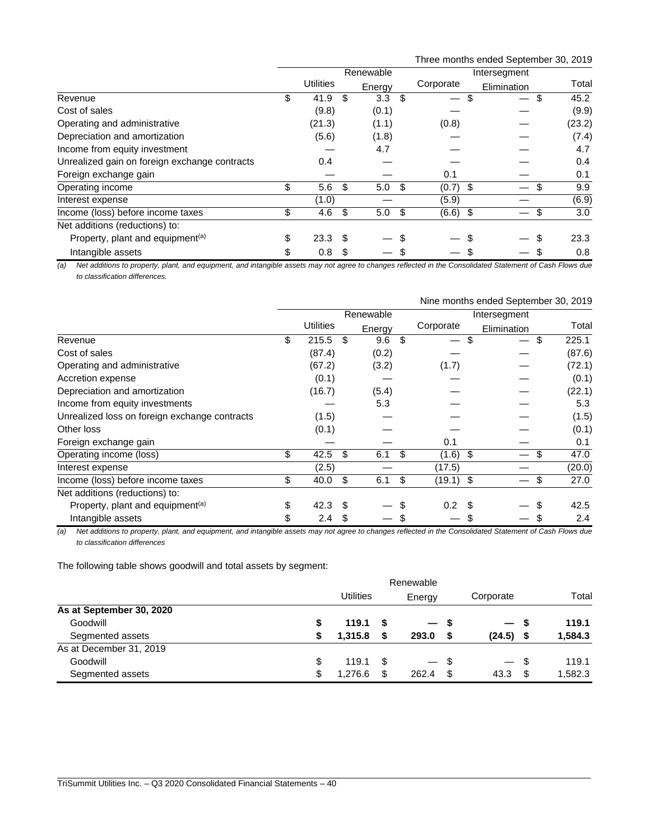Three months ended September 30, 2019

|                                               |                  |     | Renewable |      | Intersegment |  |             |    |        |
|-----------------------------------------------|------------------|-----|-----------|------|--------------|--|-------------|----|--------|
|                                               | <b>Utilities</b> |     | Energy    |      | Corporate    |  | Elimination |    | Total  |
| Revenue                                       | \$<br>41.9       | \$  | 3.3       | \$   | —            |  |             | S  | 45.2   |
| Cost of sales                                 | (9.8)            |     | (0.1)     |      |              |  |             |    | (9.9)  |
| Operating and administrative                  | (21.3)           |     | (1.1)     |      | (0.8)        |  |             |    | (23.2) |
| Depreciation and amortization                 | (5.6)            |     | (1.8)     |      |              |  |             |    | (7.4)  |
| Income from equity investment                 |                  |     | 4.7       |      |              |  |             |    | 4.7    |
| Unrealized gain on foreign exchange contracts | 0.4              |     |           |      |              |  |             |    | 0.4    |
| Foreign exchange gain                         |                  |     |           |      | 0.1          |  |             |    | 0.1    |
| Operating income                              | \$<br>5.6        | \$  | 5.0       | \$   | $(0.7)$ \$   |  |             |    | 9.9    |
| Interest expense                              | (1.0)            |     |           |      | (5.9)        |  |             |    | (6.9)  |
| Income (loss) before income taxes             | \$<br>4.6        | -\$ | 5.0       | - \$ | $(6.6)$ \$   |  |             | \$ | 3.0    |
| Net additions (reductions) to:                |                  |     |           |      |              |  |             |    |        |
| Property, plant and equipment <sup>(a)</sup>  | \$<br>23.3       | \$. |           | \$   |              |  |             |    | 23.3   |
| Intangible assets                             | \$<br>0.8        | S   |           |      |              |  |             |    | 0.8    |

*(a) Net additions to property, plant, and equipment, and intangible assets may not agree to changes reflected in the Consolidated Statement of Cash Flows due to classification differences.*

|                                               |             |    |        |     | Nine months ended September 30, 2019 |             |        |  |  |  |
|-----------------------------------------------|-------------|----|--------|-----|--------------------------------------|-------------|--------|--|--|--|
|                                               | Renewable   |    |        |     | Intersegment                         |             |        |  |  |  |
|                                               | Utilities   |    | Energy |     | Corporate                            | Elimination | Total  |  |  |  |
| Revenue                                       | \$<br>215.5 | -S | 9.6    | \$  | \$                                   | \$          | 225.1  |  |  |  |
| Cost of sales                                 | (87.4)      |    | (0.2)  |     |                                      |             | (87.6) |  |  |  |
| Operating and administrative                  | (67.2)      |    | (3.2)  |     | (1.7)                                |             | (72.1) |  |  |  |
| Accretion expense                             | (0.1)       |    |        |     |                                      |             | (0.1)  |  |  |  |
| Depreciation and amortization                 | (16.7)      |    | (5.4)  |     |                                      |             | (22.1) |  |  |  |
| Income from equity investments                |             |    | 5.3    |     |                                      |             | 5.3    |  |  |  |
| Unrealized loss on foreign exchange contracts | (1.5)       |    |        |     |                                      |             | (1.5)  |  |  |  |
| Other loss                                    | (0.1)       |    |        |     |                                      |             | (0.1)  |  |  |  |
| Foreign exchange gain                         |             |    |        |     | 0.1                                  |             | 0.1    |  |  |  |
| Operating income (loss)                       | \$<br>42.5  | \$ | 6.1    | -\$ | $(1.6)$ \$                           | \$          | 47.0   |  |  |  |
| Interest expense                              | (2.5)       |    |        |     | (17.5)                               |             | (20.0) |  |  |  |
| Income (loss) before income taxes             | \$<br>40.0  | \$ | 6.1    | -\$ | $(19.1)$ \$                          | \$          | 27.0   |  |  |  |
| Net additions (reductions) to:                |             |    |        |     |                                      |             |        |  |  |  |
| Property, plant and equipment <sup>(a)</sup>  | \$<br>42.3  |    |        |     | 0.2                                  |             | 42.5   |  |  |  |
| Intangible assets                             | \$<br>2.4   | S  |        |     |                                      |             | 2.4    |  |  |  |

*(a) Net additions to property, plant, and equipment, and intangible assets may not agree to changes reflected in the Consolidated Statement of Cash Flows due to classification differences*

The following table shows goodwill and total assets by segment:

|                          | Renewable |                  |      |        |        |                          |           |         |  |  |
|--------------------------|-----------|------------------|------|--------|--------|--------------------------|-----------|---------|--|--|
|                          |           | <b>Utilities</b> |      |        | Energy |                          | Corporate |         |  |  |
| As at September 30, 2020 |           |                  |      |        |        |                          |           |         |  |  |
| Goodwill                 |           | 119.1            | - \$ | — s    |        | $\overline{\phantom{m}}$ | - 5       | 119.1   |  |  |
| Segmented assets         | S         | 1.315.8          | -S   | 293.0  |        | (24.5)                   | - \$      | 1,584.3 |  |  |
| As at December 31, 2019  |           |                  |      |        |        |                          |           |         |  |  |
| Goodwill                 | \$        | 119.1            | - \$ | $-$ \$ |        |                          | - \$      | 119.1   |  |  |
| Segmented assets         | S         | 1,276.6          | \$   | 262.4  | - \$   | 43.3                     | S         | 1,582.3 |  |  |